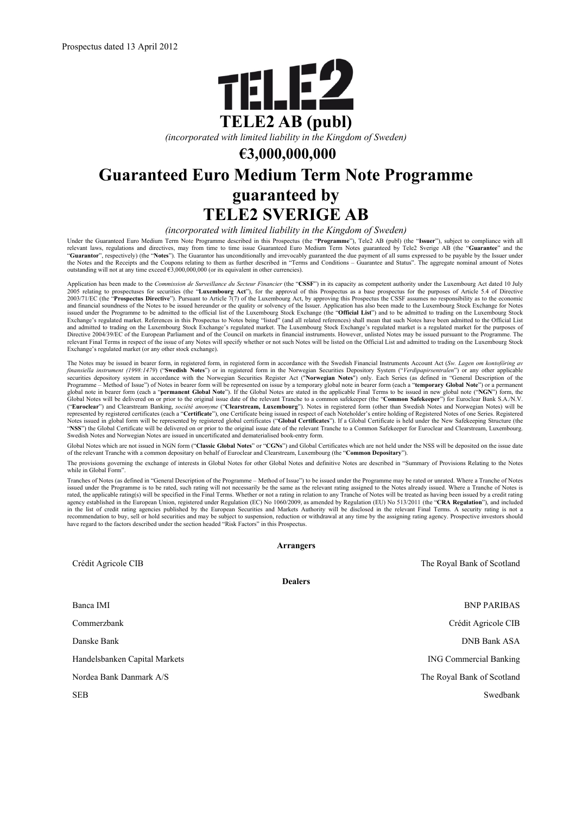

*(incorporated with limited liability in the Kingdom of Sweden)*

# **€3,000,000,000**

# **Guaranteed Euro Medium Term Note Programme guaranteed by TELE2 SVERIGE AB**

*(incorporated with limited liability in the Kingdom of Sweden)*

Under the Guaranteed Euro Medium Term Note Programme described in this Prospectus (the "**Programme**"), Tele2 AB (publ) (the "**Issuer**"), subject to compliance with all relevant laws, regulations and directives, may from ti the Notes and the Receipts and the Coupons relating to them as further described in "Terms and Conditions – Guarantee and Status". The aggregate nominal amount of Notes outstanding will not at any time exceed  $\epsilon_{3,000,000,000}$  (or its equivalent in other currencies).

Application has been made to the Commission de Surveillance du Secteur Financier (the "CSSF") in its capacity as competent authority under the Luxembourg Act dated 10 July<br>2005 relating to prospectuses for securities (the 2003/71/EC (the "**Prospectus Directive**"). Pursuant to Article 7(7) of the Luxembourg Act, by approving this Prospectus the CSSF assumes no responsibility as to the economic and financial soundness of the Notes to be issued hereunder or the quality or solvency of the Issuer. Application has also been made to the Luxembourg Stock Exchange for Notes<br>issued under the Programme to be admitted to t Exchange's regulated market. References in this Prospectus to Notes being "listed" (and all related references) shall mean that such Notes have been admitted to the Official List and admitted to trading on the Luxembourg Stock Exchange's regulated market. The Luxembourg Stock Exchange's regulated market is a regulated market for the purposes of<br>Directive 2004/39/EC of the European Parliament and of relevant Final Terms in respect of the issue of any Notes will specify whether or not such Notes will be listed on the Official List and admitted to trading on the Luxembourg Stock Exchange's regulated market (or any other stock exchange).

The Notes may be issued in bearer form, in registered form, in registered form in accordance with the Swedish Financial Instruments Account Act (Sw. Lagen om kontoföring av<br>finansiella instrument (1998:1479) ("Swedish Note Programme – Method of Issue") of Notes in bearer form will be represented on issue by a temporary global note in bearer form (each a "temporary Global Note") or a permanent<br>global note in bearer form (each a "permanent Glo ("Euroclear") and Clearstream Banking, *société anonyme* ("Clearstream, Luxembourg"). Notes in registered form (other than Swedish Notes and Norwegian Notes) will be<br>represented by registered certificates (each a "Certific "**NSS**") the Global Certificate will be delivered on or prior to the original issue date of the relevant Tranche to a Common Safekeeper for Euroclear and Clearstream, Luxembourg. Swedish Notes and Norwegian Notes are issued in uncertificated and dematerialised book-entry form.

Global Notes which are not issued in NGN form ("**Classic Global Notes**" or "**CGNs**") and Global Certificates which are not held under the NSS will be deposited on the issue date of the relevant Tranche with a common depositary on behalf of Euroclear and Clearstream, Luxembourg (the "**Common Depositary**").

The provisions governing the exchange of interests in Global Notes for other Global Notes and definitive Notes are described in "Summary of Provisions Relating to the Notes while in Global Form"

Tranches of Notes (as defined in "General Description of the Programme – Method of Issue") to be issued under the Programme may be rated or unrated. Where a Tranche of Notes issued under the Programme is to be rated, such rating will not necessarily be the same as the relevant rating assigned to the Notes already issued. Where a Tranche of Notes is<br>rated, the applicable rating(s) will be speci agency established in the European Union, registered under Regulation (EC) No 1060/2009, as amended by Regulation (EU) No 513/2011 (the "**CRA Regulation**"), and included in the list of credit rating agencies published by the European Securities and Markets Authority will be disclosed in the relevant Final Terms. A security rating is not a<br>recommendation to buy, sell or hold securities and have regard to the factors described under the section headed "Risk Factors" in this Prospectus.

**Arrangers**

|                               | 1111112222                    |
|-------------------------------|-------------------------------|
| Crédit Agricole CIB           | The Royal Bank of Scotland    |
|                               | <b>Dealers</b>                |
| Banca IMI                     | <b>BNP PARIBAS</b>            |
| Commerzbank                   | Crédit Agricole CIB           |
| Danske Bank                   | <b>DNB Bank ASA</b>           |
| Handelsbanken Capital Markets | <b>ING Commercial Banking</b> |
| Nordea Bank Danmark A/S       | The Royal Bank of Scotland    |
| <b>SEB</b>                    | Swedbank                      |
|                               |                               |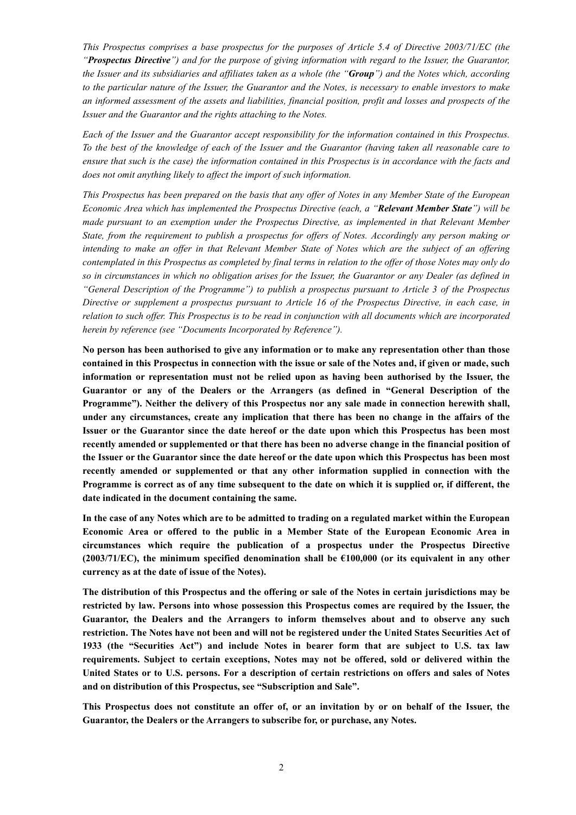*This Prospectus comprises a base prospectus for the purposes of Article 5.4 of Directive 2003/71/EC (the "Prospectus Directive") and for the purpose of giving information with regard to the Issuer, the Guarantor, the Issuer and its subsidiaries and affiliates taken as a whole (the "Group") and the Notes which, according to the particular nature of the Issuer, the Guarantor and the Notes, is necessary to enable investors to make an informed assessment of the assets and liabilities, financial position, profit and losses and prospects of the Issuer and the Guarantor and the rights attaching to the Notes.* 

*Each of the Issuer and the Guarantor accept responsibility for the information contained in this Prospectus. To the best of the knowledge of each of the Issuer and the Guarantor (having taken all reasonable care to ensure that such is the case) the information contained in this Prospectus is in accordance with the facts and does not omit anything likely to affect the import of such information.* 

*This Prospectus has been prepared on the basis that any offer of Notes in any Member State of the European Economic Area which has implemented the Prospectus Directive (each, a "Relevant Member State") will be made pursuant to an exemption under the Prospectus Directive, as implemented in that Relevant Member State, from the requirement to publish a prospectus for offers of Notes. Accordingly any person making or intending to make an offer in that Relevant Member State of Notes which are the subject of an offering contemplated in this Prospectus as completed by final terms in relation to the offer of those Notes may only do so in circumstances in which no obligation arises for the Issuer, the Guarantor or any Dealer (as defined in "General Description of the Programme") to publish a prospectus pursuant to Article 3 of the Prospectus Directive or supplement a prospectus pursuant to Article 16 of the Prospectus Directive, in each case, in relation to such offer. This Prospectus is to be read in conjunction with all documents which are incorporated herein by reference (see "Documents Incorporated by Reference").*

**No person has been authorised to give any information or to make any representation other than those contained in this Prospectus in connection with the issue or sale of the Notes and, if given or made, such information or representation must not be relied upon as having been authorised by the Issuer, the Guarantor or any of the Dealers or the Arrangers (as defined in "General Description of the Programme"). Neither the delivery of this Prospectus nor any sale made in connection herewith shall, under any circumstances, create any implication that there has been no change in the affairs of the Issuer or the Guarantor since the date hereof or the date upon which this Prospectus has been most recently amended or supplemented or that there has been no adverse change in the financial position of the Issuer or the Guarantor since the date hereof or the date upon which this Prospectus has been most recently amended or supplemented or that any other information supplied in connection with the Programme is correct as of any time subsequent to the date on which it is supplied or, if different, the date indicated in the document containing the same.**

**In the case of any Notes which are to be admitted to trading on a regulated market within the European Economic Area or offered to the public in a Member State of the European Economic Area in circumstances which require the publication of a prospectus under the Prospectus Directive (2003/71/EC), the minimum specified denomination shall be €100,000 (or its equivalent in any other currency as at the date of issue of the Notes).**

**The distribution of this Prospectus and the offering or sale of the Notes in certain jurisdictions may be restricted by law. Persons into whose possession this Prospectus comes are required by the Issuer, the Guarantor, the Dealers and the Arrangers to inform themselves about and to observe any such restriction. The Notes have not been and will not be registered under the United States Securities Act of 1933 (the "Securities Act") and include Notes in bearer form that are subject to U.S. tax law requirements. Subject to certain exceptions, Notes may not be offered, sold or delivered within the United States or to U.S. persons. For a description of certain restrictions on offers and sales of Notes and on distribution of this Prospectus, see "Subscription and Sale".**

**This Prospectus does not constitute an offer of, or an invitation by or on behalf of the Issuer, the Guarantor, the Dealers or the Arrangers to subscribe for, or purchase, any Notes.**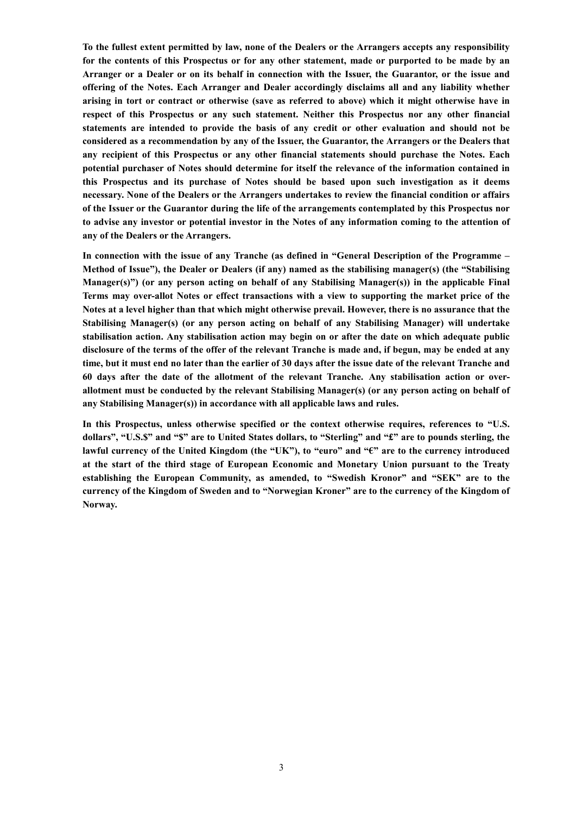**To the fullest extent permitted by law, none of the Dealers or the Arrangers accepts any responsibility for the contents of this Prospectus or for any other statement, made or purported to be made by an Arranger or a Dealer or on its behalf in connection with the Issuer, the Guarantor, or the issue and offering of the Notes. Each Arranger and Dealer accordingly disclaims all and any liability whether arising in tort or contract or otherwise (save as referred to above) which it might otherwise have in respect of this Prospectus or any such statement. Neither this Prospectus nor any other financial statements are intended to provide the basis of any credit or other evaluation and should not be considered as a recommendation by any of the Issuer, the Guarantor, the Arrangers or the Dealers that any recipient of this Prospectus or any other financial statements should purchase the Notes. Each potential purchaser of Notes should determine for itself the relevance of the information contained in this Prospectus and its purchase of Notes should be based upon such investigation as it deems necessary. None of the Dealers or the Arrangers undertakes to review the financial condition or affairs of the Issuer or the Guarantor during the life of the arrangements contemplated by this Prospectus nor to advise any investor or potential investor in the Notes of any information coming to the attention of any of the Dealers or the Arrangers.**

**In connection with the issue of any Tranche (as defined in "General Description of the Programme – Method of Issue"), the Dealer or Dealers (if any) named as the stabilising manager(s) (the "Stabilising Manager(s)") (or any person acting on behalf of any Stabilising Manager(s)) in the applicable Final Terms may over-allot Notes or effect transactions with a view to supporting the market price of the Notes at a level higher than that which might otherwise prevail. However, there is no assurance that the Stabilising Manager(s) (or any person acting on behalf of any Stabilising Manager) will undertake stabilisation action. Any stabilisation action may begin on or after the date on which adequate public disclosure of the terms of the offer of the relevant Tranche is made and, if begun, may be ended at any time, but it must end no later than the earlier of 30 days after the issue date of the relevant Tranche and 60 days after the date of the allotment of the relevant Tranche. Any stabilisation action or overallotment must be conducted by the relevant Stabilising Manager(s) (or any person acting on behalf of any Stabilising Manager(s)) in accordance with all applicable laws and rules.**

**In this Prospectus, unless otherwise specified or the context otherwise requires, references to "U.S. dollars", "U.S.\$" and "\$" are to United States dollars, to "Sterling" and "£" are to pounds sterling, the lawful currency of the United Kingdom (the "UK"), to "euro" and "€" are to the currency introduced at the start of the third stage of European Economic and Monetary Union pursuant to the Treaty establishing the European Community, as amended, to "Swedish Kronor" and "SEK" are to the currency of the Kingdom of Sweden and to "Norwegian Kroner" are to the currency of the Kingdom of Norway.**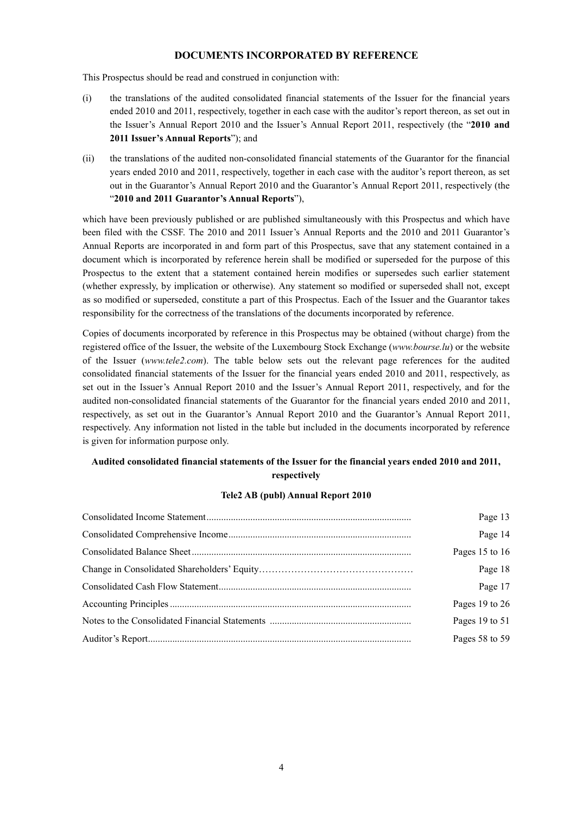#### **DOCUMENTS INCORPORATED BY REFERENCE**

This Prospectus should be read and construed in conjunction with:

- (i) the translations of the audited consolidated financial statements of the Issuer for the financial years ended 2010 and 2011, respectively, together in each case with the auditor's report thereon, as set out in the Issuer's Annual Report 2010 and the Issuer's Annual Report 2011, respectively (the "**2010 and 2011 Issuer's Annual Reports**"); and
- (ii) the translations of the audited non-consolidated financial statements of the Guarantor for the financial years ended 2010 and 2011, respectively, together in each case with the auditor's report thereon, as set out in the Guarantor's Annual Report 2010 and the Guarantor's Annual Report 2011, respectively (the "**2010 and 2011 Guarantor's Annual Reports**"),

which have been previously published or are published simultaneously with this Prospectus and which have been filed with the CSSF. The 2010 and 2011 Issuer's Annual Reports and the 2010 and 2011 Guarantor's Annual Reports are incorporated in and form part of this Prospectus, save that any statement contained in a document which is incorporated by reference herein shall be modified or superseded for the purpose of this Prospectus to the extent that a statement contained herein modifies or supersedes such earlier statement (whether expressly, by implication or otherwise). Any statement so modified or superseded shall not, except as so modified or superseded, constitute a part of this Prospectus. Each of the Issuer and the Guarantor takes responsibility for the correctness of the translations of the documents incorporated by reference.

Copies of documents incorporated by reference in this Prospectus may be obtained (without charge) from the registered office of the Issuer, the website of the Luxembourg Stock Exchange (*www.bourse.lu*) or the website of the Issuer (*www.tele2.com*). The table below sets out the relevant page references for the audited consolidated financial statements of the Issuer for the financial years ended 2010 and 2011, respectively, as set out in the Issuer's Annual Report 2010 and the Issuer's Annual Report 2011, respectively, and for the audited non-consolidated financial statements of the Guarantor for the financial years ended 2010 and 2011, respectively, as set out in the Guarantor's Annual Report 2010 and the Guarantor's Annual Report 2011, respectively. Any information not listed in the table but included in the documents incorporated by reference is given for information purpose only.

## **Audited consolidated financial statements of the Issuer for the financial years ended 2010 and 2011, respectively**

## **Tele2 AB (publ) Annual Report 2010**

| Page 13            |
|--------------------|
| Page 14            |
| Pages 15 to 16     |
| Page 18            |
| Page 17            |
| Pages 19 to $26$   |
| Pages $19$ to $51$ |
| Pages 58 to 59     |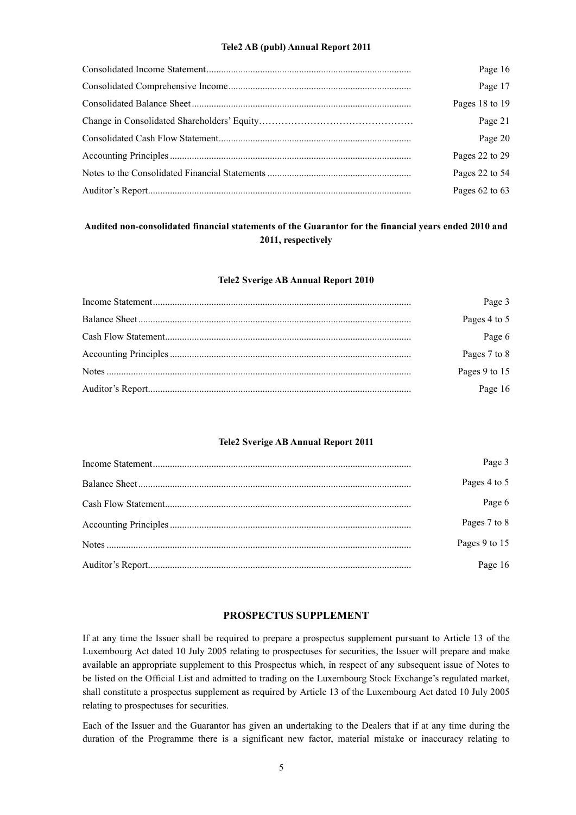#### **Tele2 AB (publ) Annual Report 2011**

| Page 16        |
|----------------|
| Page 17        |
| Pages 18 to 19 |
| Page 21        |
| Page 20        |
| Pages 22 to 29 |
| Pages 22 to 54 |
| Pages 62 to 63 |

## **Audited non-consolidated financial statements of the Guarantor for the financial years ended 2010 and 2011, respectively**

#### **Tele2 Sverige AB Annual Report 2010**

| Page 3        |
|---------------|
| Pages 4 to 5  |
| Page 6        |
| Pages 7 to 8  |
| Pages 9 to 15 |
| Page 16       |

#### **Tele2 Sverige AB Annual Report 2011**

| Page 3        |
|---------------|
| Pages 4 to 5  |
| Page 6        |
| Pages 7 to 8  |
| Pages 9 to 15 |
| Page 16       |

## **PROSPECTUS SUPPLEMENT**

If at any time the Issuer shall be required to prepare a prospectus supplement pursuant to Article 13 of the Luxembourg Act dated 10 July 2005 relating to prospectuses for securities, the Issuer will prepare and make available an appropriate supplement to this Prospectus which, in respect of any subsequent issue of Notes to be listed on the Official List and admitted to trading on the Luxembourg Stock Exchange's regulated market, shall constitute a prospectus supplement as required by Article 13 of the Luxembourg Act dated 10 July 2005 relating to prospectuses for securities.

Each of the Issuer and the Guarantor has given an undertaking to the Dealers that if at any time during the duration of the Programme there is a significant new factor, material mistake or inaccuracy relating to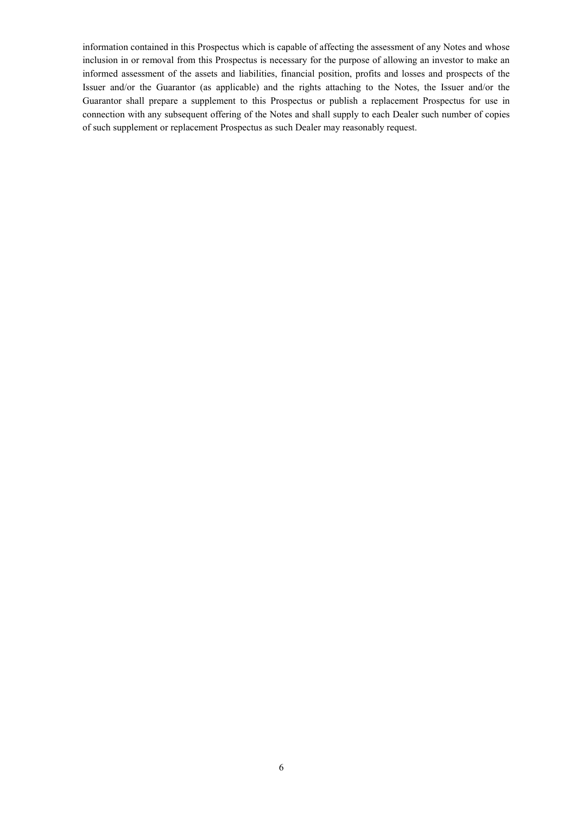information contained in this Prospectus which is capable of affecting the assessment of any Notes and whose inclusion in or removal from this Prospectus is necessary for the purpose of allowing an investor to make an informed assessment of the assets and liabilities, financial position, profits and losses and prospects of the Issuer and/or the Guarantor (as applicable) and the rights attaching to the Notes, the Issuer and/or the Guarantor shall prepare a supplement to this Prospectus or publish a replacement Prospectus for use in connection with any subsequent offering of the Notes and shall supply to each Dealer such number of copies of such supplement or replacement Prospectus as such Dealer may reasonably request.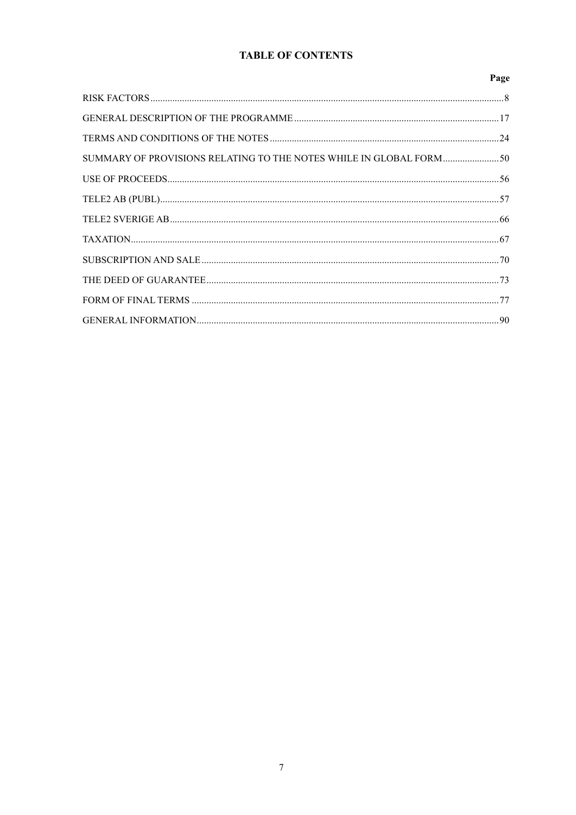# **TABLE OF CONTENTS**

|                                                                     | Page |
|---------------------------------------------------------------------|------|
|                                                                     |      |
|                                                                     |      |
|                                                                     |      |
| SUMMARY OF PROVISIONS RELATING TO THE NOTES WHILE IN GLOBAL FORM 50 |      |
|                                                                     |      |
|                                                                     |      |
|                                                                     |      |
|                                                                     |      |
|                                                                     |      |
|                                                                     |      |
|                                                                     |      |
|                                                                     |      |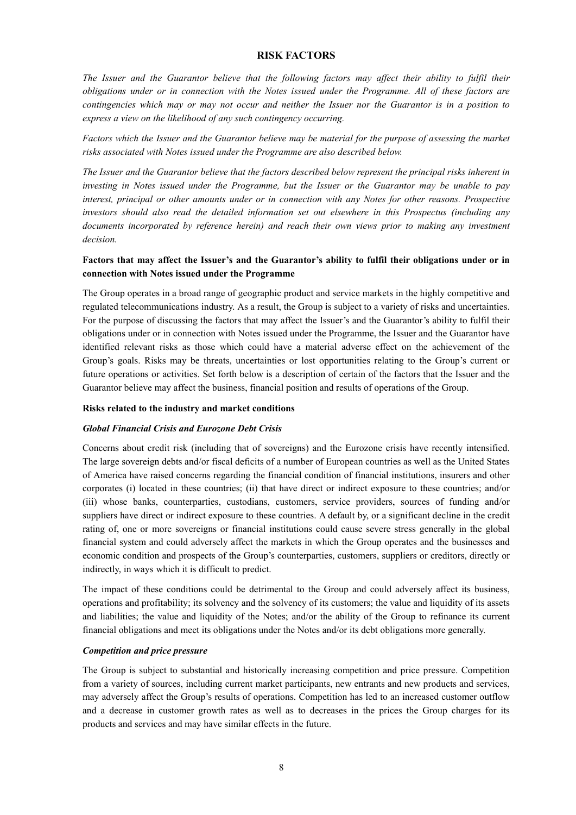#### **RISK FACTORS**

*The Issuer and the Guarantor believe that the following factors may affect their ability to fulfil their obligations under or in connection with the Notes issued under the Programme. All of these factors are contingencies which may or may not occur and neither the Issuer nor the Guarantor is in a position to express a view on the likelihood of any such contingency occurring.*

*Factors which the Issuer and the Guarantor believe may be material for the purpose of assessing the market risks associated with Notes issued under the Programme are also described below.* 

*The Issuer and the Guarantor believe that the factors described below represent the principal risks inherent in investing in Notes issued under the Programme, but the Issuer or the Guarantor may be unable to pay interest, principal or other amounts under or in connection with any Notes for other reasons. Prospective investors should also read the detailed information set out elsewhere in this Prospectus (including any documents incorporated by reference herein) and reach their own views prior to making any investment decision.* 

## **Factors that may affect the Issuer's and the Guarantor's ability to fulfil their obligations under or in connection with Notes issued under the Programme**

The Group operates in a broad range of geographic product and service markets in the highly competitive and regulated telecommunications industry. As a result, the Group is subject to a variety of risks and uncertainties. For the purpose of discussing the factors that may affect the Issuer's and the Guarantor's ability to fulfil their obligations under or in connection with Notes issued under the Programme, the Issuer and the Guarantor have identified relevant risks as those which could have a material adverse effect on the achievement of the Group's goals. Risks may be threats, uncertainties or lost opportunities relating to the Group's current or future operations or activities. Set forth below is a description of certain of the factors that the Issuer and the Guarantor believe may affect the business, financial position and results of operations of the Group.

#### **Risks related to the industry and market conditions**

#### *Global Financial Crisis and Eurozone Debt Crisis*

Concerns about credit risk (including that of sovereigns) and the Eurozone crisis have recently intensified. The large sovereign debts and/or fiscal deficits of a number of European countries as well as the United States of America have raised concerns regarding the financial condition of financial institutions, insurers and other corporates (i) located in these countries; (ii) that have direct or indirect exposure to these countries; and/or (iii) whose banks, counterparties, custodians, customers, service providers, sources of funding and/or suppliers have direct or indirect exposure to these countries. A default by, or a significant decline in the credit rating of, one or more sovereigns or financial institutions could cause severe stress generally in the global financial system and could adversely affect the markets in which the Group operates and the businesses and economic condition and prospects of the Group's counterparties, customers, suppliers or creditors, directly or indirectly, in ways which it is difficult to predict.

The impact of these conditions could be detrimental to the Group and could adversely affect its business, operations and profitability; its solvency and the solvency of its customers; the value and liquidity of its assets and liabilities; the value and liquidity of the Notes; and/or the ability of the Group to refinance its current financial obligations and meet its obligations under the Notes and/or its debt obligations more generally.

#### *Competition and price pressure*

The Group is subject to substantial and historically increasing competition and price pressure. Competition from a variety of sources, including current market participants, new entrants and new products and services, may adversely affect the Group's results of operations. Competition has led to an increased customer outflow and a decrease in customer growth rates as well as to decreases in the prices the Group charges for its products and services and may have similar effects in the future.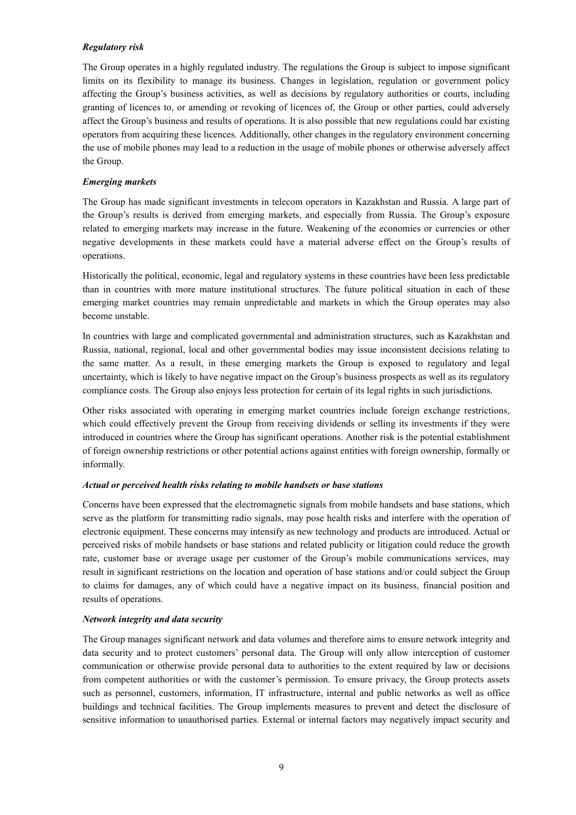## *Regulatory risk*

The Group operates in a highly regulated industry. The regulations the Group is subject to impose significant limits on its flexibility to manage its business. Changes in legislation, regulation or government policy affecting the Group's business activities, as well as decisions by regulatory authorities or courts, including granting of licences to, or amending or revoking of licences of, the Group or other parties, could adversely affect the Group's business and results of operations. It is also possible that new regulations could bar existing operators from acquiring these licences. Additionally, other changes in the regulatory environment concerning the use of mobile phones may lead to a reduction in the usage of mobile phones or otherwise adversely affect the Group.

#### *Emerging markets*

The Group has made significant investments in telecom operators in Kazakhstan and Russia. A large part of the Group's results is derived from emerging markets, and especially from Russia. The Group's exposure related to emerging markets may increase in the future. Weakening of the economies or currencies or other negative developments in these markets could have a material adverse effect on the Group's results of operations.

Historically the political, economic, legal and regulatory systems in these countries have been less predictable than in countries with more mature institutional structures. The future political situation in each of these emerging market countries may remain unpredictable and markets in which the Group operates may also become unstable.

In countries with large and complicated governmental and administration structures, such as Kazakhstan and Russia, national, regional, local and other governmental bodies may issue inconsistent decisions relating to the same matter. As a result, in these emerging markets the Group is exposed to regulatory and legal uncertainty, which is likely to have negative impact on the Group's business prospects as well as its regulatory compliance costs. The Group also enjoys less protection for certain of its legal rights in such jurisdictions.

Other risks associated with operating in emerging market countries include foreign exchange restrictions, which could effectively prevent the Group from receiving dividends or selling its investments if they were introduced in countries where the Group has significant operations. Another risk is the potential establishment of foreign ownership restrictions or other potential actions against entities with foreign ownership, formally or informally.

#### *Actual or perceived health risks relating to mobile handsets or base stations*

Concerns have been expressed that the electromagnetic signals from mobile handsets and base stations, which serve as the platform for transmitting radio signals, may pose health risks and interfere with the operation of electronic equipment. These concerns may intensify as new technology and products are introduced. Actual or perceived risks of mobile handsets or base stations and related publicity or litigation could reduce the growth rate, customer base or average usage per customer of the Group's mobile communications services, may result in significant restrictions on the location and operation of base stations and/or could subject the Group to claims for damages, any of which could have a negative impact on its business, financial position and results of operations.

#### *Network integrity and data security*

The Group manages significant network and data volumes and therefore aims to ensure network integrity and data security and to protect customers' personal data. The Group will only allow interception of customer communication or otherwise provide personal data to authorities to the extent required by law or decisions from competent authorities or with the customer's permission. To ensure privacy, the Group protects assets such as personnel, customers, information, IT infrastructure, internal and public networks as well as office buildings and technical facilities. The Group implements measures to prevent and detect the disclosure of sensitive information to unauthorised parties. External or internal factors may negatively impact security and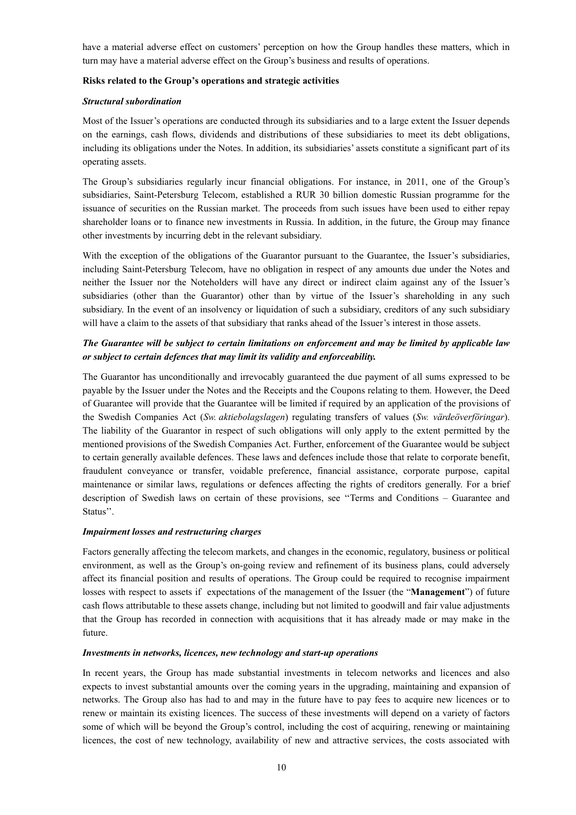have a material adverse effect on customers' perception on how the Group handles these matters, which in turn may have a material adverse effect on the Group's business and results of operations.

#### **Risks related to the Group's operations and strategic activities**

#### *Structural subordination*

Most of the Issuer's operations are conducted through its subsidiaries and to a large extent the Issuer depends on the earnings, cash flows, dividends and distributions of these subsidiaries to meet its debt obligations, including its obligations under the Notes. In addition, its subsidiaries' assets constitute a significant part of its operating assets.

The Group's subsidiaries regularly incur financial obligations. For instance, in 2011, one of the Group's subsidiaries, Saint-Petersburg Telecom, established a RUR 30 billion domestic Russian programme for the issuance of securities on the Russian market. The proceeds from such issues have been used to either repay shareholder loans or to finance new investments in Russia. In addition, in the future, the Group may finance other investments by incurring debt in the relevant subsidiary.

With the exception of the obligations of the Guarantor pursuant to the Guarantee, the Issuer's subsidiaries, including Saint-Petersburg Telecom, have no obligation in respect of any amounts due under the Notes and neither the Issuer nor the Noteholders will have any direct or indirect claim against any of the Issuer's subsidiaries (other than the Guarantor) other than by virtue of the Issuer's shareholding in any such subsidiary. In the event of an insolvency or liquidation of such a subsidiary, creditors of any such subsidiary will have a claim to the assets of that subsidiary that ranks ahead of the Issuer's interest in those assets.

## *The Guarantee will be subject to certain limitations on enforcement and may be limited by applicable law or subject to certain defences that may limit its validity and enforceability.*

The Guarantor has unconditionally and irrevocably guaranteed the due payment of all sums expressed to be payable by the Issuer under the Notes and the Receipts and the Coupons relating to them. However, the Deed of Guarantee will provide that the Guarantee will be limited if required by an application of the provisions of the Swedish Companies Act (*Sw. aktiebolagslagen*) regulating transfers of values (*Sw. värdeöverföringar*). The liability of the Guarantor in respect of such obligations will only apply to the extent permitted by the mentioned provisions of the Swedish Companies Act. Further, enforcement of the Guarantee would be subject to certain generally available defences. These laws and defences include those that relate to corporate benefit, fraudulent conveyance or transfer, voidable preference, financial assistance, corporate purpose, capital maintenance or similar laws, regulations or defences affecting the rights of creditors generally. For a brief description of Swedish laws on certain of these provisions, see ''Terms and Conditions – Guarantee and Status''.

#### *Impairment losses and restructuring charges*

Factors generally affecting the telecom markets, and changes in the economic, regulatory, business or political environment, as well as the Group's on-going review and refinement of its business plans, could adversely affect its financial position and results of operations. The Group could be required to recognise impairment losses with respect to assets if expectations of the management of the Issuer (the "**Management**") of future cash flows attributable to these assets change, including but not limited to goodwill and fair value adjustments that the Group has recorded in connection with acquisitions that it has already made or may make in the future.

#### *Investments in networks, licences, new technology and start-up operations*

In recent years, the Group has made substantial investments in telecom networks and licences and also expects to invest substantial amounts over the coming years in the upgrading, maintaining and expansion of networks. The Group also has had to and may in the future have to pay fees to acquire new licences or to renew or maintain its existing licences. The success of these investments will depend on a variety of factors some of which will be beyond the Group's control, including the cost of acquiring, renewing or maintaining licences, the cost of new technology, availability of new and attractive services, the costs associated with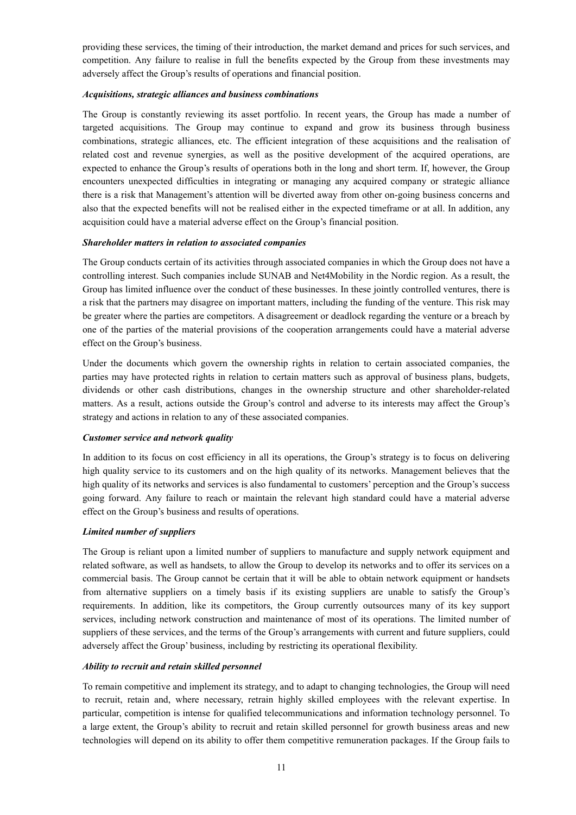providing these services, the timing of their introduction, the market demand and prices for such services, and competition. Any failure to realise in full the benefits expected by the Group from these investments may adversely affect the Group's results of operations and financial position.

#### *Acquisitions, strategic alliances and business combinations*

The Group is constantly reviewing its asset portfolio. In recent years, the Group has made a number of targeted acquisitions. The Group may continue to expand and grow its business through business combinations, strategic alliances, etc. The efficient integration of these acquisitions and the realisation of related cost and revenue synergies, as well as the positive development of the acquired operations, are expected to enhance the Group's results of operations both in the long and short term. If, however, the Group encounters unexpected difficulties in integrating or managing any acquired company or strategic alliance there is a risk that Management's attention will be diverted away from other on-going business concerns and also that the expected benefits will not be realised either in the expected timeframe or at all. In addition, any acquisition could have a material adverse effect on the Group's financial position.

#### *Shareholder matters in relation to associated companies*

The Group conducts certain of its activities through associated companies in which the Group does not have a controlling interest. Such companies include SUNAB and Net4Mobility in the Nordic region. As a result, the Group has limited influence over the conduct of these businesses. In these jointly controlled ventures, there is a risk that the partners may disagree on important matters, including the funding of the venture. This risk may be greater where the parties are competitors. A disagreement or deadlock regarding the venture or a breach by one of the parties of the material provisions of the cooperation arrangements could have a material adverse effect on the Group's business.

Under the documents which govern the ownership rights in relation to certain associated companies, the parties may have protected rights in relation to certain matters such as approval of business plans, budgets, dividends or other cash distributions, changes in the ownership structure and other shareholder-related matters. As a result, actions outside the Group's control and adverse to its interests may affect the Group's strategy and actions in relation to any of these associated companies.

#### *Customer service and network quality*

In addition to its focus on cost efficiency in all its operations, the Group's strategy is to focus on delivering high quality service to its customers and on the high quality of its networks. Management believes that the high quality of its networks and services is also fundamental to customers' perception and the Group's success going forward. Any failure to reach or maintain the relevant high standard could have a material adverse effect on the Group's business and results of operations.

#### *Limited number of suppliers*

The Group is reliant upon a limited number of suppliers to manufacture and supply network equipment and related software, as well as handsets, to allow the Group to develop its networks and to offer its services on a commercial basis. The Group cannot be certain that it will be able to obtain network equipment or handsets from alternative suppliers on a timely basis if its existing suppliers are unable to satisfy the Group's requirements. In addition, like its competitors, the Group currently outsources many of its key support services, including network construction and maintenance of most of its operations. The limited number of suppliers of these services, and the terms of the Group's arrangements with current and future suppliers, could adversely affect the Group' business, including by restricting its operational flexibility.

#### *Ability to recruit and retain skilled personnel*

To remain competitive and implement its strategy, and to adapt to changing technologies, the Group will need to recruit, retain and, where necessary, retrain highly skilled employees with the relevant expertise. In particular, competition is intense for qualified telecommunications and information technology personnel. To a large extent, the Group's ability to recruit and retain skilled personnel for growth business areas and new technologies will depend on its ability to offer them competitive remuneration packages. If the Group fails to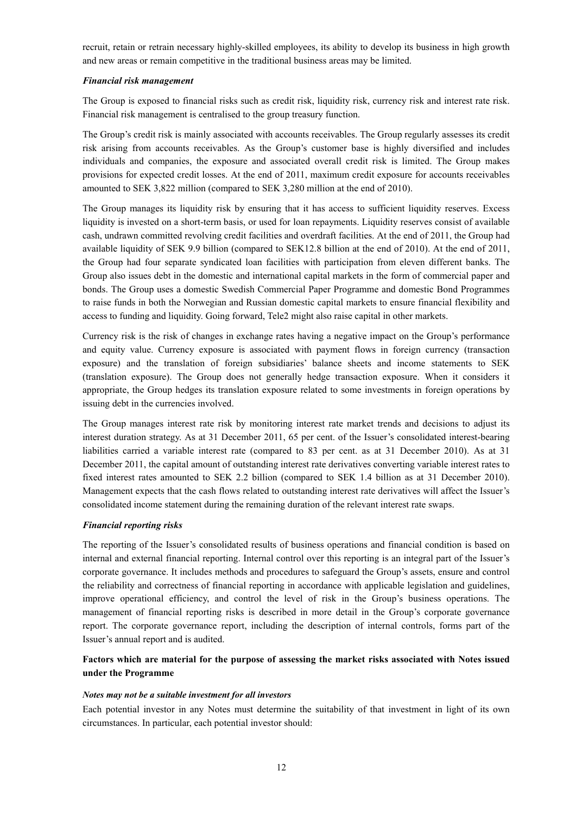recruit, retain or retrain necessary highly-skilled employees, its ability to develop its business in high growth and new areas or remain competitive in the traditional business areas may be limited.

#### *Financial risk management*

The Group is exposed to financial risks such as credit risk, liquidity risk, currency risk and interest rate risk. Financial risk management is centralised to the group treasury function.

The Group's credit risk is mainly associated with accounts receivables. The Group regularly assesses its credit risk arising from accounts receivables. As the Group's customer base is highly diversified and includes individuals and companies, the exposure and associated overall credit risk is limited. The Group makes provisions for expected credit losses. At the end of 2011, maximum credit exposure for accounts receivables amounted to SEK 3,822 million (compared to SEK 3,280 million at the end of 2010).

The Group manages its liquidity risk by ensuring that it has access to sufficient liquidity reserves. Excess liquidity is invested on a short-term basis, or used for loan repayments. Liquidity reserves consist of available cash, undrawn committed revolving credit facilities and overdraft facilities. At the end of 2011, the Group had available liquidity of SEK 9.9 billion (compared to SEK12.8 billion at the end of 2010). At the end of 2011, the Group had four separate syndicated loan facilities with participation from eleven different banks. The Group also issues debt in the domestic and international capital markets in the form of commercial paper and bonds. The Group uses a domestic Swedish Commercial Paper Programme and domestic Bond Programmes to raise funds in both the Norwegian and Russian domestic capital markets to ensure financial flexibility and access to funding and liquidity. Going forward, Tele2 might also raise capital in other markets.

Currency risk is the risk of changes in exchange rates having a negative impact on the Group's performance and equity value. Currency exposure is associated with payment flows in foreign currency (transaction exposure) and the translation of foreign subsidiaries' balance sheets and income statements to SEK (translation exposure). The Group does not generally hedge transaction exposure. When it considers it appropriate, the Group hedges its translation exposure related to some investments in foreign operations by issuing debt in the currencies involved.

The Group manages interest rate risk by monitoring interest rate market trends and decisions to adjust its interest duration strategy. As at 31 December 2011, 65 per cent. of the Issuer's consolidated interest-bearing liabilities carried a variable interest rate (compared to 83 per cent. as at 31 December 2010). As at 31 December 2011, the capital amount of outstanding interest rate derivatives converting variable interest rates to fixed interest rates amounted to SEK 2.2 billion (compared to SEK 1.4 billion as at 31 December 2010). Management expects that the cash flows related to outstanding interest rate derivatives will affect the Issuer's consolidated income statement during the remaining duration of the relevant interest rate swaps.

#### *Financial reporting risks*

The reporting of the Issuer's consolidated results of business operations and financial condition is based on internal and external financial reporting. Internal control over this reporting is an integral part of the Issuer's corporate governance. It includes methods and procedures to safeguard the Group's assets, ensure and control the reliability and correctness of financial reporting in accordance with applicable legislation and guidelines, improve operational efficiency, and control the level of risk in the Group's business operations. The management of financial reporting risks is described in more detail in the Group's corporate governance report. The corporate governance report, including the description of internal controls, forms part of the Issuer's annual report and is audited.

## **Factors which are material for the purpose of assessing the market risks associated with Notes issued under the Programme**

#### *Notes may not be a suitable investment for all investors*

Each potential investor in any Notes must determine the suitability of that investment in light of its own circumstances. In particular, each potential investor should: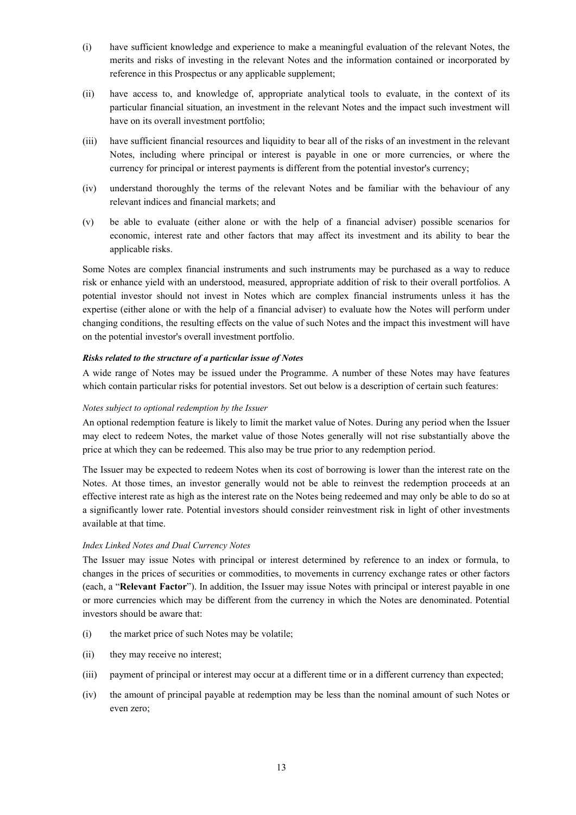- (i) have sufficient knowledge and experience to make a meaningful evaluation of the relevant Notes, the merits and risks of investing in the relevant Notes and the information contained or incorporated by reference in this Prospectus or any applicable supplement;
- (ii) have access to, and knowledge of, appropriate analytical tools to evaluate, in the context of its particular financial situation, an investment in the relevant Notes and the impact such investment will have on its overall investment portfolio;
- (iii) have sufficient financial resources and liquidity to bear all of the risks of an investment in the relevant Notes, including where principal or interest is payable in one or more currencies, or where the currency for principal or interest payments is different from the potential investor's currency;
- (iv) understand thoroughly the terms of the relevant Notes and be familiar with the behaviour of any relevant indices and financial markets; and
- (v) be able to evaluate (either alone or with the help of a financial adviser) possible scenarios for economic, interest rate and other factors that may affect its investment and its ability to bear the applicable risks.

Some Notes are complex financial instruments and such instruments may be purchased as a way to reduce risk or enhance yield with an understood, measured, appropriate addition of risk to their overall portfolios. A potential investor should not invest in Notes which are complex financial instruments unless it has the expertise (either alone or with the help of a financial adviser) to evaluate how the Notes will perform under changing conditions, the resulting effects on the value of such Notes and the impact this investment will have on the potential investor's overall investment portfolio.

#### *Risks related to the structure of a particular issue of Notes*

A wide range of Notes may be issued under the Programme. A number of these Notes may have features which contain particular risks for potential investors. Set out below is a description of certain such features:

#### *Notes subject to optional redemption by the Issuer*

An optional redemption feature is likely to limit the market value of Notes. During any period when the Issuer may elect to redeem Notes, the market value of those Notes generally will not rise substantially above the price at which they can be redeemed. This also may be true prior to any redemption period.

The Issuer may be expected to redeem Notes when its cost of borrowing is lower than the interest rate on the Notes. At those times, an investor generally would not be able to reinvest the redemption proceeds at an effective interest rate as high as the interest rate on the Notes being redeemed and may only be able to do so at a significantly lower rate. Potential investors should consider reinvestment risk in light of other investments available at that time.

#### *Index Linked Notes and Dual Currency Notes*

The Issuer may issue Notes with principal or interest determined by reference to an index or formula, to changes in the prices of securities or commodities, to movements in currency exchange rates or other factors (each, a "**Relevant Factor**"). In addition, the Issuer may issue Notes with principal or interest payable in one or more currencies which may be different from the currency in which the Notes are denominated. Potential investors should be aware that:

- (i) the market price of such Notes may be volatile;
- (ii) they may receive no interest;
- (iii) payment of principal or interest may occur at a different time or in a different currency than expected;
- (iv) the amount of principal payable at redemption may be less than the nominal amount of such Notes or even zero;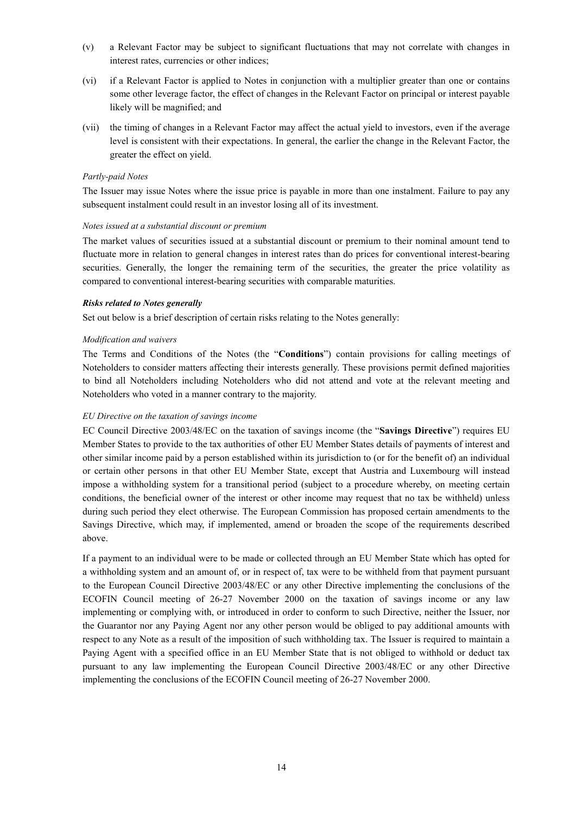- (v) a Relevant Factor may be subject to significant fluctuations that may not correlate with changes in interest rates, currencies or other indices;
- (vi) if a Relevant Factor is applied to Notes in conjunction with a multiplier greater than one or contains some other leverage factor, the effect of changes in the Relevant Factor on principal or interest payable likely will be magnified; and
- (vii) the timing of changes in a Relevant Factor may affect the actual yield to investors, even if the average level is consistent with their expectations. In general, the earlier the change in the Relevant Factor, the greater the effect on yield.

#### *Partly-paid Notes*

The Issuer may issue Notes where the issue price is payable in more than one instalment. Failure to pay any subsequent instalment could result in an investor losing all of its investment.

#### *Notes issued at a substantial discount or premium*

The market values of securities issued at a substantial discount or premium to their nominal amount tend to fluctuate more in relation to general changes in interest rates than do prices for conventional interest-bearing securities. Generally, the longer the remaining term of the securities, the greater the price volatility as compared to conventional interest-bearing securities with comparable maturities.

#### *Risks related to Notes generally*

Set out below is a brief description of certain risks relating to the Notes generally:

#### *Modification and waivers*

The Terms and Conditions of the Notes (the "**Conditions**") contain provisions for calling meetings of Noteholders to consider matters affecting their interests generally. These provisions permit defined majorities to bind all Noteholders including Noteholders who did not attend and vote at the relevant meeting and Noteholders who voted in a manner contrary to the majority.

#### *EU Directive on the taxation of savings income*

EC Council Directive 2003/48/EC on the taxation of savings income (the "**Savings Directive**") requires EU Member States to provide to the tax authorities of other EU Member States details of payments of interest and other similar income paid by a person established within its jurisdiction to (or for the benefit of) an individual or certain other persons in that other EU Member State, except that Austria and Luxembourg will instead impose a withholding system for a transitional period (subject to a procedure whereby, on meeting certain conditions, the beneficial owner of the interest or other income may request that no tax be withheld) unless during such period they elect otherwise. The European Commission has proposed certain amendments to the Savings Directive, which may, if implemented, amend or broaden the scope of the requirements described above.

If a payment to an individual were to be made or collected through an EU Member State which has opted for a withholding system and an amount of, or in respect of, tax were to be withheld from that payment pursuant to the European Council Directive 2003/48/EC or any other Directive implementing the conclusions of the ECOFIN Council meeting of 26-27 November 2000 on the taxation of savings income or any law implementing or complying with, or introduced in order to conform to such Directive, neither the Issuer, nor the Guarantor nor any Paying Agent nor any other person would be obliged to pay additional amounts with respect to any Note as a result of the imposition of such withholding tax. The Issuer is required to maintain a Paying Agent with a specified office in an EU Member State that is not obliged to withhold or deduct tax pursuant to any law implementing the European Council Directive 2003/48/EC or any other Directive implementing the conclusions of the ECOFIN Council meeting of 26-27 November 2000.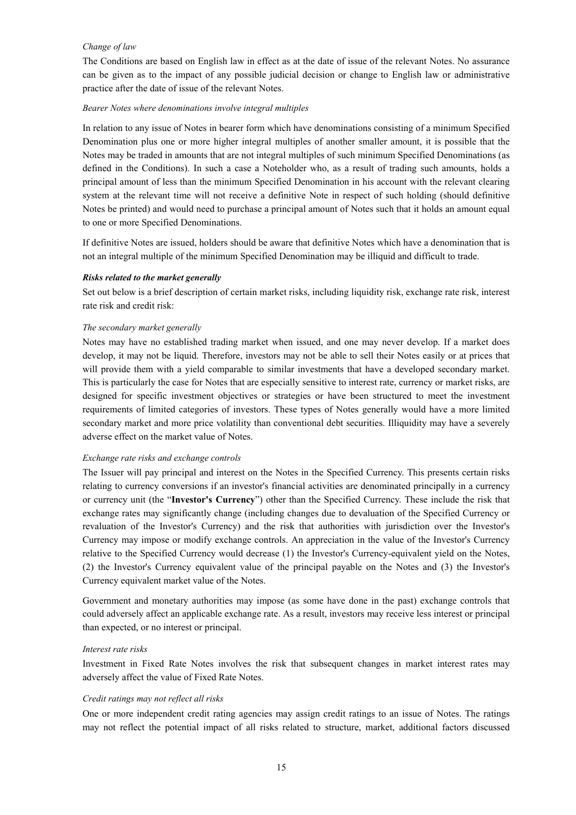#### *Change of law*

The Conditions are based on English law in effect as at the date of issue of the relevant Notes. No assurance can be given as to the impact of any possible judicial decision or change to English law or administrative practice after the date of issue of the relevant Notes.

#### *Bearer Notes where denominations involve integral multiples*

In relation to any issue of Notes in bearer form which have denominations consisting of a minimum Specified Denomination plus one or more higher integral multiples of another smaller amount, it is possible that the Notes may be traded in amounts that are not integral multiples of such minimum Specified Denominations (as defined in the Conditions). In such a case a Noteholder who, as a result of trading such amounts, holds a principal amount of less than the minimum Specified Denomination in his account with the relevant clearing system at the relevant time will not receive a definitive Note in respect of such holding (should definitive Notes be printed) and would need to purchase a principal amount of Notes such that it holds an amount equal to one or more Specified Denominations.

If definitive Notes are issued, holders should be aware that definitive Notes which have a denomination that is not an integral multiple of the minimum Specified Denomination may be illiquid and difficult to trade.

#### *Risks related to the market generally*

Set out below is a brief description of certain market risks, including liquidity risk, exchange rate risk, interest rate risk and credit risk:

#### *The secondary market generally*

Notes may have no established trading market when issued, and one may never develop. If a market does develop, it may not be liquid. Therefore, investors may not be able to sell their Notes easily or at prices that will provide them with a yield comparable to similar investments that have a developed secondary market. This is particularly the case for Notes that are especially sensitive to interest rate, currency or market risks, are designed for specific investment objectives or strategies or have been structured to meet the investment requirements of limited categories of investors. These types of Notes generally would have a more limited secondary market and more price volatility than conventional debt securities. Illiquidity may have a severely adverse effect on the market value of Notes.

#### *Exchange rate risks and exchange controls*

The Issuer will pay principal and interest on the Notes in the Specified Currency. This presents certain risks relating to currency conversions if an investor's financial activities are denominated principally in a currency or currency unit (the "**Investor's Currency**") other than the Specified Currency. These include the risk that exchange rates may significantly change (including changes due to devaluation of the Specified Currency or revaluation of the Investor's Currency) and the risk that authorities with jurisdiction over the Investor's Currency may impose or modify exchange controls. An appreciation in the value of the Investor's Currency relative to the Specified Currency would decrease (1) the Investor's Currency-equivalent yield on the Notes, (2) the Investor's Currency equivalent value of the principal payable on the Notes and (3) the Investor's Currency equivalent market value of the Notes.

Government and monetary authorities may impose (as some have done in the past) exchange controls that could adversely affect an applicable exchange rate. As a result, investors may receive less interest or principal than expected, or no interest or principal.

#### *Interest rate risks*

Investment in Fixed Rate Notes involves the risk that subsequent changes in market interest rates may adversely affect the value of Fixed Rate Notes.

#### *Credit ratings may not reflect all risks*

One or more independent credit rating agencies may assign credit ratings to an issue of Notes. The ratings may not reflect the potential impact of all risks related to structure, market, additional factors discussed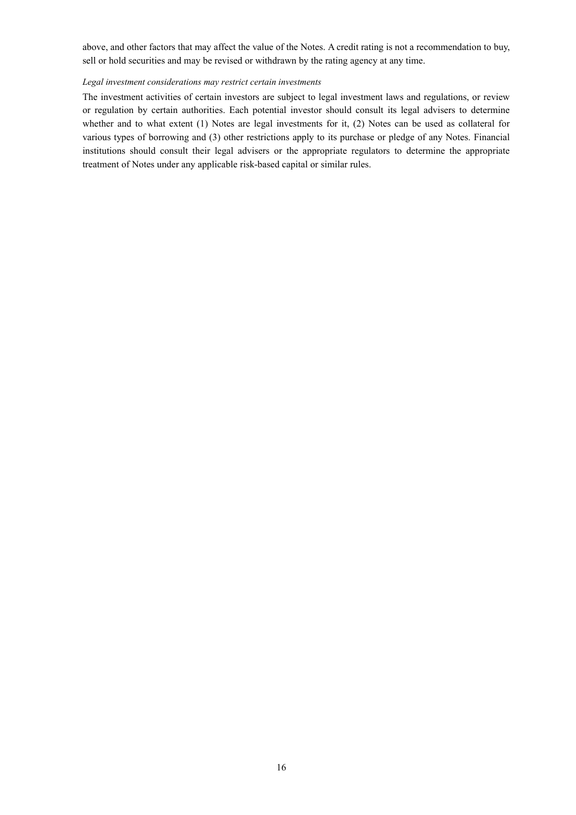above, and other factors that may affect the value of the Notes. A credit rating is not a recommendation to buy, sell or hold securities and may be revised or withdrawn by the rating agency at any time.

#### *Legal investment considerations may restrict certain investments*

The investment activities of certain investors are subject to legal investment laws and regulations, or review or regulation by certain authorities. Each potential investor should consult its legal advisers to determine whether and to what extent (1) Notes are legal investments for it, (2) Notes can be used as collateral for various types of borrowing and (3) other restrictions apply to its purchase or pledge of any Notes. Financial institutions should consult their legal advisers or the appropriate regulators to determine the appropriate treatment of Notes under any applicable risk-based capital or similar rules.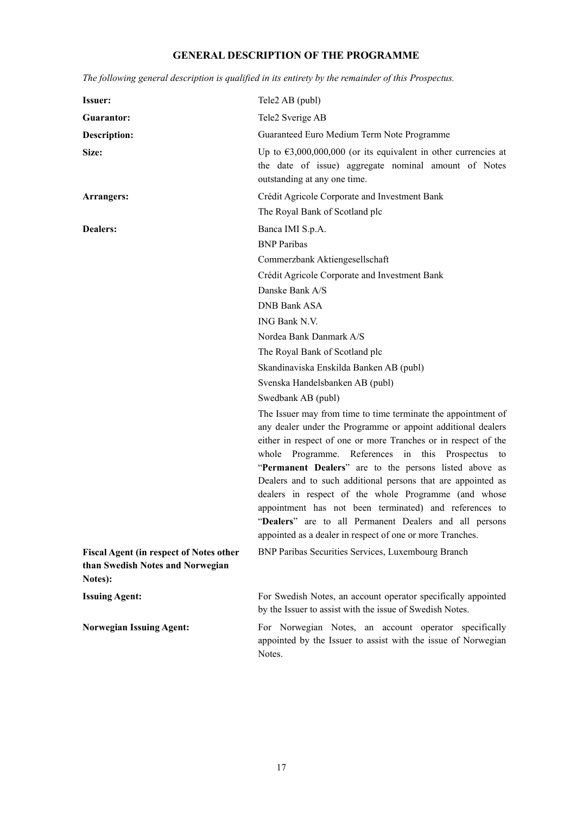# **GENERAL DESCRIPTION OF THE PROGRAMME**

| <b>Issuer:</b>                                                                                | Tele2 AB (publ)                                                                                                                                                                                                                                                                                                                                                                                                                                                                                                                                                                                                            |
|-----------------------------------------------------------------------------------------------|----------------------------------------------------------------------------------------------------------------------------------------------------------------------------------------------------------------------------------------------------------------------------------------------------------------------------------------------------------------------------------------------------------------------------------------------------------------------------------------------------------------------------------------------------------------------------------------------------------------------------|
| <b>Guarantor:</b>                                                                             | Tele2 Sverige AB                                                                                                                                                                                                                                                                                                                                                                                                                                                                                                                                                                                                           |
| <b>Description:</b>                                                                           | Guaranteed Euro Medium Term Note Programme                                                                                                                                                                                                                                                                                                                                                                                                                                                                                                                                                                                 |
| Size:                                                                                         | Up to $\epsilon$ 3,000,000,000 (or its equivalent in other currencies at<br>the date of issue) aggregate nominal amount of Notes<br>outstanding at any one time.                                                                                                                                                                                                                                                                                                                                                                                                                                                           |
| Arrangers:                                                                                    | Crédit Agricole Corporate and Investment Bank                                                                                                                                                                                                                                                                                                                                                                                                                                                                                                                                                                              |
|                                                                                               | The Royal Bank of Scotland plc                                                                                                                                                                                                                                                                                                                                                                                                                                                                                                                                                                                             |
| <b>Dealers:</b>                                                                               | Banca IMI S.p.A.                                                                                                                                                                                                                                                                                                                                                                                                                                                                                                                                                                                                           |
|                                                                                               | <b>BNP</b> Paribas                                                                                                                                                                                                                                                                                                                                                                                                                                                                                                                                                                                                         |
|                                                                                               | Commerzbank Aktiengesellschaft                                                                                                                                                                                                                                                                                                                                                                                                                                                                                                                                                                                             |
|                                                                                               | Crédit Agricole Corporate and Investment Bank                                                                                                                                                                                                                                                                                                                                                                                                                                                                                                                                                                              |
|                                                                                               | Danske Bank A/S                                                                                                                                                                                                                                                                                                                                                                                                                                                                                                                                                                                                            |
|                                                                                               | <b>DNB Bank ASA</b>                                                                                                                                                                                                                                                                                                                                                                                                                                                                                                                                                                                                        |
|                                                                                               | ING Bank N.V.                                                                                                                                                                                                                                                                                                                                                                                                                                                                                                                                                                                                              |
|                                                                                               | Nordea Bank Danmark A/S                                                                                                                                                                                                                                                                                                                                                                                                                                                                                                                                                                                                    |
|                                                                                               | The Royal Bank of Scotland plc                                                                                                                                                                                                                                                                                                                                                                                                                                                                                                                                                                                             |
|                                                                                               | Skandinaviska Enskilda Banken AB (publ)                                                                                                                                                                                                                                                                                                                                                                                                                                                                                                                                                                                    |
|                                                                                               | Svenska Handelsbanken AB (publ)                                                                                                                                                                                                                                                                                                                                                                                                                                                                                                                                                                                            |
|                                                                                               | Swedbank AB (publ)                                                                                                                                                                                                                                                                                                                                                                                                                                                                                                                                                                                                         |
|                                                                                               | The Issuer may from time to time terminate the appointment of<br>any dealer under the Programme or appoint additional dealers<br>either in respect of one or more Tranches or in respect of the<br>whole Programme. References in this Prospectus<br>to<br>"Permanent Dealers" are to the persons listed above as<br>Dealers and to such additional persons that are appointed as<br>dealers in respect of the whole Programme (and whose<br>appointment has not been terminated) and references to<br>"Dealers" are to all Permanent Dealers and all persons<br>appointed as a dealer in respect of one or more Tranches. |
| <b>Fiscal Agent (in respect of Notes other</b><br>than Swedish Notes and Norwegian<br>Notes): | BNP Paribas Securities Services, Luxembourg Branch                                                                                                                                                                                                                                                                                                                                                                                                                                                                                                                                                                         |
| <b>Issuing Agent:</b>                                                                         | For Swedish Notes, an account operator specifically appointed<br>by the Issuer to assist with the issue of Swedish Notes.                                                                                                                                                                                                                                                                                                                                                                                                                                                                                                  |
| <b>Norwegian Issuing Agent:</b>                                                               | For Norwegian Notes, an account operator specifically<br>appointed by the Issuer to assist with the issue of Norwegian<br>Notes.                                                                                                                                                                                                                                                                                                                                                                                                                                                                                           |

*The following general description is qualified in its entirety by the remainder of this Prospectus.*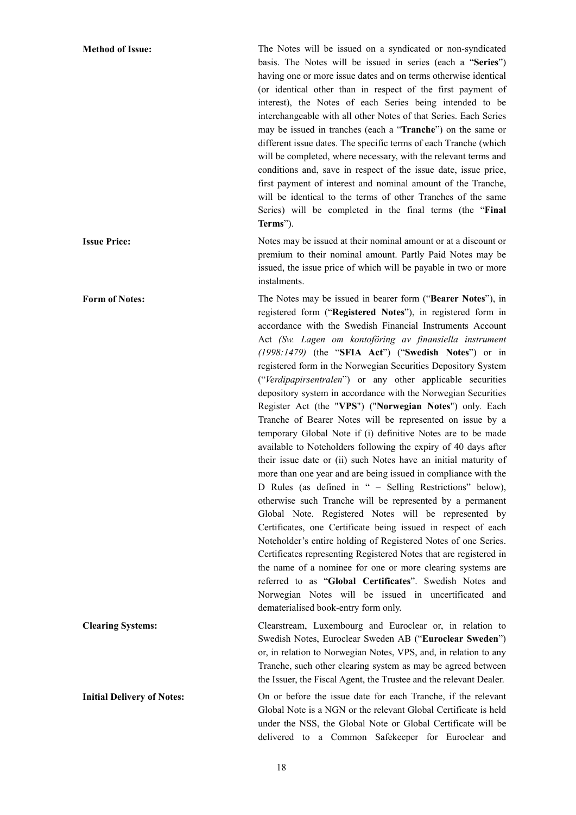**Method of Issue:** The Notes will be issued on a syndicated or non-syndicated basis. The Notes will be issued in series (each a "**Series**") having one or more issue dates and on terms otherwise identical (or identical other than in respect of the first payment of interest), the Notes of each Series being intended to be interchangeable with all other Notes of that Series. Each Series may be issued in tranches (each a "**Tranche**") on the same or different issue dates. The specific terms of each Tranche (which will be completed, where necessary, with the relevant terms and conditions and, save in respect of the issue date, issue price, first payment of interest and nominal amount of the Tranche, will be identical to the terms of other Tranches of the same Series) will be completed in the final terms (the "**Final Terms**").

**Issue Price:** Notes may be issued at their nominal amount or at a discount or premium to their nominal amount. Partly Paid Notes may be issued, the issue price of which will be payable in two or more instalments.

**Form of Notes:** The Notes may be issued in bearer form ("**Bearer Notes**"), in registered form ("**Registered Notes**"), in registered form in accordance with the Swedish Financial Instruments Account Act *(Sw. Lagen om kontoföring av finansiella instrument (1998:1479)* (the "**SFIA Act**") ("**Swedish Notes**") or in registered form in the Norwegian Securities Depository System ("*Verdipapirsentralen*") or any other applicable securities depository system in accordance with the Norwegian Securities Register Act (the "**VPS**") ("**Norwegian Notes**") only. Each Tranche of Bearer Notes will be represented on issue by a temporary Global Note if (i) definitive Notes are to be made available to Noteholders following the expiry of 40 days after their issue date or (ii) such Notes have an initial maturity of more than one year and are being issued in compliance with the D Rules (as defined in " – Selling Restrictions" below), otherwise such Tranche will be represented by a permanent Global Note. Registered Notes will be represented by Certificates, one Certificate being issued in respect of each Noteholder's entire holding of Registered Notes of one Series. Certificates representing Registered Notes that are registered in the name of a nominee for one or more clearing systems are referred to as "**Global Certificates**". Swedish Notes and Norwegian Notes will be issued in uncertificated and dematerialised book-entry form only.

**Clearing Systems:** Clearstream, Luxembourg and Euroclear or, in relation to Swedish Notes, Euroclear Sweden AB ("**Euroclear Sweden**") or, in relation to Norwegian Notes, VPS, and, in relation to any Tranche, such other clearing system as may be agreed between the Issuer, the Fiscal Agent, the Trustee and the relevant Dealer.

**Initial Delivery of Notes:** On or before the issue date for each Tranche, if the relevant Global Note is a NGN or the relevant Global Certificate is held under the NSS, the Global Note or Global Certificate will be delivered to a Common Safekeeper for Euroclear and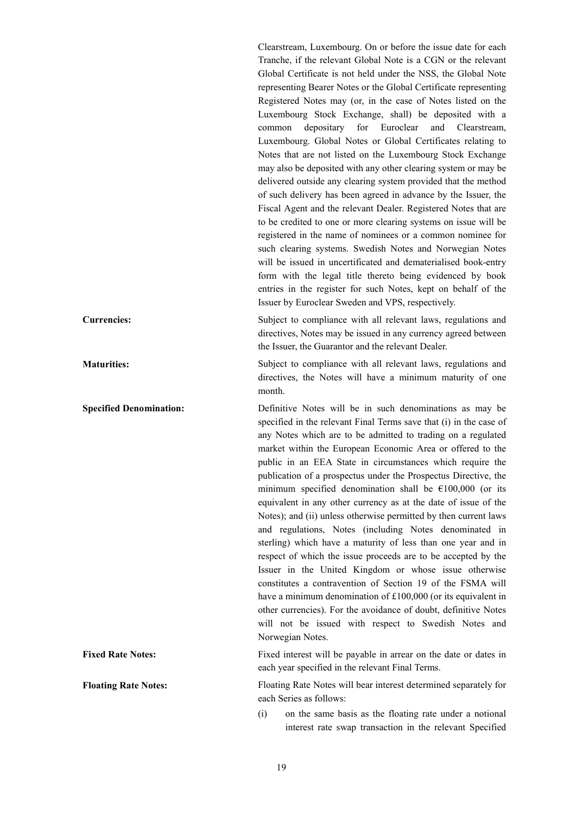Clearstream, Luxembourg. On or before the issue date for each Tranche, if the relevant Global Note is a CGN or the relevant Global Certificate is not held under the NSS, the Global Note representing Bearer Notes or the Global Certificate representing Registered Notes may (or, in the case of Notes listed on the Luxembourg Stock Exchange, shall) be deposited with a common depositary for Euroclear and Clearstream, Luxembourg. Global Notes or Global Certificates relating to Notes that are not listed on the Luxembourg Stock Exchange may also be deposited with any other clearing system or may be delivered outside any clearing system provided that the method of such delivery has been agreed in advance by the Issuer, the Fiscal Agent and the relevant Dealer. Registered Notes that are to be credited to one or more clearing systems on issue will be registered in the name of nominees or a common nominee for such clearing systems. Swedish Notes and Norwegian Notes will be issued in uncertificated and dematerialised book-entry form with the legal title thereto being evidenced by book entries in the register for such Notes, kept on behalf of the Issuer by Euroclear Sweden and VPS, respectively.

**Currencies:** Subject to compliance with all relevant laws, regulations and directives, Notes may be issued in any currency agreed between the Issuer, the Guarantor and the relevant Dealer.

**Maturities:** Subject to compliance with all relevant laws, regulations and directives, the Notes will have a minimum maturity of one month.

**Specified Denomination:** Definitive Notes will be in such denominations as may be specified in the relevant Final Terms save that (i) in the case of any Notes which are to be admitted to trading on a regulated market within the European Economic Area or offered to the public in an EEA State in circumstances which require the publication of a prospectus under the Prospectus Directive, the minimum specified denomination shall be  $£100,000$  (or its equivalent in any other currency as at the date of issue of the Notes); and (ii) unless otherwise permitted by then current laws and regulations, Notes (including Notes denominated in sterling) which have a maturity of less than one year and in respect of which the issue proceeds are to be accepted by the Issuer in the United Kingdom or whose issue otherwise constitutes a contravention of Section 19 of the FSMA will have a minimum denomination of £100,000 (or its equivalent in other currencies). For the avoidance of doubt, definitive Notes will not be issued with respect to Swedish Notes and Norwegian Notes.

**Fixed Rate Notes:** Fixed interest will be payable in arrear on the date or dates in each year specified in the relevant Final Terms.

**Floating Rate Notes:** Floating Rate Notes will bear interest determined separately for each Series as follows:

> (i) on the same basis as the floating rate under a notional interest rate swap transaction in the relevant Specified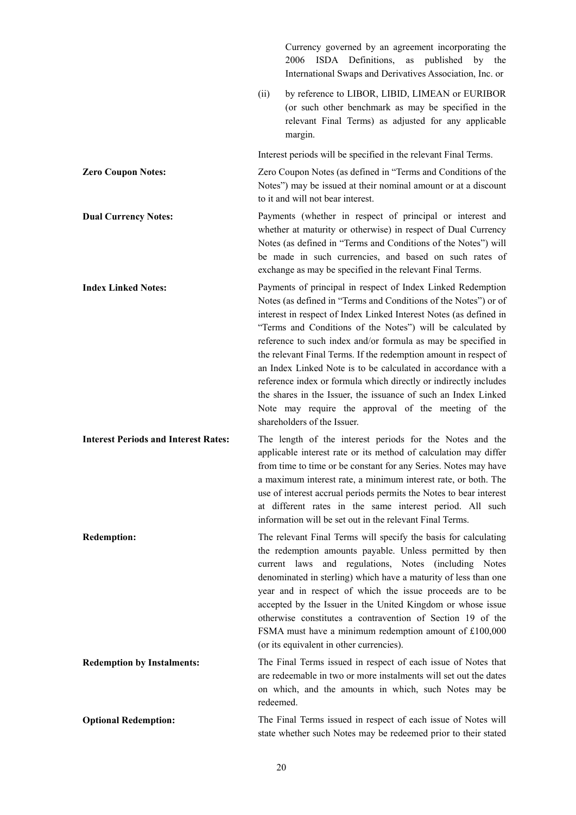|                                             |           | Currency governed by an agreement incorporating the<br>ISDA Definitions,<br>2006<br>as published<br>by the<br>International Swaps and Derivatives Association, Inc. or                                                                                                                                                                                                                                                                                                                                                                                                                                                                                                                              |
|---------------------------------------------|-----------|-----------------------------------------------------------------------------------------------------------------------------------------------------------------------------------------------------------------------------------------------------------------------------------------------------------------------------------------------------------------------------------------------------------------------------------------------------------------------------------------------------------------------------------------------------------------------------------------------------------------------------------------------------------------------------------------------------|
|                                             | (ii)      | by reference to LIBOR, LIBID, LIMEAN or EURIBOR<br>(or such other benchmark as may be specified in the<br>relevant Final Terms) as adjusted for any applicable<br>margin.                                                                                                                                                                                                                                                                                                                                                                                                                                                                                                                           |
|                                             |           | Interest periods will be specified in the relevant Final Terms.                                                                                                                                                                                                                                                                                                                                                                                                                                                                                                                                                                                                                                     |
| <b>Zero Coupon Notes:</b>                   |           | Zero Coupon Notes (as defined in "Terms and Conditions of the<br>Notes") may be issued at their nominal amount or at a discount<br>to it and will not bear interest.                                                                                                                                                                                                                                                                                                                                                                                                                                                                                                                                |
| <b>Dual Currency Notes:</b>                 |           | Payments (whether in respect of principal or interest and<br>whether at maturity or otherwise) in respect of Dual Currency<br>Notes (as defined in "Terms and Conditions of the Notes") will<br>be made in such currencies, and based on such rates of<br>exchange as may be specified in the relevant Final Terms.                                                                                                                                                                                                                                                                                                                                                                                 |
| <b>Index Linked Notes:</b>                  |           | Payments of principal in respect of Index Linked Redemption<br>Notes (as defined in "Terms and Conditions of the Notes") or of<br>interest in respect of Index Linked Interest Notes (as defined in<br>"Terms and Conditions of the Notes") will be calculated by<br>reference to such index and/or formula as may be specified in<br>the relevant Final Terms. If the redemption amount in respect of<br>an Index Linked Note is to be calculated in accordance with a<br>reference index or formula which directly or indirectly includes<br>the shares in the Issuer, the issuance of such an Index Linked<br>Note may require the approval of the meeting of the<br>shareholders of the Issuer. |
| <b>Interest Periods and Interest Rates:</b> |           | The length of the interest periods for the Notes and the<br>applicable interest rate or its method of calculation may differ<br>from time to time or be constant for any Series. Notes may have<br>a maximum interest rate, a minimum interest rate, or both. The<br>use of interest accrual periods permits the Notes to bear interest<br>at different rates in the same interest period. All such<br>information will be set out in the relevant Final Terms.                                                                                                                                                                                                                                     |
| <b>Redemption:</b>                          |           | The relevant Final Terms will specify the basis for calculating<br>the redemption amounts payable. Unless permitted by then<br>current laws and regulations, Notes (including Notes<br>denominated in sterling) which have a maturity of less than one<br>year and in respect of which the issue proceeds are to be<br>accepted by the Issuer in the United Kingdom or whose issue<br>otherwise constitutes a contravention of Section 19 of the<br>FSMA must have a minimum redemption amount of £100,000<br>(or its equivalent in other currencies).                                                                                                                                              |
| <b>Redemption by Instalments:</b>           | redeemed. | The Final Terms issued in respect of each issue of Notes that<br>are redeemable in two or more instalments will set out the dates<br>on which, and the amounts in which, such Notes may be                                                                                                                                                                                                                                                                                                                                                                                                                                                                                                          |
| <b>Optional Redemption:</b>                 |           | The Final Terms issued in respect of each issue of Notes will<br>state whether such Notes may be redeemed prior to their stated                                                                                                                                                                                                                                                                                                                                                                                                                                                                                                                                                                     |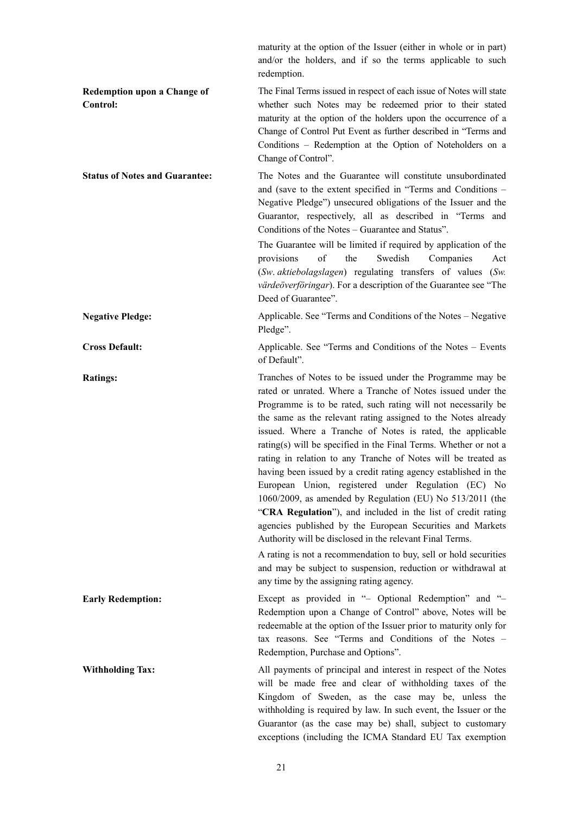|                                                | maturity at the option of the Issuer (either in whole or in part)<br>and/or the holders, and if so the terms applicable to such<br>redemption.                                                                                                                                                                                                                                                                                                                                                                                                                                                                                                                                                                                                                                                                                                                                                                                                                                                                               |
|------------------------------------------------|------------------------------------------------------------------------------------------------------------------------------------------------------------------------------------------------------------------------------------------------------------------------------------------------------------------------------------------------------------------------------------------------------------------------------------------------------------------------------------------------------------------------------------------------------------------------------------------------------------------------------------------------------------------------------------------------------------------------------------------------------------------------------------------------------------------------------------------------------------------------------------------------------------------------------------------------------------------------------------------------------------------------------|
| <b>Redemption upon a Change of</b><br>Control: | The Final Terms issued in respect of each issue of Notes will state<br>whether such Notes may be redeemed prior to their stated<br>maturity at the option of the holders upon the occurrence of a<br>Change of Control Put Event as further described in "Terms and<br>Conditions - Redemption at the Option of Noteholders on a<br>Change of Control".                                                                                                                                                                                                                                                                                                                                                                                                                                                                                                                                                                                                                                                                      |
| <b>Status of Notes and Guarantee:</b>          | The Notes and the Guarantee will constitute unsubordinated<br>and (save to the extent specified in "Terms and Conditions –<br>Negative Pledge") unsecured obligations of the Issuer and the<br>Guarantor, respectively, all as described in "Terms and<br>Conditions of the Notes – Guarantee and Status".                                                                                                                                                                                                                                                                                                                                                                                                                                                                                                                                                                                                                                                                                                                   |
|                                                | The Guarantee will be limited if required by application of the<br>provisions<br>of<br>the<br>Swedish<br>Companies<br>Act<br>(Sw. aktiebolagslagen) regulating transfers of values<br>(Sw)<br>värdeöverföringar). For a description of the Guarantee see "The<br>Deed of Guarantee".                                                                                                                                                                                                                                                                                                                                                                                                                                                                                                                                                                                                                                                                                                                                         |
| <b>Negative Pledge:</b>                        | Applicable. See "Terms and Conditions of the Notes - Negative<br>Pledge".                                                                                                                                                                                                                                                                                                                                                                                                                                                                                                                                                                                                                                                                                                                                                                                                                                                                                                                                                    |
| <b>Cross Default:</b>                          | Applicable. See "Terms and Conditions of the Notes - Events<br>of Default".                                                                                                                                                                                                                                                                                                                                                                                                                                                                                                                                                                                                                                                                                                                                                                                                                                                                                                                                                  |
| <b>Ratings:</b>                                | Tranches of Notes to be issued under the Programme may be<br>rated or unrated. Where a Tranche of Notes issued under the<br>Programme is to be rated, such rating will not necessarily be<br>the same as the relevant rating assigned to the Notes already<br>issued. Where a Tranche of Notes is rated, the applicable<br>rating(s) will be specified in the Final Terms. Whether or not a<br>rating in relation to any Tranche of Notes will be treated as<br>having been issued by a credit rating agency established in the<br>European Union, registered under Regulation (EC) No<br>1060/2009, as amended by Regulation (EU) No 513/2011 (the<br>"CRA Regulation"), and included in the list of credit rating<br>agencies published by the European Securities and Markets<br>Authority will be disclosed in the relevant Final Terms.<br>A rating is not a recommendation to buy, sell or hold securities<br>and may be subject to suspension, reduction or withdrawal at<br>any time by the assigning rating agency. |
| <b>Early Redemption:</b>                       | Except as provided in "- Optional Redemption" and "-<br>Redemption upon a Change of Control" above, Notes will be<br>redeemable at the option of the Issuer prior to maturity only for<br>tax reasons. See "Terms and Conditions of the Notes -<br>Redemption, Purchase and Options".                                                                                                                                                                                                                                                                                                                                                                                                                                                                                                                                                                                                                                                                                                                                        |
| <b>Withholding Tax:</b>                        | All payments of principal and interest in respect of the Notes<br>will be made free and clear of withholding taxes of the<br>Kingdom of Sweden, as the case may be, unless the<br>withholding is required by law. In such event, the Issuer or the<br>Guarantor (as the case may be) shall, subject to customary<br>exceptions (including the ICMA Standard EU Tax exemption                                                                                                                                                                                                                                                                                                                                                                                                                                                                                                                                                                                                                                                 |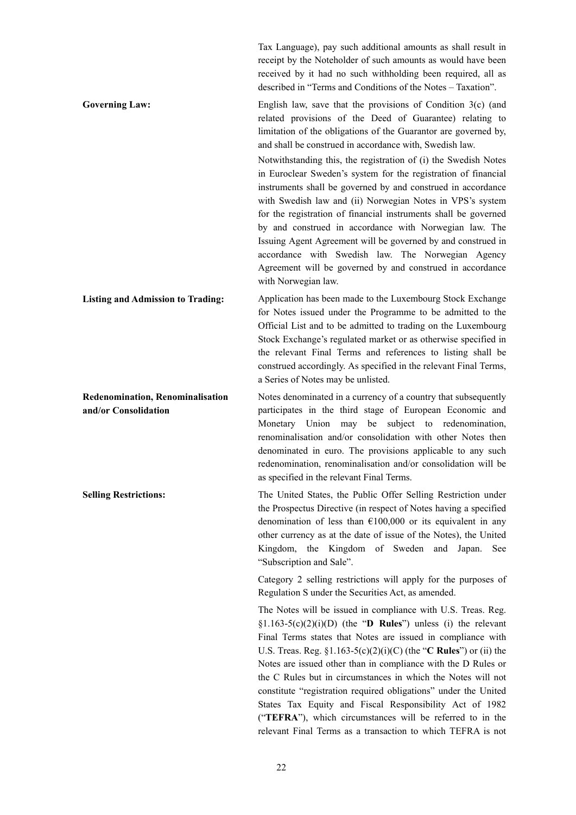Tax Language), pay such additional amounts as shall result in receipt by the Noteholder of such amounts as would have been received by it had no such withholding been required, all as described in "Terms and Conditions of the Notes – Taxation".

Governing Law: English law, save that the provisions of Condition 3(c) (and related provisions of the Deed of Guarantee) relating to limitation of the obligations of the Guarantor are governed by, and shall be construed in accordance with, Swedish law. Notwithstanding this, the registration of (i) the Swedish Notes

in Euroclear Sweden's system for the registration of financial instruments shall be governed by and construed in accordance with Swedish law and (ii) Norwegian Notes in VPS's system for the registration of financial instruments shall be governed by and construed in accordance with Norwegian law. The Issuing Agent Agreement will be governed by and construed in accordance with Swedish law. The Norwegian Agency Agreement will be governed by and construed in accordance with Norwegian law.

**Listing and Admission to Trading:** Application has been made to the Luxembourg Stock Exchange for Notes issued under the Programme to be admitted to the Official List and to be admitted to trading on the Luxembourg Stock Exchange's regulated market or as otherwise specified in the relevant Final Terms and references to listing shall be construed accordingly. As specified in the relevant Final Terms, a Series of Notes may be unlisted.

**Redenomination, Renominalisation and/or Consolidation** Notes denominated in a currency of a country that subsequently participates in the third stage of European Economic and Monetary Union may be subject to redenomination, renominalisation and/or consolidation with other Notes then denominated in euro. The provisions applicable to any such redenomination, renominalisation and/or consolidation will be as specified in the relevant Final Terms.

**Selling Restrictions:** The United States, the Public Offer Selling Restriction under the Prospectus Directive (in respect of Notes having a specified denomination of less than  $\epsilon$ 100,000 or its equivalent in any other currency as at the date of issue of the Notes), the United Kingdom, the Kingdom of Sweden and Japan. See "Subscription and Sale".

> Category 2 selling restrictions will apply for the purposes of Regulation S under the Securities Act, as amended.

> The Notes will be issued in compliance with U.S. Treas. Reg. §1.163-5(c)(2)(i)(D) (the "**D Rules**") unless (i) the relevant Final Terms states that Notes are issued in compliance with U.S. Treas. Reg. §1.163-5(c)(2)(i)(C) (the "**C Rules**") or (ii) the Notes are issued other than in compliance with the D Rules or the C Rules but in circumstances in which the Notes will not constitute "registration required obligations" under the United States Tax Equity and Fiscal Responsibility Act of 1982 ("**TEFRA**"), which circumstances will be referred to in the relevant Final Terms as a transaction to which TEFRA is not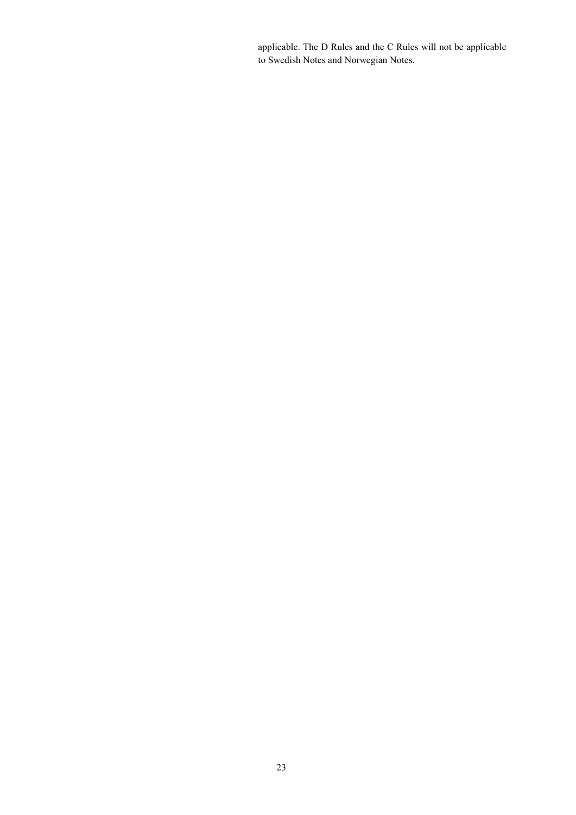applicable. The D Rules and the C Rules will not be applicable to Swedish Notes and Norwegian Notes.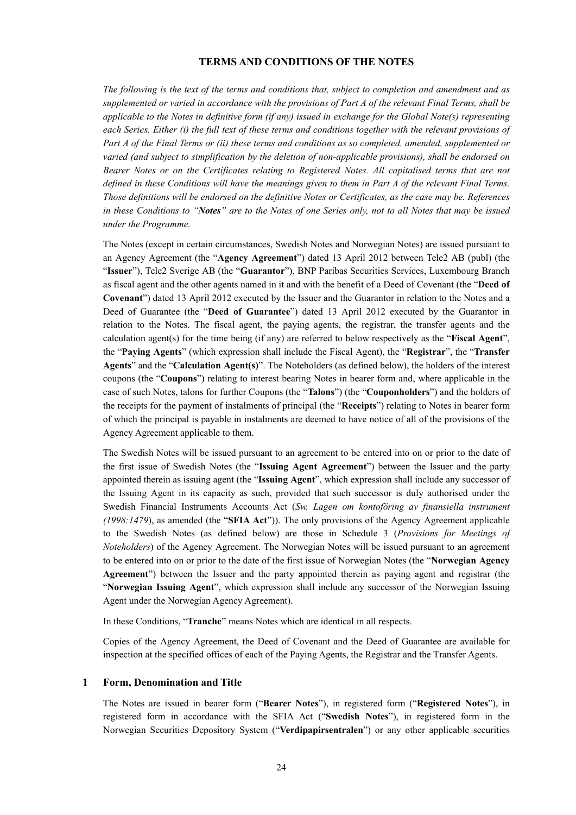#### **TERMS AND CONDITIONS OF THE NOTES**

*The following is the text of the terms and conditions that, subject to completion and amendment and as supplemented or varied in accordance with the provisions of Part A of the relevant Final Terms, shall be applicable to the Notes in definitive form (if any) issued in exchange for the Global Note(s) representing each Series. Either (i) the full text of these terms and conditions together with the relevant provisions of Part A of the Final Terms or (ii) these terms and conditions as so completed, amended, supplemented or varied (and subject to simplification by the deletion of non-applicable provisions), shall be endorsed on Bearer Notes or on the Certificates relating to Registered Notes. All capitalised terms that are not defined in these Conditions will have the meanings given to them in Part A of the relevant Final Terms. Those definitions will be endorsed on the definitive Notes or Certificates, as the case may be. References in these Conditions to "Notes" are to the Notes of one Series only, not to all Notes that may be issued under the Programme.*

The Notes (except in certain circumstances, Swedish Notes and Norwegian Notes) are issued pursuant to an Agency Agreement (the "**Agency Agreement**") dated 13 April 2012 between Tele2 AB (publ) (the "**Issuer**"), Tele2 Sverige AB (the "**Guarantor**"), BNP Paribas Securities Services, Luxembourg Branch as fiscal agent and the other agents named in it and with the benefit of a Deed of Covenant (the "**Deed of Covenant**") dated 13 April 2012 executed by the Issuer and the Guarantor in relation to the Notes and a Deed of Guarantee (the "**Deed of Guarantee**") dated 13 April 2012 executed by the Guarantor in relation to the Notes. The fiscal agent, the paying agents, the registrar, the transfer agents and the calculation agent(s) for the time being (if any) are referred to below respectively as the "**Fiscal Agent**", the "**Paying Agents**" (which expression shall include the Fiscal Agent), the "**Registrar**", the "**Transfer Agents**" and the "**Calculation Agent(s)**". The Noteholders (as defined below), the holders of the interest coupons (the "**Coupons**") relating to interest bearing Notes in bearer form and, where applicable in the case of such Notes, talons for further Coupons (the "**Talons**") (the "**Couponholders**") and the holders of the receipts for the payment of instalments of principal (the "**Receipts**") relating to Notes in bearer form of which the principal is payable in instalments are deemed to have notice of all of the provisions of the Agency Agreement applicable to them.

The Swedish Notes will be issued pursuant to an agreement to be entered into on or prior to the date of the first issue of Swedish Notes (the "**Issuing Agent Agreement**") between the Issuer and the party appointed therein as issuing agent (the "**Issuing Agent**", which expression shall include any successor of the Issuing Agent in its capacity as such, provided that such successor is duly authorised under the Swedish Financial Instruments Accounts Act (*Sw. Lagen om kontoföring av finansiella instrument (1998:1479*), as amended (the "**SFIA Act**")). The only provisions of the Agency Agreement applicable to the Swedish Notes (as defined below) are those in Schedule 3 (*Provisions for Meetings of Noteholders*) of the Agency Agreement. The Norwegian Notes will be issued pursuant to an agreement to be entered into on or prior to the date of the first issue of Norwegian Notes (the "**Norwegian Agency Agreement**") between the Issuer and the party appointed therein as paying agent and registrar (the "**Norwegian Issuing Agent**", which expression shall include any successor of the Norwegian Issuing Agent under the Norwegian Agency Agreement).

In these Conditions, "**Tranche**" means Notes which are identical in all respects.

Copies of the Agency Agreement, the Deed of Covenant and the Deed of Guarantee are available for inspection at the specified offices of each of the Paying Agents, the Registrar and the Transfer Agents.

#### **1 Form, Denomination and Title**

The Notes are issued in bearer form ("**Bearer Notes**"), in registered form ("**Registered Notes**"), in registered form in accordance with the SFIA Act ("**Swedish Notes**"), in registered form in the Norwegian Securities Depository System ("**Verdipapirsentralen**") or any other applicable securities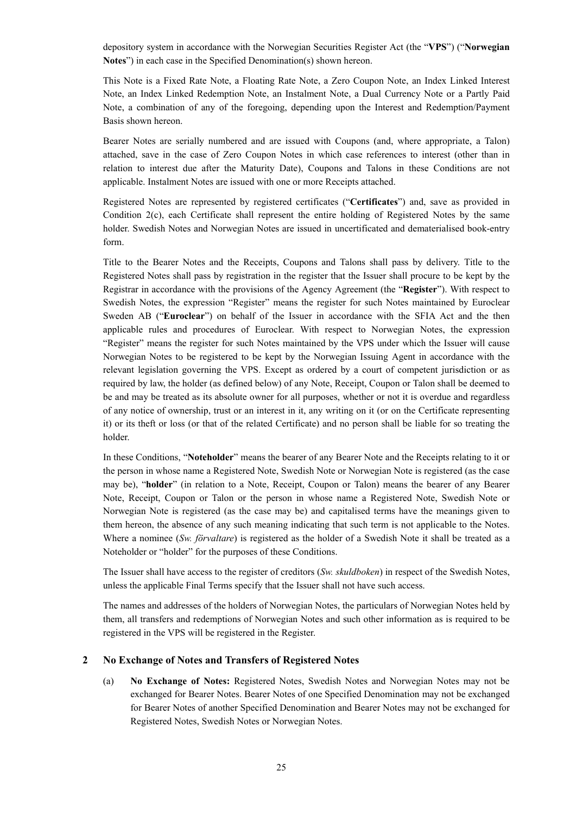depository system in accordance with the Norwegian Securities Register Act (the "**VPS**") ("**Norwegian Notes**") in each case in the Specified Denomination(s) shown hereon.

This Note is a Fixed Rate Note, a Floating Rate Note, a Zero Coupon Note, an Index Linked Interest Note, an Index Linked Redemption Note, an Instalment Note, a Dual Currency Note or a Partly Paid Note, a combination of any of the foregoing, depending upon the Interest and Redemption/Payment Basis shown hereon.

Bearer Notes are serially numbered and are issued with Coupons (and, where appropriate, a Talon) attached, save in the case of Zero Coupon Notes in which case references to interest (other than in relation to interest due after the Maturity Date), Coupons and Talons in these Conditions are not applicable. Instalment Notes are issued with one or more Receipts attached.

Registered Notes are represented by registered certificates ("**Certificates**") and, save as provided in Condition 2(c), each Certificate shall represent the entire holding of Registered Notes by the same holder. Swedish Notes and Norwegian Notes are issued in uncertificated and dematerialised book-entry form.

Title to the Bearer Notes and the Receipts, Coupons and Talons shall pass by delivery. Title to the Registered Notes shall pass by registration in the register that the Issuer shall procure to be kept by the Registrar in accordance with the provisions of the Agency Agreement (the "**Register**"). With respect to Swedish Notes, the expression "Register" means the register for such Notes maintained by Euroclear Sweden AB ("**Euroclear**") on behalf of the Issuer in accordance with the SFIA Act and the then applicable rules and procedures of Euroclear. With respect to Norwegian Notes, the expression "Register" means the register for such Notes maintained by the VPS under which the Issuer will cause Norwegian Notes to be registered to be kept by the Norwegian Issuing Agent in accordance with the relevant legislation governing the VPS. Except as ordered by a court of competent jurisdiction or as required by law, the holder (as defined below) of any Note, Receipt, Coupon or Talon shall be deemed to be and may be treated as its absolute owner for all purposes, whether or not it is overdue and regardless of any notice of ownership, trust or an interest in it, any writing on it (or on the Certificate representing it) or its theft or loss (or that of the related Certificate) and no person shall be liable for so treating the holder.

In these Conditions, "**Noteholder**" means the bearer of any Bearer Note and the Receipts relating to it or the person in whose name a Registered Note, Swedish Note or Norwegian Note is registered (as the case may be), "**holder**" (in relation to a Note, Receipt, Coupon or Talon) means the bearer of any Bearer Note, Receipt, Coupon or Talon or the person in whose name a Registered Note, Swedish Note or Norwegian Note is registered (as the case may be) and capitalised terms have the meanings given to them hereon, the absence of any such meaning indicating that such term is not applicable to the Notes. Where a nominee (*Sw. förvaltare*) is registered as the holder of a Swedish Note it shall be treated as a Noteholder or "holder" for the purposes of these Conditions.

The Issuer shall have access to the register of creditors (*Sw. skuldboken*) in respect of the Swedish Notes, unless the applicable Final Terms specify that the Issuer shall not have such access.

The names and addresses of the holders of Norwegian Notes, the particulars of Norwegian Notes held by them, all transfers and redemptions of Norwegian Notes and such other information as is required to be registered in the VPS will be registered in the Register.

#### **2 No Exchange of Notes and Transfers of Registered Notes**

(a) **No Exchange of Notes:** Registered Notes, Swedish Notes and Norwegian Notes may not be exchanged for Bearer Notes. Bearer Notes of one Specified Denomination may not be exchanged for Bearer Notes of another Specified Denomination and Bearer Notes may not be exchanged for Registered Notes, Swedish Notes or Norwegian Notes.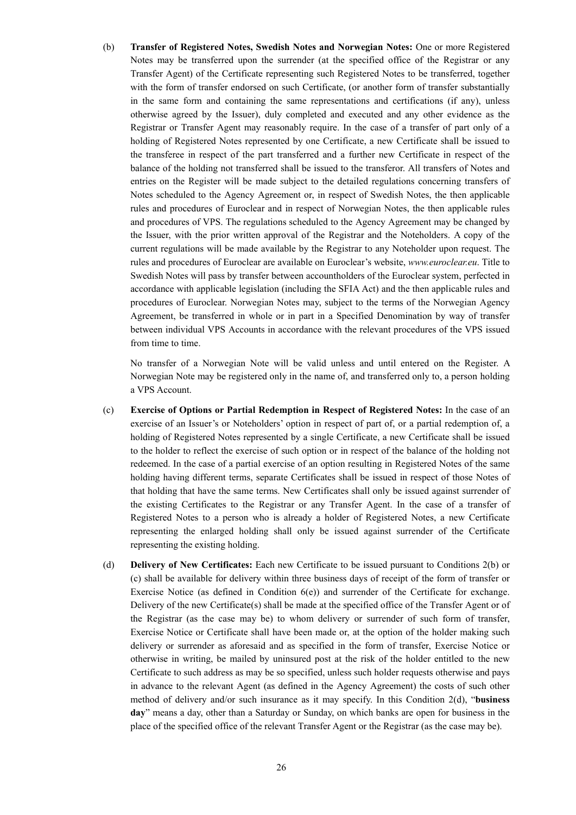(b) **Transfer of Registered Notes, Swedish Notes and Norwegian Notes:** One or more Registered Notes may be transferred upon the surrender (at the specified office of the Registrar or any Transfer Agent) of the Certificate representing such Registered Notes to be transferred, together with the form of transfer endorsed on such Certificate, (or another form of transfer substantially in the same form and containing the same representations and certifications (if any), unless otherwise agreed by the Issuer), duly completed and executed and any other evidence as the Registrar or Transfer Agent may reasonably require. In the case of a transfer of part only of a holding of Registered Notes represented by one Certificate, a new Certificate shall be issued to the transferee in respect of the part transferred and a further new Certificate in respect of the balance of the holding not transferred shall be issued to the transferor. All transfers of Notes and entries on the Register will be made subject to the detailed regulations concerning transfers of Notes scheduled to the Agency Agreement or, in respect of Swedish Notes, the then applicable rules and procedures of Euroclear and in respect of Norwegian Notes, the then applicable rules and procedures of VPS. The regulations scheduled to the Agency Agreement may be changed by the Issuer, with the prior written approval of the Registrar and the Noteholders. A copy of the current regulations will be made available by the Registrar to any Noteholder upon request. The rules and procedures of Euroclear are available on Euroclear's website, *www.euroclear.eu*. Title to Swedish Notes will pass by transfer between accountholders of the Euroclear system, perfected in accordance with applicable legislation (including the SFIA Act) and the then applicable rules and procedures of Euroclear. Norwegian Notes may, subject to the terms of the Norwegian Agency Agreement, be transferred in whole or in part in a Specified Denomination by way of transfer between individual VPS Accounts in accordance with the relevant procedures of the VPS issued from time to time.

No transfer of a Norwegian Note will be valid unless and until entered on the Register. A Norwegian Note may be registered only in the name of, and transferred only to, a person holding a VPS Account.

- (c) **Exercise of Options or Partial Redemption in Respect of Registered Notes:** In the case of an exercise of an Issuer's or Noteholders' option in respect of part of, or a partial redemption of, a holding of Registered Notes represented by a single Certificate, a new Certificate shall be issued to the holder to reflect the exercise of such option or in respect of the balance of the holding not redeemed. In the case of a partial exercise of an option resulting in Registered Notes of the same holding having different terms, separate Certificates shall be issued in respect of those Notes of that holding that have the same terms. New Certificates shall only be issued against surrender of the existing Certificates to the Registrar or any Transfer Agent. In the case of a transfer of Registered Notes to a person who is already a holder of Registered Notes, a new Certificate representing the enlarged holding shall only be issued against surrender of the Certificate representing the existing holding.
- (d) **Delivery of New Certificates:** Each new Certificate to be issued pursuant to Conditions 2(b) or (c) shall be available for delivery within three business days of receipt of the form of transfer or Exercise Notice (as defined in Condition 6(e)) and surrender of the Certificate for exchange. Delivery of the new Certificate(s) shall be made at the specified office of the Transfer Agent or of the Registrar (as the case may be) to whom delivery or surrender of such form of transfer, Exercise Notice or Certificate shall have been made or, at the option of the holder making such delivery or surrender as aforesaid and as specified in the form of transfer, Exercise Notice or otherwise in writing, be mailed by uninsured post at the risk of the holder entitled to the new Certificate to such address as may be so specified, unless such holder requests otherwise and pays in advance to the relevant Agent (as defined in the Agency Agreement) the costs of such other method of delivery and/or such insurance as it may specify. In this Condition 2(d), "**business day**" means a day, other than a Saturday or Sunday, on which banks are open for business in the place of the specified office of the relevant Transfer Agent or the Registrar (as the case may be).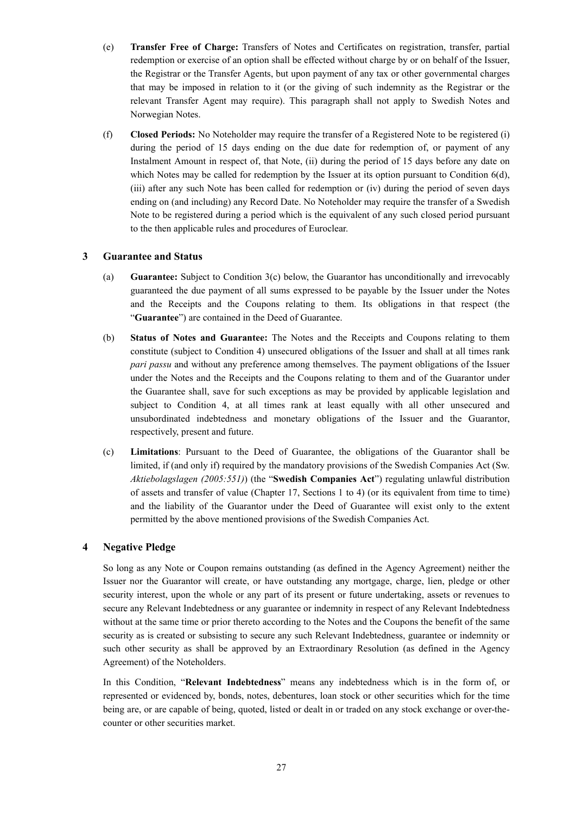- (e) **Transfer Free of Charge:** Transfers of Notes and Certificates on registration, transfer, partial redemption or exercise of an option shall be effected without charge by or on behalf of the Issuer, the Registrar or the Transfer Agents, but upon payment of any tax or other governmental charges that may be imposed in relation to it (or the giving of such indemnity as the Registrar or the relevant Transfer Agent may require). This paragraph shall not apply to Swedish Notes and Norwegian Notes.
- (f) **Closed Periods:** No Noteholder may require the transfer of a Registered Note to be registered (i) during the period of 15 days ending on the due date for redemption of, or payment of any Instalment Amount in respect of, that Note, (ii) during the period of 15 days before any date on which Notes may be called for redemption by the Issuer at its option pursuant to Condition 6(d), (iii) after any such Note has been called for redemption or (iv) during the period of seven days ending on (and including) any Record Date. No Noteholder may require the transfer of a Swedish Note to be registered during a period which is the equivalent of any such closed period pursuant to the then applicable rules and procedures of Euroclear.

## **3 Guarantee and Status**

- (a) **Guarantee:** Subject to Condition 3(c) below, the Guarantor has unconditionally and irrevocably guaranteed the due payment of all sums expressed to be payable by the Issuer under the Notes and the Receipts and the Coupons relating to them. Its obligations in that respect (the "**Guarantee**") are contained in the Deed of Guarantee.
- (b) **Status of Notes and Guarantee:** The Notes and the Receipts and Coupons relating to them constitute (subject to Condition 4) unsecured obligations of the Issuer and shall at all times rank *pari passu* and without any preference among themselves. The payment obligations of the Issuer under the Notes and the Receipts and the Coupons relating to them and of the Guarantor under the Guarantee shall, save for such exceptions as may be provided by applicable legislation and subject to Condition 4, at all times rank at least equally with all other unsecured and unsubordinated indebtedness and monetary obligations of the Issuer and the Guarantor, respectively, present and future.
- (c) **Limitations**: Pursuant to the Deed of Guarantee, the obligations of the Guarantor shall be limited, if (and only if) required by the mandatory provisions of the Swedish Companies Act (Sw. *Aktiebolagslagen (2005:551)*) (the "**Swedish Companies Act**") regulating unlawful distribution of assets and transfer of value (Chapter 17, Sections 1 to 4) (or its equivalent from time to time) and the liability of the Guarantor under the Deed of Guarantee will exist only to the extent permitted by the above mentioned provisions of the Swedish Companies Act.

## **4 Negative Pledge**

So long as any Note or Coupon remains outstanding (as defined in the Agency Agreement) neither the Issuer nor the Guarantor will create, or have outstanding any mortgage, charge, lien, pledge or other security interest, upon the whole or any part of its present or future undertaking, assets or revenues to secure any Relevant Indebtedness or any guarantee or indemnity in respect of any Relevant Indebtedness without at the same time or prior thereto according to the Notes and the Coupons the benefit of the same security as is created or subsisting to secure any such Relevant Indebtedness, guarantee or indemnity or such other security as shall be approved by an Extraordinary Resolution (as defined in the Agency Agreement) of the Noteholders.

In this Condition, "**Relevant Indebtedness**" means any indebtedness which is in the form of, or represented or evidenced by, bonds, notes, debentures, loan stock or other securities which for the time being are, or are capable of being, quoted, listed or dealt in or traded on any stock exchange or over-thecounter or other securities market.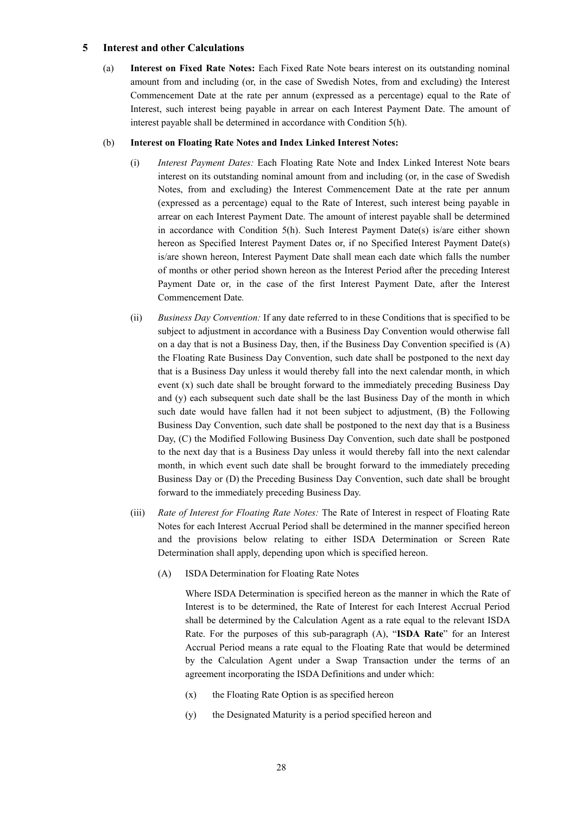## **5 Interest and other Calculations**

(a) **Interest on Fixed Rate Notes:** Each Fixed Rate Note bears interest on its outstanding nominal amount from and including (or, in the case of Swedish Notes, from and excluding) the Interest Commencement Date at the rate per annum (expressed as a percentage) equal to the Rate of Interest, such interest being payable in arrear on each Interest Payment Date. The amount of interest payable shall be determined in accordance with Condition 5(h).

#### (b) **Interest on Floating Rate Notes and Index Linked Interest Notes:**

- (i) *Interest Payment Dates:* Each Floating Rate Note and Index Linked Interest Note bears interest on its outstanding nominal amount from and including (or, in the case of Swedish Notes, from and excluding) the Interest Commencement Date at the rate per annum (expressed as a percentage) equal to the Rate of Interest, such interest being payable in arrear on each Interest Payment Date. The amount of interest payable shall be determined in accordance with Condition 5(h). Such Interest Payment Date(s) is/are either shown hereon as Specified Interest Payment Dates or, if no Specified Interest Payment Date(s) is/are shown hereon, Interest Payment Date shall mean each date which falls the number of months or other period shown hereon as the Interest Period after the preceding Interest Payment Date or, in the case of the first Interest Payment Date, after the Interest Commencement Date*.*
- (ii) *Business Day Convention:* If any date referred to in these Conditions that is specified to be subject to adjustment in accordance with a Business Day Convention would otherwise fall on a day that is not a Business Day, then, if the Business Day Convention specified is (A) the Floating Rate Business Day Convention, such date shall be postponed to the next day that is a Business Day unless it would thereby fall into the next calendar month, in which event (x) such date shall be brought forward to the immediately preceding Business Day and (y) each subsequent such date shall be the last Business Day of the month in which such date would have fallen had it not been subject to adjustment, (B) the Following Business Day Convention, such date shall be postponed to the next day that is a Business Day, (C) the Modified Following Business Day Convention, such date shall be postponed to the next day that is a Business Day unless it would thereby fall into the next calendar month, in which event such date shall be brought forward to the immediately preceding Business Day or (D) the Preceding Business Day Convention, such date shall be brought forward to the immediately preceding Business Day.
- (iii) *Rate of Interest for Floating Rate Notes:* The Rate of Interest in respect of Floating Rate Notes for each Interest Accrual Period shall be determined in the manner specified hereon and the provisions below relating to either ISDA Determination or Screen Rate Determination shall apply, depending upon which is specified hereon.
	- (A) ISDA Determination for Floating Rate Notes

Where ISDA Determination is specified hereon as the manner in which the Rate of Interest is to be determined, the Rate of Interest for each Interest Accrual Period shall be determined by the Calculation Agent as a rate equal to the relevant ISDA Rate. For the purposes of this sub-paragraph (A), "**ISDA Rate**" for an Interest Accrual Period means a rate equal to the Floating Rate that would be determined by the Calculation Agent under a Swap Transaction under the terms of an agreement incorporating the ISDA Definitions and under which:

- (x) the Floating Rate Option is as specified hereon
- (y) the Designated Maturity is a period specified hereon and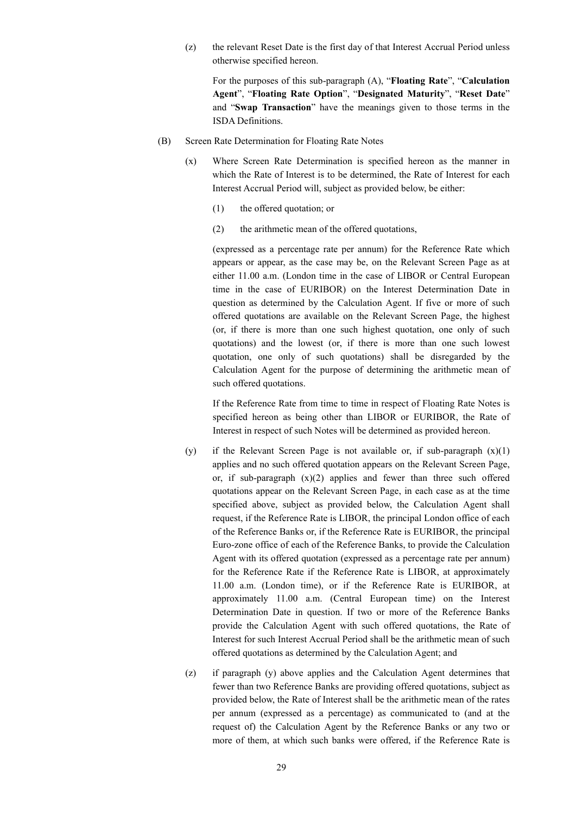(z) the relevant Reset Date is the first day of that Interest Accrual Period unless otherwise specified hereon.

For the purposes of this sub-paragraph (A), "**Floating Rate**", "**Calculation Agent**", "**Floating Rate Option**", "**Designated Maturity**", "**Reset Date**" and "**Swap Transaction**" have the meanings given to those terms in the ISDA Definitions.

- (B) Screen Rate Determination for Floating Rate Notes
	- (x) Where Screen Rate Determination is specified hereon as the manner in which the Rate of Interest is to be determined, the Rate of Interest for each Interest Accrual Period will, subject as provided below, be either:
		- (1) the offered quotation; or
		- (2) the arithmetic mean of the offered quotations,

(expressed as a percentage rate per annum) for the Reference Rate which appears or appear, as the case may be, on the Relevant Screen Page as at either 11.00 a.m. (London time in the case of LIBOR or Central European time in the case of EURIBOR) on the Interest Determination Date in question as determined by the Calculation Agent. If five or more of such offered quotations are available on the Relevant Screen Page, the highest (or, if there is more than one such highest quotation, one only of such quotations) and the lowest (or, if there is more than one such lowest quotation, one only of such quotations) shall be disregarded by the Calculation Agent for the purpose of determining the arithmetic mean of such offered quotations.

If the Reference Rate from time to time in respect of Floating Rate Notes is specified hereon as being other than LIBOR or EURIBOR, the Rate of Interest in respect of such Notes will be determined as provided hereon.

- (y) if the Relevant Screen Page is not available or, if sub-paragraph  $(x)(1)$ applies and no such offered quotation appears on the Relevant Screen Page, or, if sub-paragraph  $(x)(2)$  applies and fewer than three such offered quotations appear on the Relevant Screen Page, in each case as at the time specified above, subject as provided below, the Calculation Agent shall request, if the Reference Rate is LIBOR, the principal London office of each of the Reference Banks or, if the Reference Rate is EURIBOR, the principal Euro-zone office of each of the Reference Banks, to provide the Calculation Agent with its offered quotation (expressed as a percentage rate per annum) for the Reference Rate if the Reference Rate is LIBOR, at approximately 11.00 a.m. (London time), or if the Reference Rate is EURIBOR, at approximately 11.00 a.m. (Central European time) on the Interest Determination Date in question. If two or more of the Reference Banks provide the Calculation Agent with such offered quotations, the Rate of Interest for such Interest Accrual Period shall be the arithmetic mean of such offered quotations as determined by the Calculation Agent; and
- (z) if paragraph (y) above applies and the Calculation Agent determines that fewer than two Reference Banks are providing offered quotations, subject as provided below, the Rate of Interest shall be the arithmetic mean of the rates per annum (expressed as a percentage) as communicated to (and at the request of) the Calculation Agent by the Reference Banks or any two or more of them, at which such banks were offered, if the Reference Rate is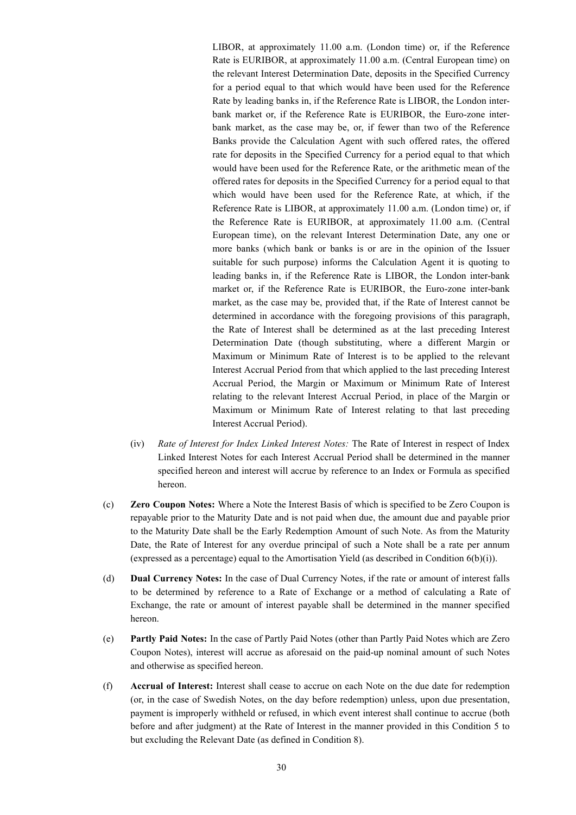LIBOR, at approximately 11.00 a.m. (London time) or, if the Reference Rate is EURIBOR, at approximately 11.00 a.m. (Central European time) on the relevant Interest Determination Date, deposits in the Specified Currency for a period equal to that which would have been used for the Reference Rate by leading banks in, if the Reference Rate is LIBOR, the London interbank market or, if the Reference Rate is EURIBOR, the Euro-zone interbank market, as the case may be, or, if fewer than two of the Reference Banks provide the Calculation Agent with such offered rates, the offered rate for deposits in the Specified Currency for a period equal to that which would have been used for the Reference Rate, or the arithmetic mean of the offered rates for deposits in the Specified Currency for a period equal to that which would have been used for the Reference Rate, at which, if the Reference Rate is LIBOR, at approximately 11.00 a.m. (London time) or, if the Reference Rate is EURIBOR, at approximately 11.00 a.m. (Central European time), on the relevant Interest Determination Date, any one or more banks (which bank or banks is or are in the opinion of the Issuer suitable for such purpose) informs the Calculation Agent it is quoting to leading banks in, if the Reference Rate is LIBOR, the London inter-bank market or, if the Reference Rate is EURIBOR, the Euro-zone inter-bank market, as the case may be, provided that, if the Rate of Interest cannot be determined in accordance with the foregoing provisions of this paragraph, the Rate of Interest shall be determined as at the last preceding Interest Determination Date (though substituting, where a different Margin or Maximum or Minimum Rate of Interest is to be applied to the relevant Interest Accrual Period from that which applied to the last preceding Interest Accrual Period, the Margin or Maximum or Minimum Rate of Interest relating to the relevant Interest Accrual Period, in place of the Margin or Maximum or Minimum Rate of Interest relating to that last preceding Interest Accrual Period).

- (iv) *Rate of Interest for Index Linked Interest Notes:* The Rate of Interest in respect of Index Linked Interest Notes for each Interest Accrual Period shall be determined in the manner specified hereon and interest will accrue by reference to an Index or Formula as specified hereon.
- (c) **Zero Coupon Notes:** Where a Note the Interest Basis of which is specified to be Zero Coupon is repayable prior to the Maturity Date and is not paid when due, the amount due and payable prior to the Maturity Date shall be the Early Redemption Amount of such Note. As from the Maturity Date, the Rate of Interest for any overdue principal of such a Note shall be a rate per annum (expressed as a percentage) equal to the Amortisation Yield (as described in Condition  $6(b)(i)$ ).
- (d) **Dual Currency Notes:** In the case of Dual Currency Notes, if the rate or amount of interest falls to be determined by reference to a Rate of Exchange or a method of calculating a Rate of Exchange, the rate or amount of interest payable shall be determined in the manner specified hereon.
- (e) **Partly Paid Notes:** In the case of Partly Paid Notes (other than Partly Paid Notes which are Zero Coupon Notes), interest will accrue as aforesaid on the paid-up nominal amount of such Notes and otherwise as specified hereon.
- (f) **Accrual of Interest:** Interest shall cease to accrue on each Note on the due date for redemption (or, in the case of Swedish Notes, on the day before redemption) unless, upon due presentation, payment is improperly withheld or refused, in which event interest shall continue to accrue (both before and after judgment) at the Rate of Interest in the manner provided in this Condition 5 to but excluding the Relevant Date (as defined in Condition 8).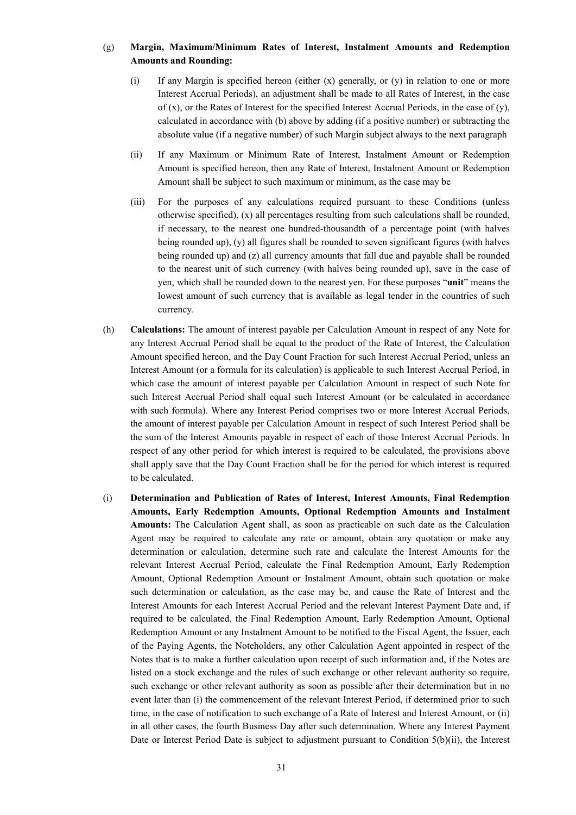## (g) **Margin, Maximum/Minimum Rates of Interest, Instalment Amounts and Redemption Amounts and Rounding:**

- (i) If any Margin is specified hereon (either  $(x)$  generally, or  $(y)$  in relation to one or more Interest Accrual Periods), an adjustment shall be made to all Rates of Interest, in the case of  $(x)$ , or the Rates of Interest for the specified Interest Accrual Periods, in the case of  $(y)$ , calculated in accordance with (b) above by adding (if a positive number) or subtracting the absolute value (if a negative number) of such Margin subject always to the next paragraph
- (ii) If any Maximum or Minimum Rate of Interest, Instalment Amount or Redemption Amount is specified hereon, then any Rate of Interest, Instalment Amount or Redemption Amount shall be subject to such maximum or minimum, as the case may be
- (iii) For the purposes of any calculations required pursuant to these Conditions (unless otherwise specified), (x) all percentages resulting from such calculations shall be rounded, if necessary, to the nearest one hundred-thousandth of a percentage point (with halves being rounded up), (y) all figures shall be rounded to seven significant figures (with halves being rounded up) and (z) all currency amounts that fall due and payable shall be rounded to the nearest unit of such currency (with halves being rounded up), save in the case of yen, which shall be rounded down to the nearest yen. For these purposes "**unit**" means the lowest amount of such currency that is available as legal tender in the countries of such currency.
- (h) **Calculations:** The amount of interest payable per Calculation Amount in respect of any Note for any Interest Accrual Period shall be equal to the product of the Rate of Interest, the Calculation Amount specified hereon, and the Day Count Fraction for such Interest Accrual Period, unless an Interest Amount (or a formula for its calculation) is applicable to such Interest Accrual Period, in which case the amount of interest payable per Calculation Amount in respect of such Note for such Interest Accrual Period shall equal such Interest Amount (or be calculated in accordance with such formula). Where any Interest Period comprises two or more Interest Accrual Periods, the amount of interest payable per Calculation Amount in respect of such Interest Period shall be the sum of the Interest Amounts payable in respect of each of those Interest Accrual Periods. In respect of any other period for which interest is required to be calculated, the provisions above shall apply save that the Day Count Fraction shall be for the period for which interest is required to be calculated.
- (i) **Determination and Publication of Rates of Interest, Interest Amounts, Final Redemption Amounts, Early Redemption Amounts, Optional Redemption Amounts and Instalment Amounts:** The Calculation Agent shall, as soon as practicable on such date as the Calculation Agent may be required to calculate any rate or amount, obtain any quotation or make any determination or calculation, determine such rate and calculate the Interest Amounts for the relevant Interest Accrual Period, calculate the Final Redemption Amount, Early Redemption Amount, Optional Redemption Amount or Instalment Amount, obtain such quotation or make such determination or calculation, as the case may be, and cause the Rate of Interest and the Interest Amounts for each Interest Accrual Period and the relevant Interest Payment Date and, if required to be calculated, the Final Redemption Amount, Early Redemption Amount, Optional Redemption Amount or any Instalment Amount to be notified to the Fiscal Agent, the Issuer, each of the Paying Agents, the Noteholders, any other Calculation Agent appointed in respect of the Notes that is to make a further calculation upon receipt of such information and, if the Notes are listed on a stock exchange and the rules of such exchange or other relevant authority so require, such exchange or other relevant authority as soon as possible after their determination but in no event later than (i) the commencement of the relevant Interest Period, if determined prior to such time, in the case of notification to such exchange of a Rate of Interest and Interest Amount, or (ii) in all other cases, the fourth Business Day after such determination. Where any Interest Payment Date or Interest Period Date is subject to adjustment pursuant to Condition 5(b)(ii), the Interest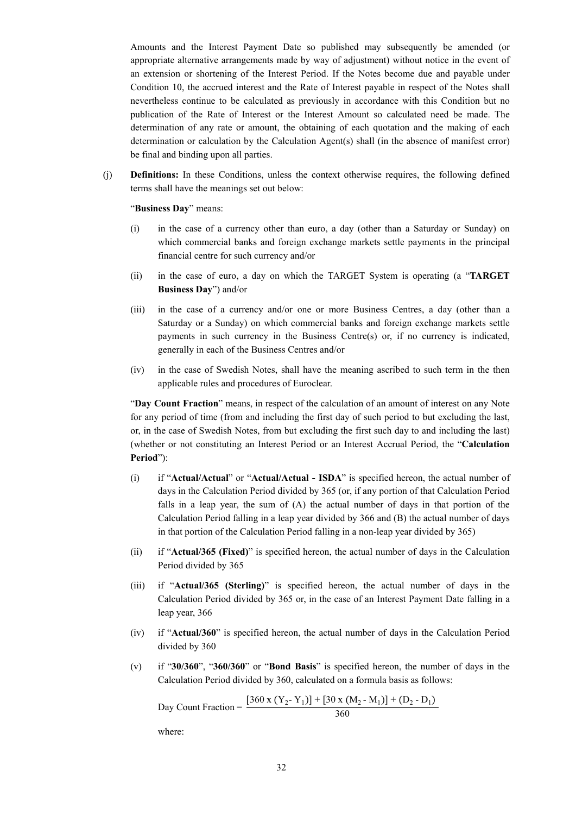Amounts and the Interest Payment Date so published may subsequently be amended (or appropriate alternative arrangements made by way of adjustment) without notice in the event of an extension or shortening of the Interest Period. If the Notes become due and payable under Condition 10, the accrued interest and the Rate of Interest payable in respect of the Notes shall nevertheless continue to be calculated as previously in accordance with this Condition but no publication of the Rate of Interest or the Interest Amount so calculated need be made. The determination of any rate or amount, the obtaining of each quotation and the making of each determination or calculation by the Calculation Agent(s) shall (in the absence of manifest error) be final and binding upon all parties.

(j) **Definitions:** In these Conditions, unless the context otherwise requires, the following defined terms shall have the meanings set out below:

"**Business Day**" means:

- (i) in the case of a currency other than euro, a day (other than a Saturday or Sunday) on which commercial banks and foreign exchange markets settle payments in the principal financial centre for such currency and/or
- (ii) in the case of euro, a day on which the TARGET System is operating (a "**TARGET Business Day**") and/or
- (iii) in the case of a currency and/or one or more Business Centres, a day (other than a Saturday or a Sunday) on which commercial banks and foreign exchange markets settle payments in such currency in the Business Centre $(s)$  or, if no currency is indicated, generally in each of the Business Centres and/or
- (iv) in the case of Swedish Notes, shall have the meaning ascribed to such term in the then applicable rules and procedures of Euroclear.

"**Day Count Fraction**" means, in respect of the calculation of an amount of interest on any Note for any period of time (from and including the first day of such period to but excluding the last, or, in the case of Swedish Notes, from but excluding the first such day to and including the last) (whether or not constituting an Interest Period or an Interest Accrual Period, the "**Calculation Period**"):

- (i) if "**Actual/Actual**" or "**Actual/Actual - ISDA**" is specified hereon, the actual number of days in the Calculation Period divided by 365 (or, if any portion of that Calculation Period falls in a leap year, the sum of (A) the actual number of days in that portion of the Calculation Period falling in a leap year divided by 366 and (B) the actual number of days in that portion of the Calculation Period falling in a non-leap year divided by 365)
- (ii) if "**Actual/365 (Fixed)**" is specified hereon, the actual number of days in the Calculation Period divided by 365
- (iii) if "**Actual/365 (Sterling)**" is specified hereon, the actual number of days in the Calculation Period divided by 365 or, in the case of an Interest Payment Date falling in a leap year, 366
- (iv) if "**Actual/360**" is specified hereon, the actual number of days in the Calculation Period divided by 360
- (v) if "**30/360**", "**360/360**" or "**Bond Basis**" is specified hereon, the number of days in the Calculation Period divided by 360, calculated on a formula basis as follows:

Day Count Fraction =  $\frac{[360 \times (Y_2 - Y_1)] + [30 \times (M_2 - M_1)] + (D_2 - D_1)}{260}$ 360

where: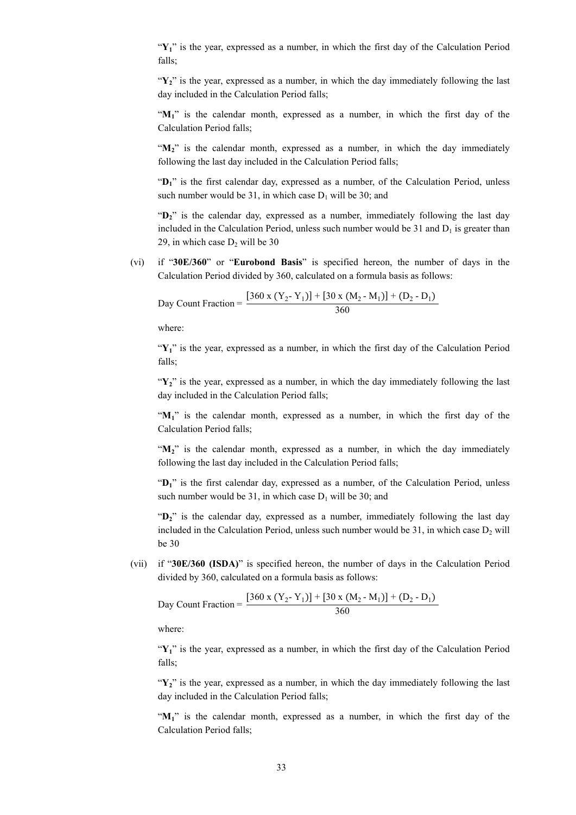"Y<sub>1</sub>" is the year, expressed as a number, in which the first day of the Calculation Period falls;

 $\mathbf{Y}$ <sup>2</sup> is the year, expressed as a number, in which the day immediately following the last day included in the Calculation Period falls;

"M<sub>1</sub>" is the calendar month, expressed as a number, in which the first day of the Calculation Period falls;

" $M_2$ " is the calendar month, expressed as a number, in which the day immediately following the last day included in the Calculation Period falls;

" $D_1$ " is the first calendar day, expressed as a number, of the Calculation Period, unless such number would be 31, in which case  $D_1$  will be 30; and

"**D2**" is the calendar day, expressed as a number, immediately following the last day included in the Calculation Period, unless such number would be 31 and  $D_1$  is greater than 29, in which case  $D_2$  will be 30

(vi) if "**30E/360**" or "**Eurobond Basis**" is specified hereon, the number of days in the Calculation Period divided by 360, calculated on a formula basis as follows:

Day Count Fraction = 
$$
\frac{[360 \times (Y_2 - Y_1)] + [30 \times (M_2 - M_1)] + (D_2 - D_1)}{360}
$$

where:

" $Y_1$ " is the year, expressed as a number, in which the first day of the Calculation Period falls;

"Y<sub>2</sub>" is the year, expressed as a number, in which the day immediately following the last day included in the Calculation Period falls;

"M<sub>1</sub>" is the calendar month, expressed as a number, in which the first day of the Calculation Period falls;

"M<sub>2</sub>" is the calendar month, expressed as a number, in which the day immediately following the last day included in the Calculation Period falls;

"**D1**" is the first calendar day, expressed as a number, of the Calculation Period, unless such number would be 31, in which case  $D_1$  will be 30; and

"**D2**" is the calendar day, expressed as a number, immediately following the last day included in the Calculation Period, unless such number would be  $31$ , in which case  $D<sub>2</sub>$  will be 30

(vii) if "**30E/360 (ISDA)**" is specified hereon, the number of days in the Calculation Period divided by 360, calculated on a formula basis as follows:

Day Count Fraction = 
$$
\frac{[360 \times (Y_2 - Y_1)] + [30 \times (M_2 - M_1)] + (D_2 - D_1)}{360}
$$

where:

"Y<sub>1</sub>" is the year, expressed as a number, in which the first day of the Calculation Period falls;

"Y<sub>2</sub>" is the year, expressed as a number, in which the day immediately following the last day included in the Calculation Period falls;

"**M1**" is the calendar month, expressed as a number, in which the first day of the Calculation Period falls;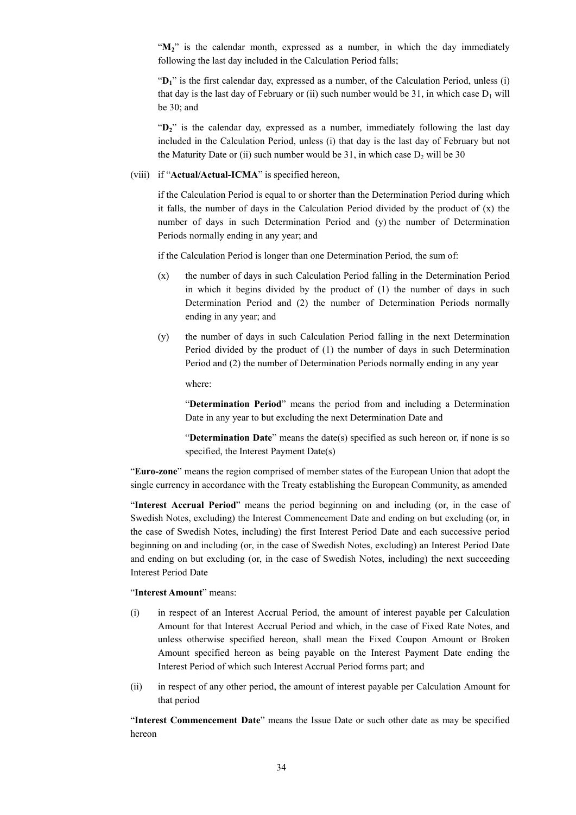"M<sub>2</sub>" is the calendar month, expressed as a number, in which the day immediately following the last day included in the Calculation Period falls;

"D<sub>1</sub>" is the first calendar day, expressed as a number, of the Calculation Period, unless (i) that day is the last day of February or (ii) such number would be 31, in which case  $D_1$  will be 30; and

"**D2**" is the calendar day, expressed as a number, immediately following the last day included in the Calculation Period, unless (i) that day is the last day of February but not the Maturity Date or (ii) such number would be  $31$ , in which case  $D_2$  will be  $30$ 

#### (viii) if "**Actual/Actual-ICMA**" is specified hereon,

if the Calculation Period is equal to or shorter than the Determination Period during which it falls, the number of days in the Calculation Period divided by the product of  $(x)$  the number of days in such Determination Period and (y) the number of Determination Periods normally ending in any year; and

if the Calculation Period is longer than one Determination Period, the sum of:

- (x) the number of days in such Calculation Period falling in the Determination Period in which it begins divided by the product of (1) the number of days in such Determination Period and (2) the number of Determination Periods normally ending in any year; and
- (y) the number of days in such Calculation Period falling in the next Determination Period divided by the product of (1) the number of days in such Determination Period and (2) the number of Determination Periods normally ending in any year

where:

"**Determination Period**" means the period from and including a Determination Date in any year to but excluding the next Determination Date and

"**Determination Date**" means the date(s) specified as such hereon or, if none is so specified, the Interest Payment Date(s)

"**Euro-zone**" means the region comprised of member states of the European Union that adopt the single currency in accordance with the Treaty establishing the European Community, as amended

"**Interest Accrual Period**" means the period beginning on and including (or, in the case of Swedish Notes, excluding) the Interest Commencement Date and ending on but excluding (or, in the case of Swedish Notes, including) the first Interest Period Date and each successive period beginning on and including (or, in the case of Swedish Notes, excluding) an Interest Period Date and ending on but excluding (or, in the case of Swedish Notes, including) the next succeeding Interest Period Date

#### "**Interest Amount**" means:

- (i) in respect of an Interest Accrual Period, the amount of interest payable per Calculation Amount for that Interest Accrual Period and which, in the case of Fixed Rate Notes, and unless otherwise specified hereon, shall mean the Fixed Coupon Amount or Broken Amount specified hereon as being payable on the Interest Payment Date ending the Interest Period of which such Interest Accrual Period forms part; and
- (ii) in respect of any other period, the amount of interest payable per Calculation Amount for that period

"**Interest Commencement Date**" means the Issue Date or such other date as may be specified hereon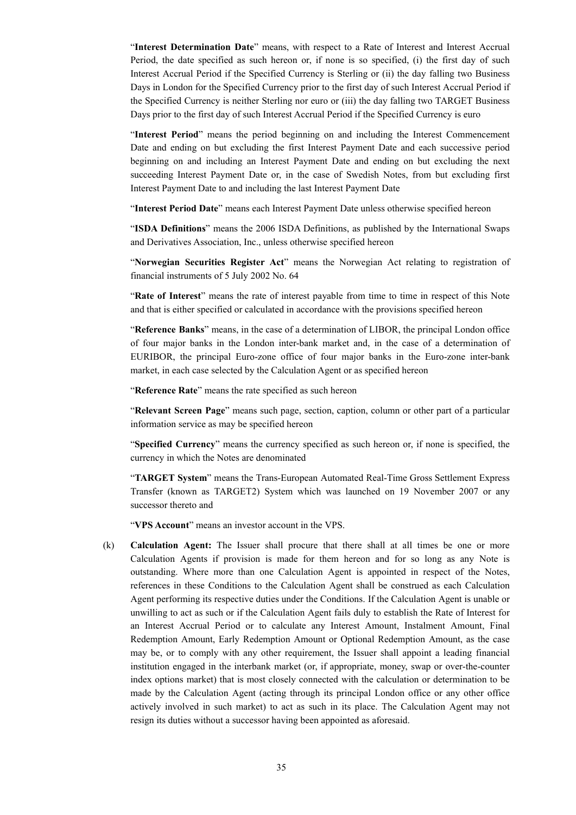"**Interest Determination Date**" means, with respect to a Rate of Interest and Interest Accrual Period, the date specified as such hereon or, if none is so specified, (i) the first day of such Interest Accrual Period if the Specified Currency is Sterling or (ii) the day falling two Business Days in London for the Specified Currency prior to the first day of such Interest Accrual Period if the Specified Currency is neither Sterling nor euro or (iii) the day falling two TARGET Business Days prior to the first day of such Interest Accrual Period if the Specified Currency is euro

"**Interest Period**" means the period beginning on and including the Interest Commencement Date and ending on but excluding the first Interest Payment Date and each successive period beginning on and including an Interest Payment Date and ending on but excluding the next succeeding Interest Payment Date or, in the case of Swedish Notes, from but excluding first Interest Payment Date to and including the last Interest Payment Date

"**Interest Period Date**" means each Interest Payment Date unless otherwise specified hereon

"**ISDA Definitions**" means the 2006 ISDA Definitions, as published by the International Swaps and Derivatives Association, Inc., unless otherwise specified hereon

"**Norwegian Securities Register Act**" means the Norwegian Act relating to registration of financial instruments of 5 July 2002 No. 64

"**Rate of Interest**" means the rate of interest payable from time to time in respect of this Note and that is either specified or calculated in accordance with the provisions specified hereon

"**Reference Banks**" means, in the case of a determination of LIBOR, the principal London office of four major banks in the London inter-bank market and, in the case of a determination of EURIBOR, the principal Euro-zone office of four major banks in the Euro-zone inter-bank market, in each case selected by the Calculation Agent or as specified hereon

"**Reference Rate**" means the rate specified as such hereon

"**Relevant Screen Page**" means such page, section, caption, column or other part of a particular information service as may be specified hereon

"**Specified Currency**" means the currency specified as such hereon or, if none is specified, the currency in which the Notes are denominated

"**TARGET System**" means the Trans-European Automated Real-Time Gross Settlement Express Transfer (known as TARGET2) System which was launched on 19 November 2007 or any successor thereto and

"**VPS Account**" means an investor account in the VPS.

(k) **Calculation Agent:** The Issuer shall procure that there shall at all times be one or more Calculation Agents if provision is made for them hereon and for so long as any Note is outstanding. Where more than one Calculation Agent is appointed in respect of the Notes, references in these Conditions to the Calculation Agent shall be construed as each Calculation Agent performing its respective duties under the Conditions. If the Calculation Agent is unable or unwilling to act as such or if the Calculation Agent fails duly to establish the Rate of Interest for an Interest Accrual Period or to calculate any Interest Amount, Instalment Amount, Final Redemption Amount, Early Redemption Amount or Optional Redemption Amount, as the case may be, or to comply with any other requirement, the Issuer shall appoint a leading financial institution engaged in the interbank market (or, if appropriate, money, swap or over-the-counter index options market) that is most closely connected with the calculation or determination to be made by the Calculation Agent (acting through its principal London office or any other office actively involved in such market) to act as such in its place. The Calculation Agent may not resign its duties without a successor having been appointed as aforesaid.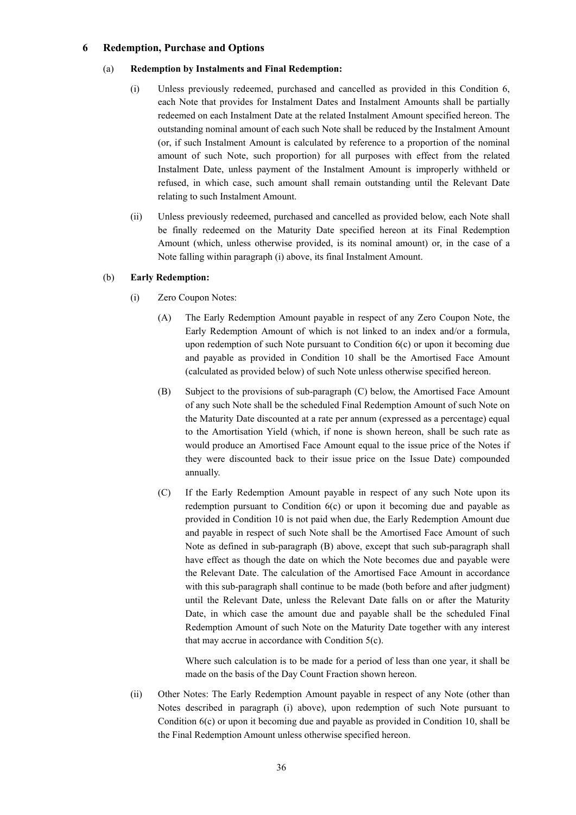## **6 Redemption, Purchase and Options**

#### (a) **Redemption by Instalments and Final Redemption:**

- (i) Unless previously redeemed, purchased and cancelled as provided in this Condition 6, each Note that provides for Instalment Dates and Instalment Amounts shall be partially redeemed on each Instalment Date at the related Instalment Amount specified hereon. The outstanding nominal amount of each such Note shall be reduced by the Instalment Amount (or, if such Instalment Amount is calculated by reference to a proportion of the nominal amount of such Note, such proportion) for all purposes with effect from the related Instalment Date, unless payment of the Instalment Amount is improperly withheld or refused, in which case, such amount shall remain outstanding until the Relevant Date relating to such Instalment Amount.
- (ii) Unless previously redeemed, purchased and cancelled as provided below, each Note shall be finally redeemed on the Maturity Date specified hereon at its Final Redemption Amount (which, unless otherwise provided, is its nominal amount) or, in the case of a Note falling within paragraph (i) above, its final Instalment Amount.

#### (b) **Early Redemption:**

- (i) Zero Coupon Notes:
	- (A) The Early Redemption Amount payable in respect of any Zero Coupon Note, the Early Redemption Amount of which is not linked to an index and/or a formula, upon redemption of such Note pursuant to Condition 6(c) or upon it becoming due and payable as provided in Condition 10 shall be the Amortised Face Amount (calculated as provided below) of such Note unless otherwise specified hereon.
	- (B) Subject to the provisions of sub-paragraph (C) below, the Amortised Face Amount of any such Note shall be the scheduled Final Redemption Amount of such Note on the Maturity Date discounted at a rate per annum (expressed as a percentage) equal to the Amortisation Yield (which, if none is shown hereon, shall be such rate as would produce an Amortised Face Amount equal to the issue price of the Notes if they were discounted back to their issue price on the Issue Date) compounded annually.
	- (C) If the Early Redemption Amount payable in respect of any such Note upon its redemption pursuant to Condition 6(c) or upon it becoming due and payable as provided in Condition 10 is not paid when due, the Early Redemption Amount due and payable in respect of such Note shall be the Amortised Face Amount of such Note as defined in sub-paragraph (B) above, except that such sub-paragraph shall have effect as though the date on which the Note becomes due and payable were the Relevant Date. The calculation of the Amortised Face Amount in accordance with this sub-paragraph shall continue to be made (both before and after judgment) until the Relevant Date, unless the Relevant Date falls on or after the Maturity Date, in which case the amount due and payable shall be the scheduled Final Redemption Amount of such Note on the Maturity Date together with any interest that may accrue in accordance with Condition 5(c).

Where such calculation is to be made for a period of less than one year, it shall be made on the basis of the Day Count Fraction shown hereon.

(ii) Other Notes: The Early Redemption Amount payable in respect of any Note (other than Notes described in paragraph (i) above), upon redemption of such Note pursuant to Condition 6(c) or upon it becoming due and payable as provided in Condition 10, shall be the Final Redemption Amount unless otherwise specified hereon.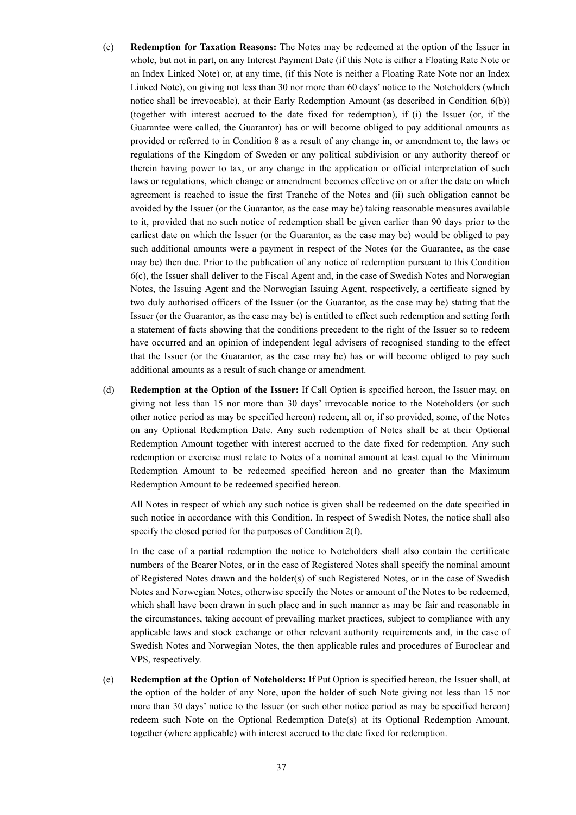- (c) **Redemption for Taxation Reasons:** The Notes may be redeemed at the option of the Issuer in whole, but not in part, on any Interest Payment Date (if this Note is either a Floating Rate Note or an Index Linked Note) or, at any time, (if this Note is neither a Floating Rate Note nor an Index Linked Note), on giving not less than 30 nor more than 60 days' notice to the Noteholders (which notice shall be irrevocable), at their Early Redemption Amount (as described in Condition 6(b)) (together with interest accrued to the date fixed for redemption), if (i) the Issuer (or, if the Guarantee were called, the Guarantor) has or will become obliged to pay additional amounts as provided or referred to in Condition 8 as a result of any change in, or amendment to, the laws or regulations of the Kingdom of Sweden or any political subdivision or any authority thereof or therein having power to tax, or any change in the application or official interpretation of such laws or regulations, which change or amendment becomes effective on or after the date on which agreement is reached to issue the first Tranche of the Notes and (ii) such obligation cannot be avoided by the Issuer (or the Guarantor, as the case may be) taking reasonable measures available to it, provided that no such notice of redemption shall be given earlier than 90 days prior to the earliest date on which the Issuer (or the Guarantor, as the case may be) would be obliged to pay such additional amounts were a payment in respect of the Notes (or the Guarantee, as the case may be) then due. Prior to the publication of any notice of redemption pursuant to this Condition 6(c), the Issuer shall deliver to the Fiscal Agent and, in the case of Swedish Notes and Norwegian Notes, the Issuing Agent and the Norwegian Issuing Agent, respectively, a certificate signed by two duly authorised officers of the Issuer (or the Guarantor, as the case may be) stating that the Issuer (or the Guarantor, as the case may be) is entitled to effect such redemption and setting forth a statement of facts showing that the conditions precedent to the right of the Issuer so to redeem have occurred and an opinion of independent legal advisers of recognised standing to the effect that the Issuer (or the Guarantor, as the case may be) has or will become obliged to pay such additional amounts as a result of such change or amendment.
- (d) **Redemption at the Option of the Issuer:** If Call Option is specified hereon, the Issuer may, on giving not less than 15 nor more than 30 days' irrevocable notice to the Noteholders (or such other notice period as may be specified hereon) redeem, all or, if so provided, some, of the Notes on any Optional Redemption Date. Any such redemption of Notes shall be at their Optional Redemption Amount together with interest accrued to the date fixed for redemption. Any such redemption or exercise must relate to Notes of a nominal amount at least equal to the Minimum Redemption Amount to be redeemed specified hereon and no greater than the Maximum Redemption Amount to be redeemed specified hereon.

All Notes in respect of which any such notice is given shall be redeemed on the date specified in such notice in accordance with this Condition. In respect of Swedish Notes, the notice shall also specify the closed period for the purposes of Condition 2(f).

In the case of a partial redemption the notice to Noteholders shall also contain the certificate numbers of the Bearer Notes, or in the case of Registered Notes shall specify the nominal amount of Registered Notes drawn and the holder(s) of such Registered Notes, or in the case of Swedish Notes and Norwegian Notes, otherwise specify the Notes or amount of the Notes to be redeemed, which shall have been drawn in such place and in such manner as may be fair and reasonable in the circumstances, taking account of prevailing market practices, subject to compliance with any applicable laws and stock exchange or other relevant authority requirements and, in the case of Swedish Notes and Norwegian Notes, the then applicable rules and procedures of Euroclear and VPS, respectively.

(e) **Redemption at the Option of Noteholders:** If Put Option is specified hereon, the Issuer shall, at the option of the holder of any Note, upon the holder of such Note giving not less than 15 nor more than 30 days' notice to the Issuer (or such other notice period as may be specified hereon) redeem such Note on the Optional Redemption Date(s) at its Optional Redemption Amount, together (where applicable) with interest accrued to the date fixed for redemption.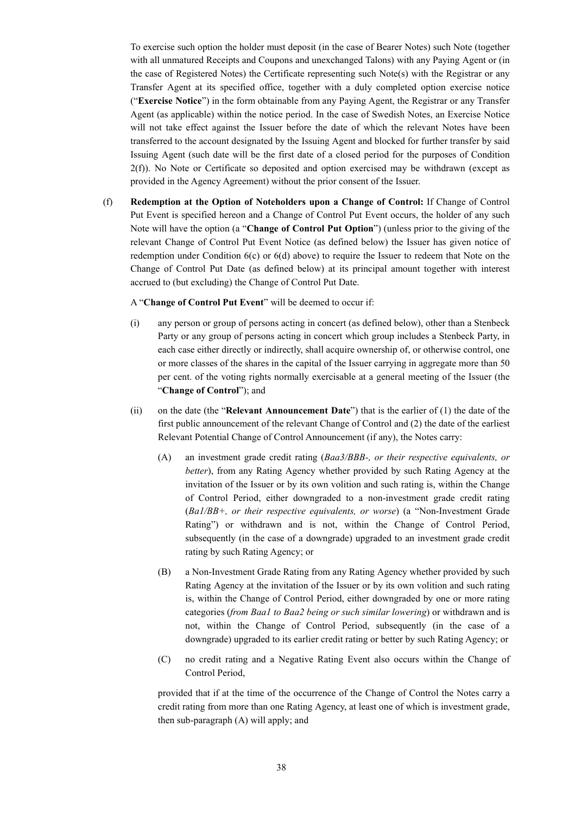To exercise such option the holder must deposit (in the case of Bearer Notes) such Note (together with all unmatured Receipts and Coupons and unexchanged Talons) with any Paying Agent or (in the case of Registered Notes) the Certificate representing such Note(s) with the Registrar or any Transfer Agent at its specified office, together with a duly completed option exercise notice ("**Exercise Notice**") in the form obtainable from any Paying Agent, the Registrar or any Transfer Agent (as applicable) within the notice period. In the case of Swedish Notes, an Exercise Notice will not take effect against the Issuer before the date of which the relevant Notes have been transferred to the account designated by the Issuing Agent and blocked for further transfer by said Issuing Agent (such date will be the first date of a closed period for the purposes of Condition 2(f)). No Note or Certificate so deposited and option exercised may be withdrawn (except as provided in the Agency Agreement) without the prior consent of the Issuer.

(f) **Redemption at the Option of Noteholders upon a Change of Control:** If Change of Control Put Event is specified hereon and a Change of Control Put Event occurs, the holder of any such Note will have the option (a "**Change of Control Put Option**") (unless prior to the giving of the relevant Change of Control Put Event Notice (as defined below) the Issuer has given notice of redemption under Condition  $6(c)$  or  $6(d)$  above) to require the Issuer to redeem that Note on the Change of Control Put Date (as defined below) at its principal amount together with interest accrued to (but excluding) the Change of Control Put Date.

A "**Change of Control Put Event**" will be deemed to occur if:

- (i) any person or group of persons acting in concert (as defined below), other than a Stenbeck Party or any group of persons acting in concert which group includes a Stenbeck Party, in each case either directly or indirectly, shall acquire ownership of, or otherwise control, one or more classes of the shares in the capital of the Issuer carrying in aggregate more than 50 per cent. of the voting rights normally exercisable at a general meeting of the Issuer (the "**Change of Control**"); and
- (ii) on the date (the "**Relevant Announcement Date**") that is the earlier of (1) the date of the first public announcement of the relevant Change of Control and (2) the date of the earliest Relevant Potential Change of Control Announcement (if any), the Notes carry:
	- (A) an investment grade credit rating (*Baa3/BBB-, or their respective equivalents, or better*), from any Rating Agency whether provided by such Rating Agency at the invitation of the Issuer or by its own volition and such rating is, within the Change of Control Period, either downgraded to a non-investment grade credit rating (*Ba1/BB+, or their respective equivalents, or worse*) (a "Non-Investment Grade Rating") or withdrawn and is not, within the Change of Control Period, subsequently (in the case of a downgrade) upgraded to an investment grade credit rating by such Rating Agency; or
	- (B) a Non-Investment Grade Rating from any Rating Agency whether provided by such Rating Agency at the invitation of the Issuer or by its own volition and such rating is, within the Change of Control Period, either downgraded by one or more rating categories (*from Baa1 to Baa2 being or such similar lowering*) or withdrawn and is not, within the Change of Control Period, subsequently (in the case of a downgrade) upgraded to its earlier credit rating or better by such Rating Agency; or
	- (C) no credit rating and a Negative Rating Event also occurs within the Change of Control Period,

provided that if at the time of the occurrence of the Change of Control the Notes carry a credit rating from more than one Rating Agency, at least one of which is investment grade, then sub-paragraph (A) will apply; and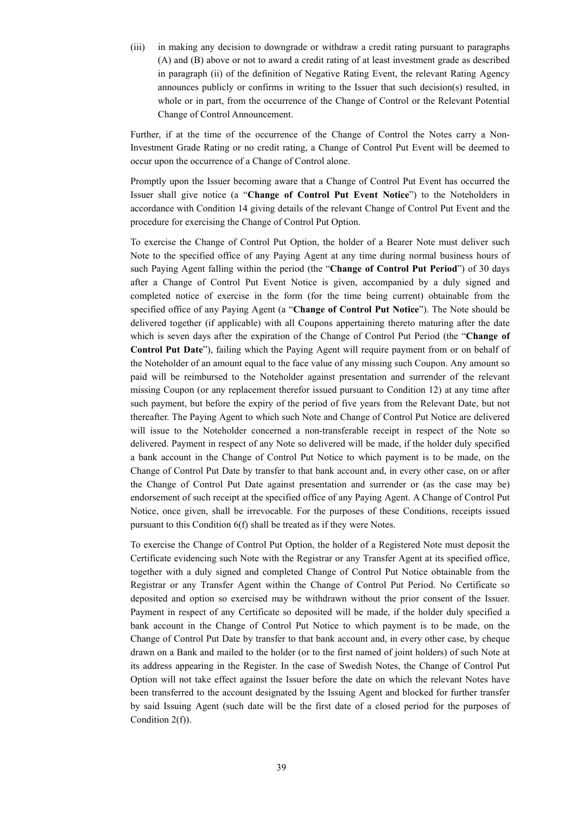(iii) in making any decision to downgrade or withdraw a credit rating pursuant to paragraphs (A) and (B) above or not to award a credit rating of at least investment grade as described in paragraph (ii) of the definition of Negative Rating Event, the relevant Rating Agency announces publicly or confirms in writing to the Issuer that such decision(s) resulted, in whole or in part, from the occurrence of the Change of Control or the Relevant Potential Change of Control Announcement.

Further, if at the time of the occurrence of the Change of Control the Notes carry a Non-Investment Grade Rating or no credit rating, a Change of Control Put Event will be deemed to occur upon the occurrence of a Change of Control alone.

Promptly upon the Issuer becoming aware that a Change of Control Put Event has occurred the Issuer shall give notice (a "**Change of Control Put Event Notice**") to the Noteholders in accordance with Condition 14 giving details of the relevant Change of Control Put Event and the procedure for exercising the Change of Control Put Option.

To exercise the Change of Control Put Option, the holder of a Bearer Note must deliver such Note to the specified office of any Paying Agent at any time during normal business hours of such Paying Agent falling within the period (the "**Change of Control Put Period**") of 30 days after a Change of Control Put Event Notice is given, accompanied by a duly signed and completed notice of exercise in the form (for the time being current) obtainable from the specified office of any Paying Agent (a "**Change of Control Put Notice**"). The Note should be delivered together (if applicable) with all Coupons appertaining thereto maturing after the date which is seven days after the expiration of the Change of Control Put Period (the "**Change of Control Put Date**"), failing which the Paying Agent will require payment from or on behalf of the Noteholder of an amount equal to the face value of any missing such Coupon. Any amount so paid will be reimbursed to the Noteholder against presentation and surrender of the relevant missing Coupon (or any replacement therefor issued pursuant to Condition 12) at any time after such payment, but before the expiry of the period of five years from the Relevant Date, but not thereafter. The Paying Agent to which such Note and Change of Control Put Notice are delivered will issue to the Noteholder concerned a non-transferable receipt in respect of the Note so delivered. Payment in respect of any Note so delivered will be made, if the holder duly specified a bank account in the Change of Control Put Notice to which payment is to be made, on the Change of Control Put Date by transfer to that bank account and, in every other case, on or after the Change of Control Put Date against presentation and surrender or (as the case may be) endorsement of such receipt at the specified office of any Paying Agent. A Change of Control Put Notice, once given, shall be irrevocable. For the purposes of these Conditions, receipts issued pursuant to this Condition 6(f) shall be treated as if they were Notes.

To exercise the Change of Control Put Option, the holder of a Registered Note must deposit the Certificate evidencing such Note with the Registrar or any Transfer Agent at its specified office, together with a duly signed and completed Change of Control Put Notice obtainable from the Registrar or any Transfer Agent within the Change of Control Put Period. No Certificate so deposited and option so exercised may be withdrawn without the prior consent of the Issuer. Payment in respect of any Certificate so deposited will be made, if the holder duly specified a bank account in the Change of Control Put Notice to which payment is to be made, on the Change of Control Put Date by transfer to that bank account and, in every other case, by cheque drawn on a Bank and mailed to the holder (or to the first named of joint holders) of such Note at its address appearing in the Register. In the case of Swedish Notes, the Change of Control Put Option will not take effect against the Issuer before the date on which the relevant Notes have been transferred to the account designated by the Issuing Agent and blocked for further transfer by said Issuing Agent (such date will be the first date of a closed period for the purposes of Condition 2(f)).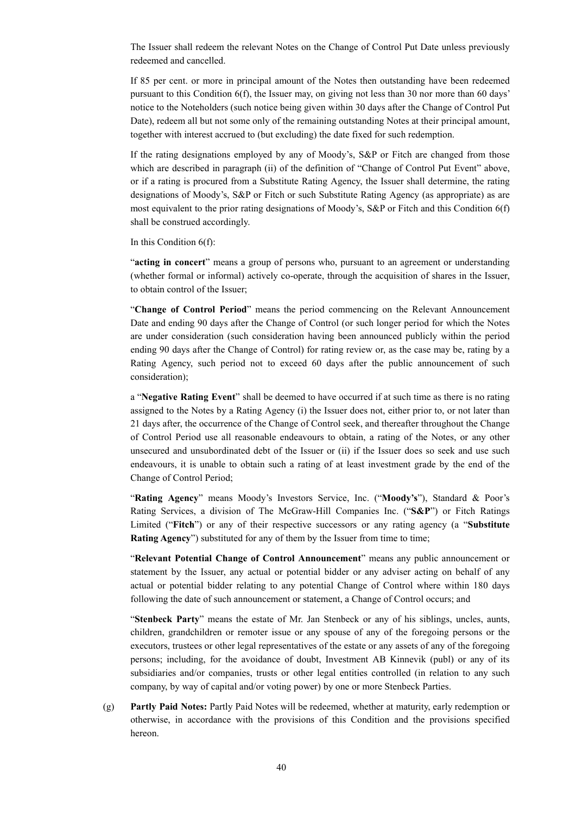The Issuer shall redeem the relevant Notes on the Change of Control Put Date unless previously redeemed and cancelled.

If 85 per cent. or more in principal amount of the Notes then outstanding have been redeemed pursuant to this Condition 6(f), the Issuer may, on giving not less than 30 nor more than 60 days' notice to the Noteholders (such notice being given within 30 days after the Change of Control Put Date), redeem all but not some only of the remaining outstanding Notes at their principal amount, together with interest accrued to (but excluding) the date fixed for such redemption.

If the rating designations employed by any of Moody's, S&P or Fitch are changed from those which are described in paragraph (ii) of the definition of "Change of Control Put Event" above, or if a rating is procured from a Substitute Rating Agency, the Issuer shall determine, the rating designations of Moody's, S&P or Fitch or such Substitute Rating Agency (as appropriate) as are most equivalent to the prior rating designations of Moody's, S&P or Fitch and this Condition 6(f) shall be construed accordingly.

In this Condition 6(f):

"**acting in concert**" means a group of persons who, pursuant to an agreement or understanding (whether formal or informal) actively co-operate, through the acquisition of shares in the Issuer, to obtain control of the Issuer;

"**Change of Control Period**" means the period commencing on the Relevant Announcement Date and ending 90 days after the Change of Control (or such longer period for which the Notes are under consideration (such consideration having been announced publicly within the period ending 90 days after the Change of Control) for rating review or, as the case may be, rating by a Rating Agency, such period not to exceed 60 days after the public announcement of such consideration);

a "**Negative Rating Event**" shall be deemed to have occurred if at such time as there is no rating assigned to the Notes by a Rating Agency (i) the Issuer does not, either prior to, or not later than 21 days after, the occurrence of the Change of Control seek, and thereafter throughout the Change of Control Period use all reasonable endeavours to obtain, a rating of the Notes, or any other unsecured and unsubordinated debt of the Issuer or (ii) if the Issuer does so seek and use such endeavours, it is unable to obtain such a rating of at least investment grade by the end of the Change of Control Period;

"**Rating Agency**" means Moody's Investors Service, Inc. ("**Moody's**"), Standard & Poor's Rating Services, a division of The McGraw-Hill Companies Inc. ("**S&P**") or Fitch Ratings Limited ("**Fitch**") or any of their respective successors or any rating agency (a "**Substitute Rating Agency**") substituted for any of them by the Issuer from time to time;

"**Relevant Potential Change of Control Announcement**" means any public announcement or statement by the Issuer, any actual or potential bidder or any adviser acting on behalf of any actual or potential bidder relating to any potential Change of Control where within 180 days following the date of such announcement or statement, a Change of Control occurs; and

"**Stenbeck Party**" means the estate of Mr. Jan Stenbeck or any of his siblings, uncles, aunts, children, grandchildren or remoter issue or any spouse of any of the foregoing persons or the executors, trustees or other legal representatives of the estate or any assets of any of the foregoing persons; including, for the avoidance of doubt, Investment AB Kinnevik (publ) or any of its subsidiaries and/or companies, trusts or other legal entities controlled (in relation to any such company, by way of capital and/or voting power) by one or more Stenbeck Parties.

(g) **Partly Paid Notes:** Partly Paid Notes will be redeemed, whether at maturity, early redemption or otherwise, in accordance with the provisions of this Condition and the provisions specified hereon.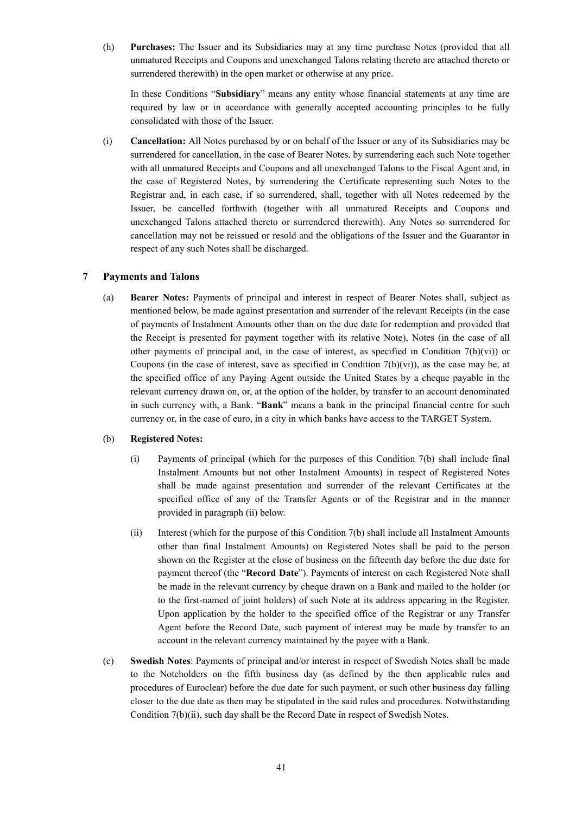(h) **Purchases:** The Issuer and its Subsidiaries may at any time purchase Notes (provided that all unmatured Receipts and Coupons and unexchanged Talons relating thereto are attached thereto or surrendered therewith) in the open market or otherwise at any price.

In these Conditions "**Subsidiary**" means any entity whose financial statements at any time are required by law or in accordance with generally accepted accounting principles to be fully consolidated with those of the Issuer.

(i) **Cancellation:** All Notes purchased by or on behalf of the Issuer or any of its Subsidiaries may be surrendered for cancellation, in the case of Bearer Notes, by surrendering each such Note together with all unmatured Receipts and Coupons and all unexchanged Talons to the Fiscal Agent and, in the case of Registered Notes, by surrendering the Certificate representing such Notes to the Registrar and, in each case, if so surrendered, shall, together with all Notes redeemed by the Issuer, be cancelled forthwith (together with all unmatured Receipts and Coupons and unexchanged Talons attached thereto or surrendered therewith). Any Notes so surrendered for cancellation may not be reissued or resold and the obligations of the Issuer and the Guarantor in respect of any such Notes shall be discharged.

# **7 Payments and Talons**

(a) **Bearer Notes:** Payments of principal and interest in respect of Bearer Notes shall, subject as mentioned below, be made against presentation and surrender of the relevant Receipts (in the case of payments of Instalment Amounts other than on the due date for redemption and provided that the Receipt is presented for payment together with its relative Note), Notes (in the case of all other payments of principal and, in the case of interest, as specified in Condition  $7(h)(vi)$  or Coupons (in the case of interest, save as specified in Condition  $7(h)(vi)$ ), as the case may be, at the specified office of any Paying Agent outside the United States by a cheque payable in the relevant currency drawn on, or, at the option of the holder, by transfer to an account denominated in such currency with, a Bank. "**Bank**" means a bank in the principal financial centre for such currency or, in the case of euro, in a city in which banks have access to the TARGET System.

## (b) **Registered Notes:**

- (i) Payments of principal (which for the purposes of this Condition 7(b) shall include final Instalment Amounts but not other Instalment Amounts) in respect of Registered Notes shall be made against presentation and surrender of the relevant Certificates at the specified office of any of the Transfer Agents or of the Registrar and in the manner provided in paragraph (ii) below.
- (ii) Interest (which for the purpose of this Condition 7(b) shall include all Instalment Amounts other than final Instalment Amounts) on Registered Notes shall be paid to the person shown on the Register at the close of business on the fifteenth day before the due date for payment thereof (the "**Record Date**"). Payments of interest on each Registered Note shall be made in the relevant currency by cheque drawn on a Bank and mailed to the holder (or to the first-named of joint holders) of such Note at its address appearing in the Register. Upon application by the holder to the specified office of the Registrar or any Transfer Agent before the Record Date, such payment of interest may be made by transfer to an account in the relevant currency maintained by the payee with a Bank.
- (c) **Swedish Notes**: Payments of principal and/or interest in respect of Swedish Notes shall be made to the Noteholders on the fifth business day (as defined by the then applicable rules and procedures of Euroclear) before the due date for such payment, or such other business day falling closer to the due date as then may be stipulated in the said rules and procedures. Notwithstanding Condition 7(b)(ii), such day shall be the Record Date in respect of Swedish Notes.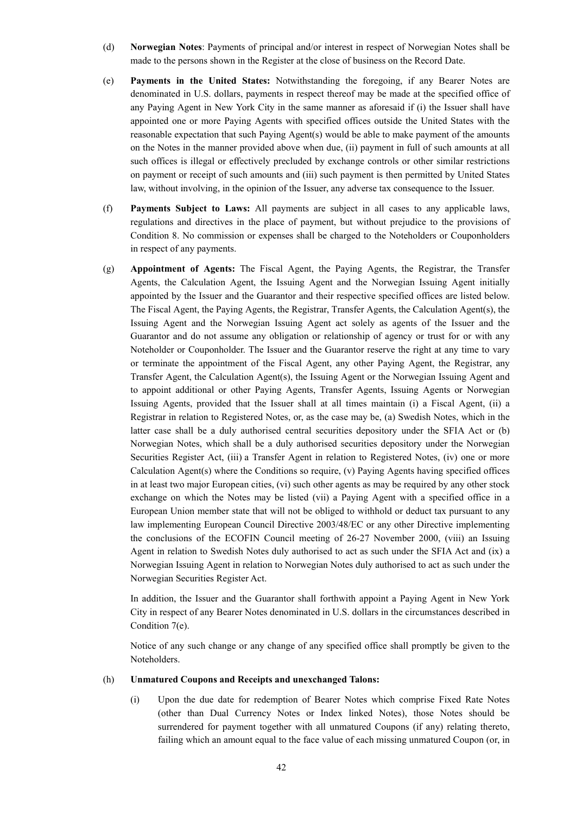- (d) **Norwegian Notes**: Payments of principal and/or interest in respect of Norwegian Notes shall be made to the persons shown in the Register at the close of business on the Record Date.
- (e) **Payments in the United States:** Notwithstanding the foregoing, if any Bearer Notes are denominated in U.S. dollars, payments in respect thereof may be made at the specified office of any Paying Agent in New York City in the same manner as aforesaid if (i) the Issuer shall have appointed one or more Paying Agents with specified offices outside the United States with the reasonable expectation that such Paying Agent(s) would be able to make payment of the amounts on the Notes in the manner provided above when due, (ii) payment in full of such amounts at all such offices is illegal or effectively precluded by exchange controls or other similar restrictions on payment or receipt of such amounts and (iii) such payment is then permitted by United States law, without involving, in the opinion of the Issuer, any adverse tax consequence to the Issuer.
- (f) **Payments Subject to Laws:** All payments are subject in all cases to any applicable laws, regulations and directives in the place of payment, but without prejudice to the provisions of Condition 8. No commission or expenses shall be charged to the Noteholders or Couponholders in respect of any payments.
- (g) **Appointment of Agents:** The Fiscal Agent, the Paying Agents, the Registrar, the Transfer Agents, the Calculation Agent, the Issuing Agent and the Norwegian Issuing Agent initially appointed by the Issuer and the Guarantor and their respective specified offices are listed below. The Fiscal Agent, the Paying Agents, the Registrar, Transfer Agents, the Calculation Agent(s), the Issuing Agent and the Norwegian Issuing Agent act solely as agents of the Issuer and the Guarantor and do not assume any obligation or relationship of agency or trust for or with any Noteholder or Couponholder. The Issuer and the Guarantor reserve the right at any time to vary or terminate the appointment of the Fiscal Agent, any other Paying Agent, the Registrar, any Transfer Agent, the Calculation Agent(s), the Issuing Agent or the Norwegian Issuing Agent and to appoint additional or other Paying Agents, Transfer Agents, Issuing Agents or Norwegian Issuing Agents, provided that the Issuer shall at all times maintain (i) a Fiscal Agent, (ii) a Registrar in relation to Registered Notes, or, as the case may be, (a) Swedish Notes, which in the latter case shall be a duly authorised central securities depository under the SFIA Act or (b) Norwegian Notes, which shall be a duly authorised securities depository under the Norwegian Securities Register Act, (iii) a Transfer Agent in relation to Registered Notes, (iv) one or more Calculation Agent(s) where the Conditions so require, (v) Paying Agents having specified offices in at least two major European cities, (vi) such other agents as may be required by any other stock exchange on which the Notes may be listed (vii) a Paying Agent with a specified office in a European Union member state that will not be obliged to withhold or deduct tax pursuant to any law implementing European Council Directive 2003/48/EC or any other Directive implementing the conclusions of the ECOFIN Council meeting of 26-27 November 2000, (viii) an Issuing Agent in relation to Swedish Notes duly authorised to act as such under the SFIA Act and (ix) a Norwegian Issuing Agent in relation to Norwegian Notes duly authorised to act as such under the Norwegian Securities Register Act.

In addition, the Issuer and the Guarantor shall forthwith appoint a Paying Agent in New York City in respect of any Bearer Notes denominated in U.S. dollars in the circumstances described in Condition 7(e).

Notice of any such change or any change of any specified office shall promptly be given to the Noteholders.

#### (h) **Unmatured Coupons and Receipts and unexchanged Talons:**

(i) Upon the due date for redemption of Bearer Notes which comprise Fixed Rate Notes (other than Dual Currency Notes or Index linked Notes), those Notes should be surrendered for payment together with all unmatured Coupons (if any) relating thereto, failing which an amount equal to the face value of each missing unmatured Coupon (or, in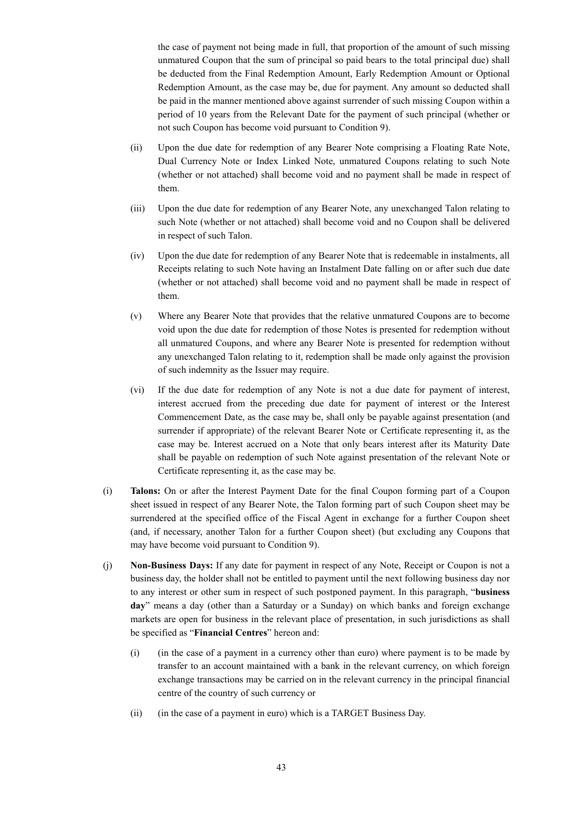the case of payment not being made in full, that proportion of the amount of such missing unmatured Coupon that the sum of principal so paid bears to the total principal due) shall be deducted from the Final Redemption Amount, Early Redemption Amount or Optional Redemption Amount, as the case may be, due for payment. Any amount so deducted shall be paid in the manner mentioned above against surrender of such missing Coupon within a period of 10 years from the Relevant Date for the payment of such principal (whether or not such Coupon has become void pursuant to Condition 9).

- (ii) Upon the due date for redemption of any Bearer Note comprising a Floating Rate Note, Dual Currency Note or Index Linked Note, unmatured Coupons relating to such Note (whether or not attached) shall become void and no payment shall be made in respect of them.
- (iii) Upon the due date for redemption of any Bearer Note, any unexchanged Talon relating to such Note (whether or not attached) shall become void and no Coupon shall be delivered in respect of such Talon.
- (iv) Upon the due date for redemption of any Bearer Note that is redeemable in instalments, all Receipts relating to such Note having an Instalment Date falling on or after such due date (whether or not attached) shall become void and no payment shall be made in respect of them.
- (v) Where any Bearer Note that provides that the relative unmatured Coupons are to become void upon the due date for redemption of those Notes is presented for redemption without all unmatured Coupons, and where any Bearer Note is presented for redemption without any unexchanged Talon relating to it, redemption shall be made only against the provision of such indemnity as the Issuer may require.
- (vi) If the due date for redemption of any Note is not a due date for payment of interest, interest accrued from the preceding due date for payment of interest or the Interest Commencement Date, as the case may be, shall only be payable against presentation (and surrender if appropriate) of the relevant Bearer Note or Certificate representing it, as the case may be. Interest accrued on a Note that only bears interest after its Maturity Date shall be payable on redemption of such Note against presentation of the relevant Note or Certificate representing it, as the case may be.
- (i) **Talons:** On or after the Interest Payment Date for the final Coupon forming part of a Coupon sheet issued in respect of any Bearer Note, the Talon forming part of such Coupon sheet may be surrendered at the specified office of the Fiscal Agent in exchange for a further Coupon sheet (and, if necessary, another Talon for a further Coupon sheet) (but excluding any Coupons that may have become void pursuant to Condition 9).
- (j) **Non-Business Days:** If any date for payment in respect of any Note, Receipt or Coupon is not a business day, the holder shall not be entitled to payment until the next following business day nor to any interest or other sum in respect of such postponed payment. In this paragraph, "**business day**" means a day (other than a Saturday or a Sunday) on which banks and foreign exchange markets are open for business in the relevant place of presentation, in such jurisdictions as shall be specified as "**Financial Centres**" hereon and:
	- (i) (in the case of a payment in a currency other than euro) where payment is to be made by transfer to an account maintained with a bank in the relevant currency, on which foreign exchange transactions may be carried on in the relevant currency in the principal financial centre of the country of such currency or
	- (ii) (in the case of a payment in euro) which is a TARGET Business Day.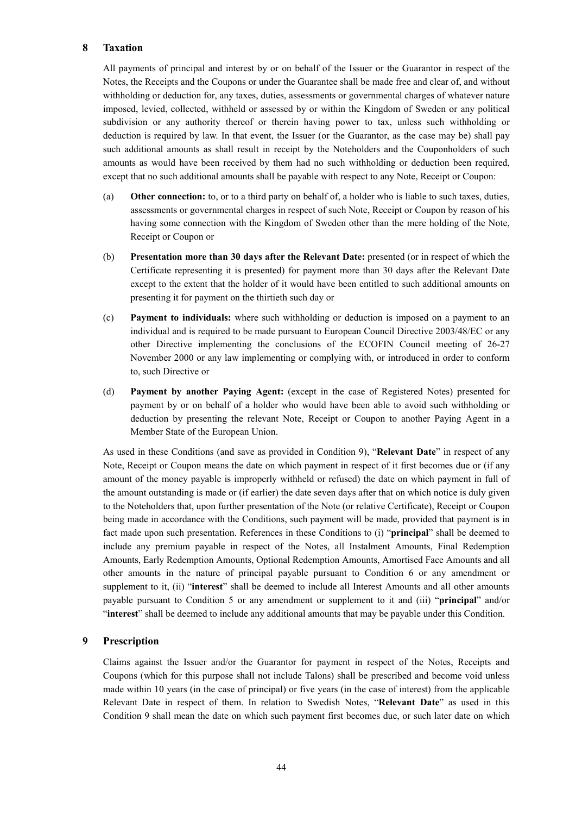# **8 Taxation**

All payments of principal and interest by or on behalf of the Issuer or the Guarantor in respect of the Notes, the Receipts and the Coupons or under the Guarantee shall be made free and clear of, and without withholding or deduction for, any taxes, duties, assessments or governmental charges of whatever nature imposed, levied, collected, withheld or assessed by or within the Kingdom of Sweden or any political subdivision or any authority thereof or therein having power to tax, unless such withholding or deduction is required by law. In that event, the Issuer (or the Guarantor, as the case may be) shall pay such additional amounts as shall result in receipt by the Noteholders and the Couponholders of such amounts as would have been received by them had no such withholding or deduction been required, except that no such additional amounts shall be payable with respect to any Note, Receipt or Coupon:

- (a) **Other connection:** to, or to a third party on behalf of, a holder who is liable to such taxes, duties, assessments or governmental charges in respect of such Note, Receipt or Coupon by reason of his having some connection with the Kingdom of Sweden other than the mere holding of the Note, Receipt or Coupon or
- (b) **Presentation more than 30 days after the Relevant Date:** presented (or in respect of which the Certificate representing it is presented) for payment more than 30 days after the Relevant Date except to the extent that the holder of it would have been entitled to such additional amounts on presenting it for payment on the thirtieth such day or
- (c) **Payment to individuals:** where such withholding or deduction is imposed on a payment to an individual and is required to be made pursuant to European Council Directive 2003/48/EC or any other Directive implementing the conclusions of the ECOFIN Council meeting of 26-27 November 2000 or any law implementing or complying with, or introduced in order to conform to, such Directive or
- (d) **Payment by another Paying Agent:** (except in the case of Registered Notes) presented for payment by or on behalf of a holder who would have been able to avoid such withholding or deduction by presenting the relevant Note, Receipt or Coupon to another Paying Agent in a Member State of the European Union.

As used in these Conditions (and save as provided in Condition 9), "**Relevant Date**" in respect of any Note, Receipt or Coupon means the date on which payment in respect of it first becomes due or (if any amount of the money payable is improperly withheld or refused) the date on which payment in full of the amount outstanding is made or (if earlier) the date seven days after that on which notice is duly given to the Noteholders that, upon further presentation of the Note (or relative Certificate), Receipt or Coupon being made in accordance with the Conditions, such payment will be made, provided that payment is in fact made upon such presentation. References in these Conditions to (i) "**principal**" shall be deemed to include any premium payable in respect of the Notes, all Instalment Amounts, Final Redemption Amounts, Early Redemption Amounts, Optional Redemption Amounts, Amortised Face Amounts and all other amounts in the nature of principal payable pursuant to Condition 6 or any amendment or supplement to it, (ii) "**interest**" shall be deemed to include all Interest Amounts and all other amounts payable pursuant to Condition 5 or any amendment or supplement to it and (iii) "**principal**" and/or "**interest**" shall be deemed to include any additional amounts that may be payable under this Condition.

# **9 Prescription**

Claims against the Issuer and/or the Guarantor for payment in respect of the Notes, Receipts and Coupons (which for this purpose shall not include Talons) shall be prescribed and become void unless made within 10 years (in the case of principal) or five years (in the case of interest) from the applicable Relevant Date in respect of them. In relation to Swedish Notes, "**Relevant Date**" as used in this Condition 9 shall mean the date on which such payment first becomes due, or such later date on which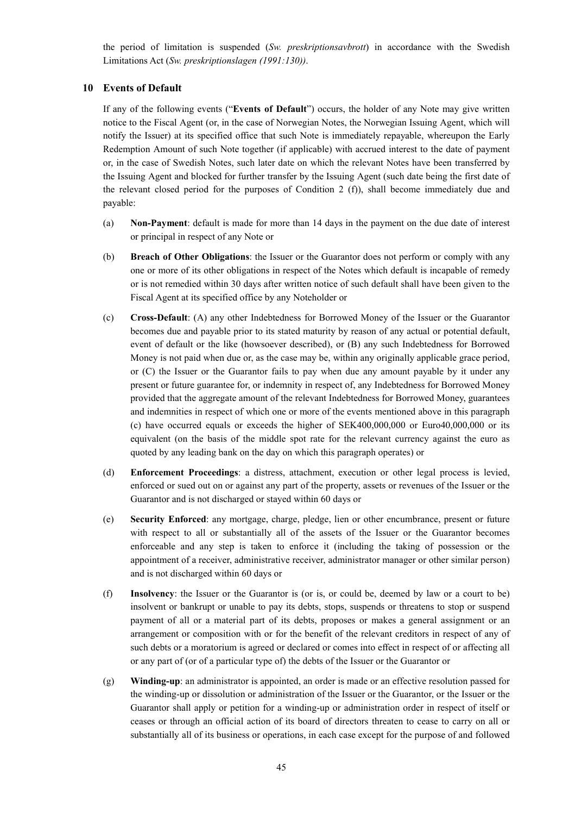the period of limitation is suspended (*Sw. preskriptionsavbrott*) in accordance with the Swedish Limitations Act (*Sw. preskriptionslagen (1991:130))*.

# **10 Events of Default**

If any of the following events ("**Events of Default**") occurs, the holder of any Note may give written notice to the Fiscal Agent (or, in the case of Norwegian Notes, the Norwegian Issuing Agent, which will notify the Issuer) at its specified office that such Note is immediately repayable, whereupon the Early Redemption Amount of such Note together (if applicable) with accrued interest to the date of payment or, in the case of Swedish Notes, such later date on which the relevant Notes have been transferred by the Issuing Agent and blocked for further transfer by the Issuing Agent (such date being the first date of the relevant closed period for the purposes of Condition 2 (f)), shall become immediately due and payable:

- (a) **Non-Payment**: default is made for more than 14 days in the payment on the due date of interest or principal in respect of any Note or
- (b) **Breach of Other Obligations**: the Issuer or the Guarantor does not perform or comply with any one or more of its other obligations in respect of the Notes which default is incapable of remedy or is not remedied within 30 days after written notice of such default shall have been given to the Fiscal Agent at its specified office by any Noteholder or
- (c) **Cross-Default**: (A) any other Indebtedness for Borrowed Money of the Issuer or the Guarantor becomes due and payable prior to its stated maturity by reason of any actual or potential default, event of default or the like (howsoever described), or (B) any such Indebtedness for Borrowed Money is not paid when due or, as the case may be, within any originally applicable grace period, or (C) the Issuer or the Guarantor fails to pay when due any amount payable by it under any present or future guarantee for, or indemnity in respect of, any Indebtedness for Borrowed Money provided that the aggregate amount of the relevant Indebtedness for Borrowed Money, guarantees and indemnities in respect of which one or more of the events mentioned above in this paragraph (c) have occurred equals or exceeds the higher of SEK400,000,000 or Euro40,000,000 or its equivalent (on the basis of the middle spot rate for the relevant currency against the euro as quoted by any leading bank on the day on which this paragraph operates) or
- (d) **Enforcement Proceedings**: a distress, attachment, execution or other legal process is levied, enforced or sued out on or against any part of the property, assets or revenues of the Issuer or the Guarantor and is not discharged or stayed within 60 days or
- (e) **Security Enforced**: any mortgage, charge, pledge, lien or other encumbrance, present or future with respect to all or substantially all of the assets of the Issuer or the Guarantor becomes enforceable and any step is taken to enforce it (including the taking of possession or the appointment of a receiver, administrative receiver, administrator manager or other similar person) and is not discharged within 60 days or
- (f) **Insolvency**: the Issuer or the Guarantor is (or is, or could be, deemed by law or a court to be) insolvent or bankrupt or unable to pay its debts, stops, suspends or threatens to stop or suspend payment of all or a material part of its debts, proposes or makes a general assignment or an arrangement or composition with or for the benefit of the relevant creditors in respect of any of such debts or a moratorium is agreed or declared or comes into effect in respect of or affecting all or any part of (or of a particular type of) the debts of the Issuer or the Guarantor or
- (g) **Winding-up**: an administrator is appointed, an order is made or an effective resolution passed for the winding-up or dissolution or administration of the Issuer or the Guarantor, or the Issuer or the Guarantor shall apply or petition for a winding-up or administration order in respect of itself or ceases or through an official action of its board of directors threaten to cease to carry on all or substantially all of its business or operations, in each case except for the purpose of and followed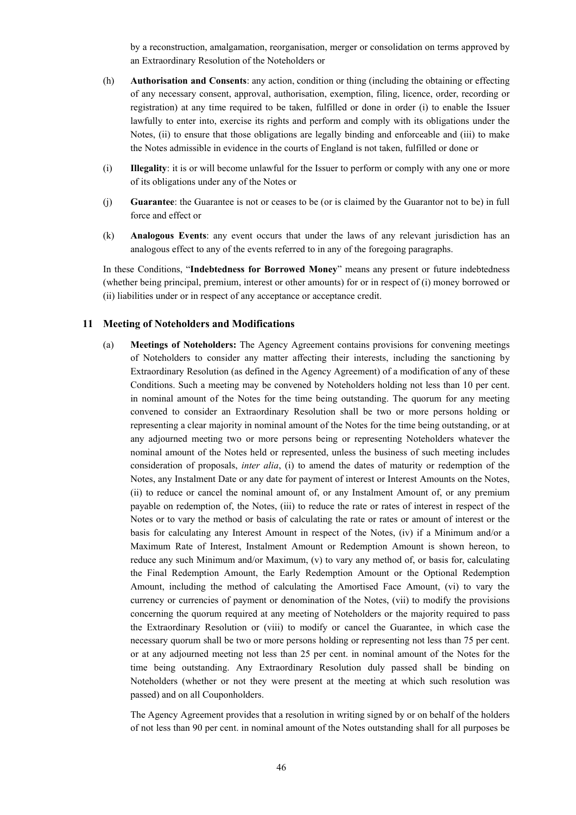by a reconstruction, amalgamation, reorganisation, merger or consolidation on terms approved by an Extraordinary Resolution of the Noteholders or

- (h) **Authorisation and Consents**: any action, condition or thing (including the obtaining or effecting of any necessary consent, approval, authorisation, exemption, filing, licence, order, recording or registration) at any time required to be taken, fulfilled or done in order (i) to enable the Issuer lawfully to enter into, exercise its rights and perform and comply with its obligations under the Notes, (ii) to ensure that those obligations are legally binding and enforceable and (iii) to make the Notes admissible in evidence in the courts of England is not taken, fulfilled or done or
- (i) **Illegality**: it is or will become unlawful for the Issuer to perform or comply with any one or more of its obligations under any of the Notes or
- (j) **Guarantee**: the Guarantee is not or ceases to be (or is claimed by the Guarantor not to be) in full force and effect or
- (k) **Analogous Events**: any event occurs that under the laws of any relevant jurisdiction has an analogous effect to any of the events referred to in any of the foregoing paragraphs.

In these Conditions, "**Indebtedness for Borrowed Money**" means any present or future indebtedness (whether being principal, premium, interest or other amounts) for or in respect of (i) money borrowed or (ii) liabilities under or in respect of any acceptance or acceptance credit.

## **11 Meeting of Noteholders and Modifications**

(a) **Meetings of Noteholders:** The Agency Agreement contains provisions for convening meetings of Noteholders to consider any matter affecting their interests, including the sanctioning by Extraordinary Resolution (as defined in the Agency Agreement) of a modification of any of these Conditions. Such a meeting may be convened by Noteholders holding not less than 10 per cent. in nominal amount of the Notes for the time being outstanding. The quorum for any meeting convened to consider an Extraordinary Resolution shall be two or more persons holding or representing a clear majority in nominal amount of the Notes for the time being outstanding, or at any adjourned meeting two or more persons being or representing Noteholders whatever the nominal amount of the Notes held or represented, unless the business of such meeting includes consideration of proposals, *inter alia*, (i) to amend the dates of maturity or redemption of the Notes, any Instalment Date or any date for payment of interest or Interest Amounts on the Notes, (ii) to reduce or cancel the nominal amount of, or any Instalment Amount of, or any premium payable on redemption of, the Notes, (iii) to reduce the rate or rates of interest in respect of the Notes or to vary the method or basis of calculating the rate or rates or amount of interest or the basis for calculating any Interest Amount in respect of the Notes, (iv) if a Minimum and/or a Maximum Rate of Interest, Instalment Amount or Redemption Amount is shown hereon, to reduce any such Minimum and/or Maximum, (v) to vary any method of, or basis for, calculating the Final Redemption Amount, the Early Redemption Amount or the Optional Redemption Amount, including the method of calculating the Amortised Face Amount, (vi) to vary the currency or currencies of payment or denomination of the Notes, (vii) to modify the provisions concerning the quorum required at any meeting of Noteholders or the majority required to pass the Extraordinary Resolution or (viii) to modify or cancel the Guarantee, in which case the necessary quorum shall be two or more persons holding or representing not less than 75 per cent. or at any adjourned meeting not less than 25 per cent. in nominal amount of the Notes for the time being outstanding. Any Extraordinary Resolution duly passed shall be binding on Noteholders (whether or not they were present at the meeting at which such resolution was passed) and on all Couponholders.

The Agency Agreement provides that a resolution in writing signed by or on behalf of the holders of not less than 90 per cent. in nominal amount of the Notes outstanding shall for all purposes be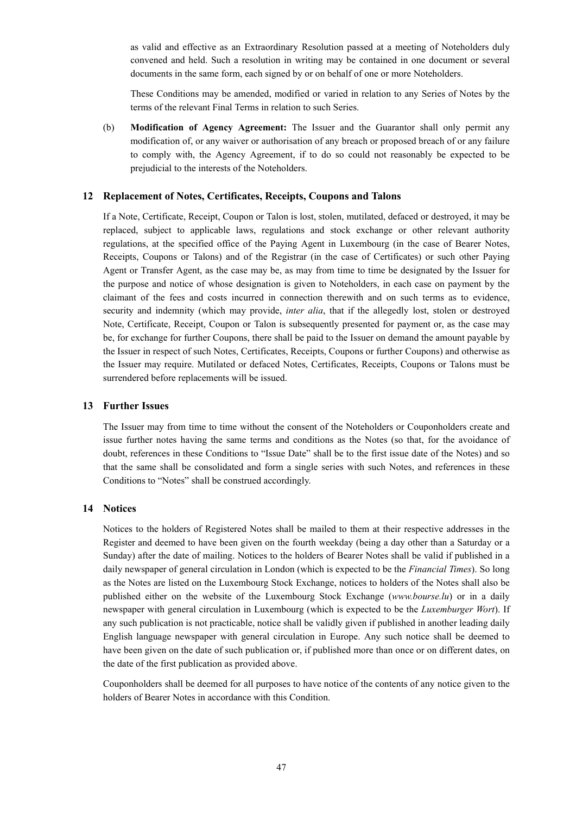as valid and effective as an Extraordinary Resolution passed at a meeting of Noteholders duly convened and held. Such a resolution in writing may be contained in one document or several documents in the same form, each signed by or on behalf of one or more Noteholders.

These Conditions may be amended, modified or varied in relation to any Series of Notes by the terms of the relevant Final Terms in relation to such Series.

(b) **Modification of Agency Agreement:** The Issuer and the Guarantor shall only permit any modification of, or any waiver or authorisation of any breach or proposed breach of or any failure to comply with, the Agency Agreement, if to do so could not reasonably be expected to be prejudicial to the interests of the Noteholders.

### **12 Replacement of Notes, Certificates, Receipts, Coupons and Talons**

If a Note, Certificate, Receipt, Coupon or Talon is lost, stolen, mutilated, defaced or destroyed, it may be replaced, subject to applicable laws, regulations and stock exchange or other relevant authority regulations, at the specified office of the Paying Agent in Luxembourg (in the case of Bearer Notes, Receipts, Coupons or Talons) and of the Registrar (in the case of Certificates) or such other Paying Agent or Transfer Agent, as the case may be, as may from time to time be designated by the Issuer for the purpose and notice of whose designation is given to Noteholders, in each case on payment by the claimant of the fees and costs incurred in connection therewith and on such terms as to evidence, security and indemnity (which may provide, *inter alia*, that if the allegedly lost, stolen or destroyed Note, Certificate, Receipt, Coupon or Talon is subsequently presented for payment or, as the case may be, for exchange for further Coupons, there shall be paid to the Issuer on demand the amount payable by the Issuer in respect of such Notes, Certificates, Receipts, Coupons or further Coupons) and otherwise as the Issuer may require. Mutilated or defaced Notes, Certificates, Receipts, Coupons or Talons must be surrendered before replacements will be issued.

### **13 Further Issues**

The Issuer may from time to time without the consent of the Noteholders or Couponholders create and issue further notes having the same terms and conditions as the Notes (so that, for the avoidance of doubt, references in these Conditions to "Issue Date" shall be to the first issue date of the Notes) and so that the same shall be consolidated and form a single series with such Notes, and references in these Conditions to "Notes" shall be construed accordingly.

## **14 Notices**

Notices to the holders of Registered Notes shall be mailed to them at their respective addresses in the Register and deemed to have been given on the fourth weekday (being a day other than a Saturday or a Sunday) after the date of mailing. Notices to the holders of Bearer Notes shall be valid if published in a daily newspaper of general circulation in London (which is expected to be the *Financial Times*). So long as the Notes are listed on the Luxembourg Stock Exchange, notices to holders of the Notes shall also be published either on the website of the Luxembourg Stock Exchange (*www.bourse.lu*) or in a daily newspaper with general circulation in Luxembourg (which is expected to be the *Luxemburger Wort*). If any such publication is not practicable, notice shall be validly given if published in another leading daily English language newspaper with general circulation in Europe. Any such notice shall be deemed to have been given on the date of such publication or, if published more than once or on different dates, on the date of the first publication as provided above.

Couponholders shall be deemed for all purposes to have notice of the contents of any notice given to the holders of Bearer Notes in accordance with this Condition.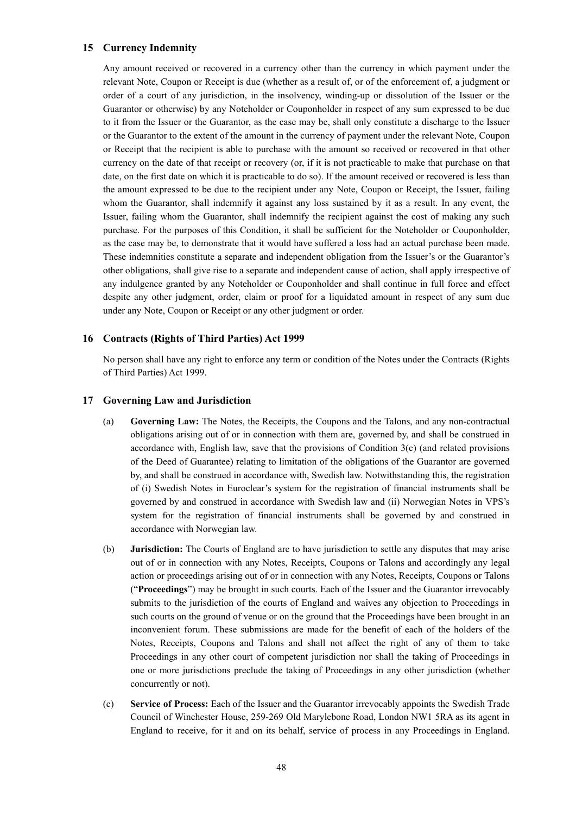# **15 Currency Indemnity**

Any amount received or recovered in a currency other than the currency in which payment under the relevant Note, Coupon or Receipt is due (whether as a result of, or of the enforcement of, a judgment or order of a court of any jurisdiction, in the insolvency, winding-up or dissolution of the Issuer or the Guarantor or otherwise) by any Noteholder or Couponholder in respect of any sum expressed to be due to it from the Issuer or the Guarantor, as the case may be, shall only constitute a discharge to the Issuer or the Guarantor to the extent of the amount in the currency of payment under the relevant Note, Coupon or Receipt that the recipient is able to purchase with the amount so received or recovered in that other currency on the date of that receipt or recovery (or, if it is not practicable to make that purchase on that date, on the first date on which it is practicable to do so). If the amount received or recovered is less than the amount expressed to be due to the recipient under any Note, Coupon or Receipt, the Issuer, failing whom the Guarantor, shall indemnify it against any loss sustained by it as a result. In any event, the Issuer, failing whom the Guarantor, shall indemnify the recipient against the cost of making any such purchase. For the purposes of this Condition, it shall be sufficient for the Noteholder or Couponholder, as the case may be, to demonstrate that it would have suffered a loss had an actual purchase been made. These indemnities constitute a separate and independent obligation from the Issuer's or the Guarantor's other obligations, shall give rise to a separate and independent cause of action, shall apply irrespective of any indulgence granted by any Noteholder or Couponholder and shall continue in full force and effect despite any other judgment, order, claim or proof for a liquidated amount in respect of any sum due under any Note, Coupon or Receipt or any other judgment or order.

## **16 Contracts (Rights of Third Parties) Act 1999**

No person shall have any right to enforce any term or condition of the Notes under the Contracts (Rights of Third Parties) Act 1999.

### **17 Governing Law and Jurisdiction**

- (a) **Governing Law:** The Notes, the Receipts, the Coupons and the Talons, and any non-contractual obligations arising out of or in connection with them are, governed by, and shall be construed in accordance with, English law, save that the provisions of Condition 3(c) (and related provisions of the Deed of Guarantee) relating to limitation of the obligations of the Guarantor are governed by, and shall be construed in accordance with, Swedish law. Notwithstanding this, the registration of (i) Swedish Notes in Euroclear's system for the registration of financial instruments shall be governed by and construed in accordance with Swedish law and (ii) Norwegian Notes in VPS's system for the registration of financial instruments shall be governed by and construed in accordance with Norwegian law.
- (b) **Jurisdiction:** The Courts of England are to have jurisdiction to settle any disputes that may arise out of or in connection with any Notes, Receipts, Coupons or Talons and accordingly any legal action or proceedings arising out of or in connection with any Notes, Receipts, Coupons or Talons ("**Proceedings**") may be brought in such courts. Each of the Issuer and the Guarantor irrevocably submits to the jurisdiction of the courts of England and waives any objection to Proceedings in such courts on the ground of venue or on the ground that the Proceedings have been brought in an inconvenient forum. These submissions are made for the benefit of each of the holders of the Notes, Receipts, Coupons and Talons and shall not affect the right of any of them to take Proceedings in any other court of competent jurisdiction nor shall the taking of Proceedings in one or more jurisdictions preclude the taking of Proceedings in any other jurisdiction (whether concurrently or not).
- (c) **Service of Process:** Each of the Issuer and the Guarantor irrevocably appoints the Swedish Trade Council of Winchester House, 259-269 Old Marylebone Road, London NW1 5RA as its agent in England to receive, for it and on its behalf, service of process in any Proceedings in England.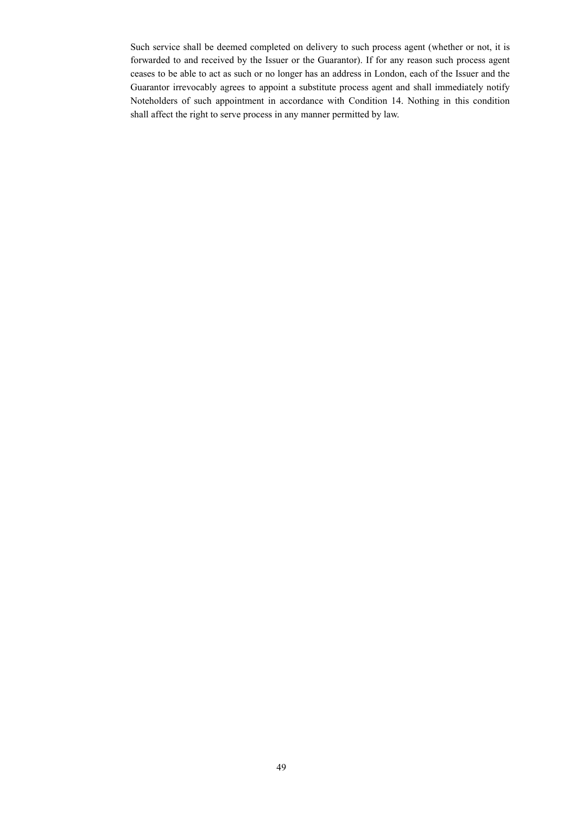Such service shall be deemed completed on delivery to such process agent (whether or not, it is forwarded to and received by the Issuer or the Guarantor). If for any reason such process agent ceases to be able to act as such or no longer has an address in London, each of the Issuer and the Guarantor irrevocably agrees to appoint a substitute process agent and shall immediately notify Noteholders of such appointment in accordance with Condition 14. Nothing in this condition shall affect the right to serve process in any manner permitted by law.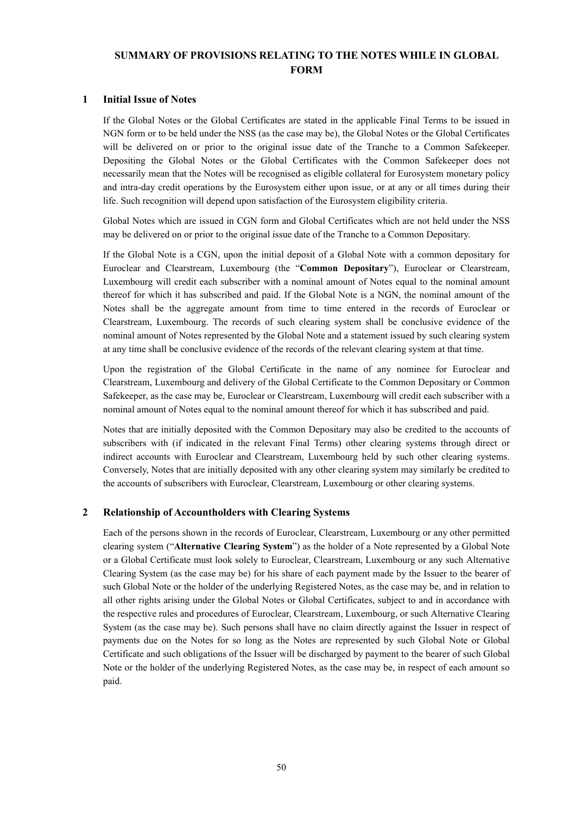# **SUMMARY OF PROVISIONS RELATING TO THE NOTES WHILE IN GLOBAL FORM**

## **1 Initial Issue of Notes**

If the Global Notes or the Global Certificates are stated in the applicable Final Terms to be issued in NGN form or to be held under the NSS (as the case may be), the Global Notes or the Global Certificates will be delivered on or prior to the original issue date of the Tranche to a Common Safekeeper. Depositing the Global Notes or the Global Certificates with the Common Safekeeper does not necessarily mean that the Notes will be recognised as eligible collateral for Eurosystem monetary policy and intra-day credit operations by the Eurosystem either upon issue, or at any or all times during their life. Such recognition will depend upon satisfaction of the Eurosystem eligibility criteria.

Global Notes which are issued in CGN form and Global Certificates which are not held under the NSS may be delivered on or prior to the original issue date of the Tranche to a Common Depositary.

If the Global Note is a CGN, upon the initial deposit of a Global Note with a common depositary for Euroclear and Clearstream, Luxembourg (the "**Common Depositary**"), Euroclear or Clearstream, Luxembourg will credit each subscriber with a nominal amount of Notes equal to the nominal amount thereof for which it has subscribed and paid. If the Global Note is a NGN, the nominal amount of the Notes shall be the aggregate amount from time to time entered in the records of Euroclear or Clearstream, Luxembourg. The records of such clearing system shall be conclusive evidence of the nominal amount of Notes represented by the Global Note and a statement issued by such clearing system at any time shall be conclusive evidence of the records of the relevant clearing system at that time.

Upon the registration of the Global Certificate in the name of any nominee for Euroclear and Clearstream, Luxembourg and delivery of the Global Certificate to the Common Depositary or Common Safekeeper, as the case may be, Euroclear or Clearstream, Luxembourg will credit each subscriber with a nominal amount of Notes equal to the nominal amount thereof for which it has subscribed and paid.

Notes that are initially deposited with the Common Depositary may also be credited to the accounts of subscribers with (if indicated in the relevant Final Terms) other clearing systems through direct or indirect accounts with Euroclear and Clearstream, Luxembourg held by such other clearing systems. Conversely, Notes that are initially deposited with any other clearing system may similarly be credited to the accounts of subscribers with Euroclear, Clearstream, Luxembourg or other clearing systems.

# **2 Relationship of Accountholders with Clearing Systems**

Each of the persons shown in the records of Euroclear, Clearstream, Luxembourg or any other permitted clearing system ("**Alternative Clearing System**") as the holder of a Note represented by a Global Note or a Global Certificate must look solely to Euroclear, Clearstream, Luxembourg or any such Alternative Clearing System (as the case may be) for his share of each payment made by the Issuer to the bearer of such Global Note or the holder of the underlying Registered Notes, as the case may be, and in relation to all other rights arising under the Global Notes or Global Certificates, subject to and in accordance with the respective rules and procedures of Euroclear, Clearstream, Luxembourg, or such Alternative Clearing System (as the case may be). Such persons shall have no claim directly against the Issuer in respect of payments due on the Notes for so long as the Notes are represented by such Global Note or Global Certificate and such obligations of the Issuer will be discharged by payment to the bearer of such Global Note or the holder of the underlying Registered Notes, as the case may be, in respect of each amount so paid.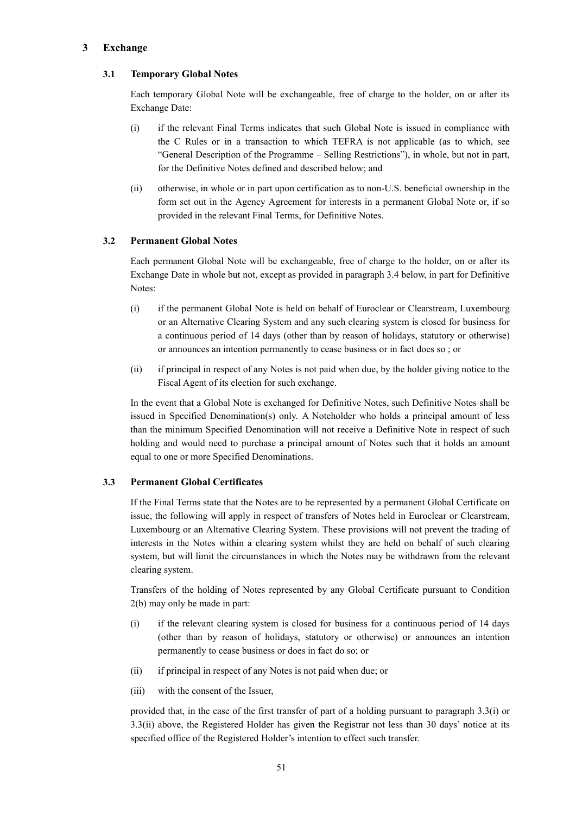# **3 Exchange**

# **3.1 Temporary Global Notes**

Each temporary Global Note will be exchangeable, free of charge to the holder, on or after its Exchange Date:

- (i) if the relevant Final Terms indicates that such Global Note is issued in compliance with the C Rules or in a transaction to which TEFRA is not applicable (as to which, see "General Description of the Programme – Selling Restrictions"), in whole, but not in part, for the Definitive Notes defined and described below; and
- (ii) otherwise, in whole or in part upon certification as to non-U.S. beneficial ownership in the form set out in the Agency Agreement for interests in a permanent Global Note or, if so provided in the relevant Final Terms, for Definitive Notes.

# **3.2 Permanent Global Notes**

Each permanent Global Note will be exchangeable, free of charge to the holder, on or after its Exchange Date in whole but not, except as provided in paragraph 3.4 below, in part for Definitive Notes:

- (i) if the permanent Global Note is held on behalf of Euroclear or Clearstream, Luxembourg or an Alternative Clearing System and any such clearing system is closed for business for a continuous period of 14 days (other than by reason of holidays, statutory or otherwise) or announces an intention permanently to cease business or in fact does so ; or
- (ii) if principal in respect of any Notes is not paid when due, by the holder giving notice to the Fiscal Agent of its election for such exchange.

In the event that a Global Note is exchanged for Definitive Notes, such Definitive Notes shall be issued in Specified Denomination(s) only. A Noteholder who holds a principal amount of less than the minimum Specified Denomination will not receive a Definitive Note in respect of such holding and would need to purchase a principal amount of Notes such that it holds an amount equal to one or more Specified Denominations.

# **3.3 Permanent Global Certificates**

If the Final Terms state that the Notes are to be represented by a permanent Global Certificate on issue, the following will apply in respect of transfers of Notes held in Euroclear or Clearstream, Luxembourg or an Alternative Clearing System. These provisions will not prevent the trading of interests in the Notes within a clearing system whilst they are held on behalf of such clearing system, but will limit the circumstances in which the Notes may be withdrawn from the relevant clearing system.

Transfers of the holding of Notes represented by any Global Certificate pursuant to Condition 2(b) may only be made in part:

- (i) if the relevant clearing system is closed for business for a continuous period of 14 days (other than by reason of holidays, statutory or otherwise) or announces an intention permanently to cease business or does in fact do so; or
- (ii) if principal in respect of any Notes is not paid when due; or
- (iii) with the consent of the Issuer,

provided that, in the case of the first transfer of part of a holding pursuant to paragraph 3.3(i) or 3.3(ii) above, the Registered Holder has given the Registrar not less than 30 days' notice at its specified office of the Registered Holder's intention to effect such transfer.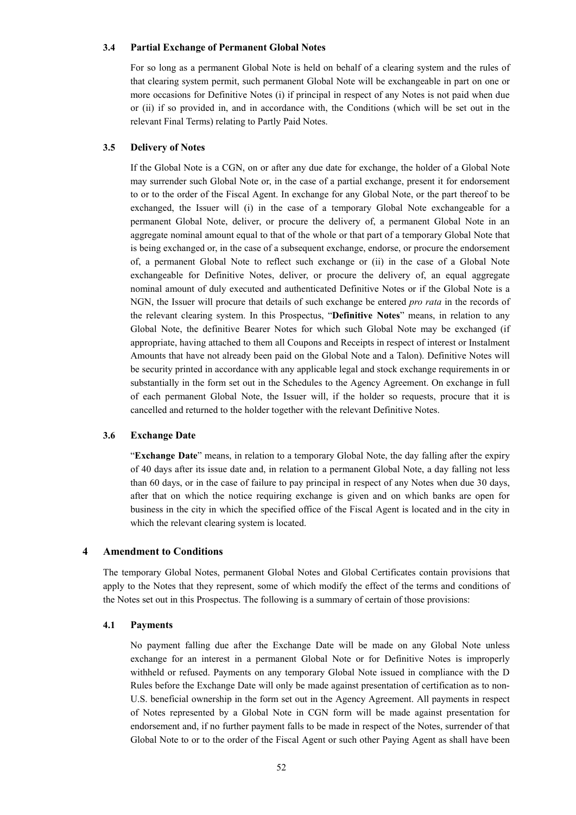### **3.4 Partial Exchange of Permanent Global Notes**

For so long as a permanent Global Note is held on behalf of a clearing system and the rules of that clearing system permit, such permanent Global Note will be exchangeable in part on one or more occasions for Definitive Notes (i) if principal in respect of any Notes is not paid when due or (ii) if so provided in, and in accordance with, the Conditions (which will be set out in the relevant Final Terms) relating to Partly Paid Notes.

### **3.5 Delivery of Notes**

If the Global Note is a CGN, on or after any due date for exchange, the holder of a Global Note may surrender such Global Note or, in the case of a partial exchange, present it for endorsement to or to the order of the Fiscal Agent. In exchange for any Global Note, or the part thereof to be exchanged, the Issuer will (i) in the case of a temporary Global Note exchangeable for a permanent Global Note, deliver, or procure the delivery of, a permanent Global Note in an aggregate nominal amount equal to that of the whole or that part of a temporary Global Note that is being exchanged or, in the case of a subsequent exchange, endorse, or procure the endorsement of, a permanent Global Note to reflect such exchange or (ii) in the case of a Global Note exchangeable for Definitive Notes, deliver, or procure the delivery of, an equal aggregate nominal amount of duly executed and authenticated Definitive Notes or if the Global Note is a NGN, the Issuer will procure that details of such exchange be entered *pro rata* in the records of the relevant clearing system. In this Prospectus, "**Definitive Notes**" means, in relation to any Global Note, the definitive Bearer Notes for which such Global Note may be exchanged (if appropriate, having attached to them all Coupons and Receipts in respect of interest or Instalment Amounts that have not already been paid on the Global Note and a Talon). Definitive Notes will be security printed in accordance with any applicable legal and stock exchange requirements in or substantially in the form set out in the Schedules to the Agency Agreement. On exchange in full of each permanent Global Note, the Issuer will, if the holder so requests, procure that it is cancelled and returned to the holder together with the relevant Definitive Notes.

### **3.6 Exchange Date**

"**Exchange Date**" means, in relation to a temporary Global Note, the day falling after the expiry of 40 days after its issue date and, in relation to a permanent Global Note, a day falling not less than 60 days, or in the case of failure to pay principal in respect of any Notes when due 30 days, after that on which the notice requiring exchange is given and on which banks are open for business in the city in which the specified office of the Fiscal Agent is located and in the city in which the relevant clearing system is located.

## **4 Amendment to Conditions**

The temporary Global Notes, permanent Global Notes and Global Certificates contain provisions that apply to the Notes that they represent, some of which modify the effect of the terms and conditions of the Notes set out in this Prospectus. The following is a summary of certain of those provisions:

#### **4.1 Payments**

No payment falling due after the Exchange Date will be made on any Global Note unless exchange for an interest in a permanent Global Note or for Definitive Notes is improperly withheld or refused. Payments on any temporary Global Note issued in compliance with the D Rules before the Exchange Date will only be made against presentation of certification as to non-U.S. beneficial ownership in the form set out in the Agency Agreement. All payments in respect of Notes represented by a Global Note in CGN form will be made against presentation for endorsement and, if no further payment falls to be made in respect of the Notes, surrender of that Global Note to or to the order of the Fiscal Agent or such other Paying Agent as shall have been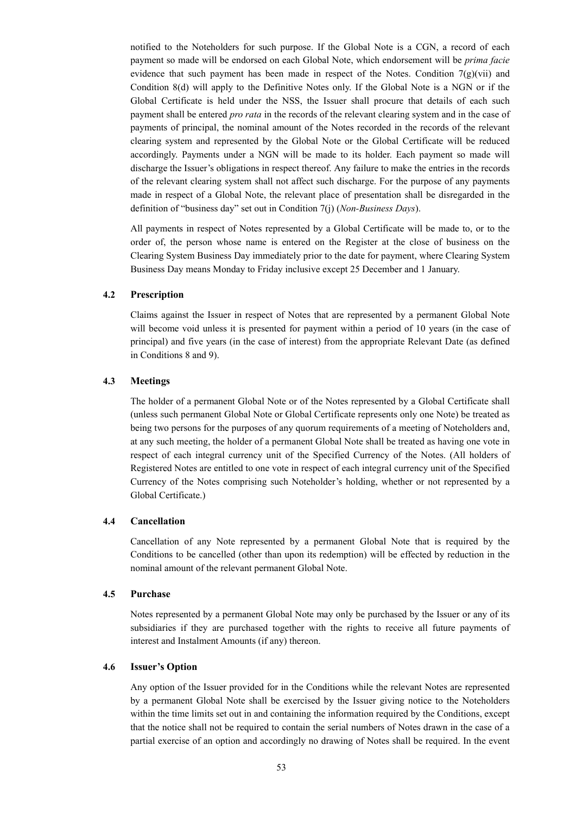notified to the Noteholders for such purpose. If the Global Note is a CGN, a record of each payment so made will be endorsed on each Global Note, which endorsement will be *prima facie* evidence that such payment has been made in respect of the Notes. Condition  $7(g)(vii)$  and Condition 8(d) will apply to the Definitive Notes only. If the Global Note is a NGN or if the Global Certificate is held under the NSS, the Issuer shall procure that details of each such payment shall be entered *pro rata* in the records of the relevant clearing system and in the case of payments of principal, the nominal amount of the Notes recorded in the records of the relevant clearing system and represented by the Global Note or the Global Certificate will be reduced accordingly. Payments under a NGN will be made to its holder. Each payment so made will discharge the Issuer's obligations in respect thereof. Any failure to make the entries in the records of the relevant clearing system shall not affect such discharge. For the purpose of any payments made in respect of a Global Note, the relevant place of presentation shall be disregarded in the definition of "business day" set out in Condition 7(j) (*Non-Business Days*).

All payments in respect of Notes represented by a Global Certificate will be made to, or to the order of, the person whose name is entered on the Register at the close of business on the Clearing System Business Day immediately prior to the date for payment, where Clearing System Business Day means Monday to Friday inclusive except 25 December and 1 January.

## **4.2 Prescription**

Claims against the Issuer in respect of Notes that are represented by a permanent Global Note will become void unless it is presented for payment within a period of 10 years (in the case of principal) and five years (in the case of interest) from the appropriate Relevant Date (as defined in Conditions 8 and 9).

## **4.3 Meetings**

The holder of a permanent Global Note or of the Notes represented by a Global Certificate shall (unless such permanent Global Note or Global Certificate represents only one Note) be treated as being two persons for the purposes of any quorum requirements of a meeting of Noteholders and, at any such meeting, the holder of a permanent Global Note shall be treated as having one vote in respect of each integral currency unit of the Specified Currency of the Notes. (All holders of Registered Notes are entitled to one vote in respect of each integral currency unit of the Specified Currency of the Notes comprising such Noteholder's holding, whether or not represented by a Global Certificate.)

#### **4.4 Cancellation**

Cancellation of any Note represented by a permanent Global Note that is required by the Conditions to be cancelled (other than upon its redemption) will be effected by reduction in the nominal amount of the relevant permanent Global Note.

### **4.5 Purchase**

Notes represented by a permanent Global Note may only be purchased by the Issuer or any of its subsidiaries if they are purchased together with the rights to receive all future payments of interest and Instalment Amounts (if any) thereon.

## **4.6 Issuer's Option**

Any option of the Issuer provided for in the Conditions while the relevant Notes are represented by a permanent Global Note shall be exercised by the Issuer giving notice to the Noteholders within the time limits set out in and containing the information required by the Conditions, except that the notice shall not be required to contain the serial numbers of Notes drawn in the case of a partial exercise of an option and accordingly no drawing of Notes shall be required. In the event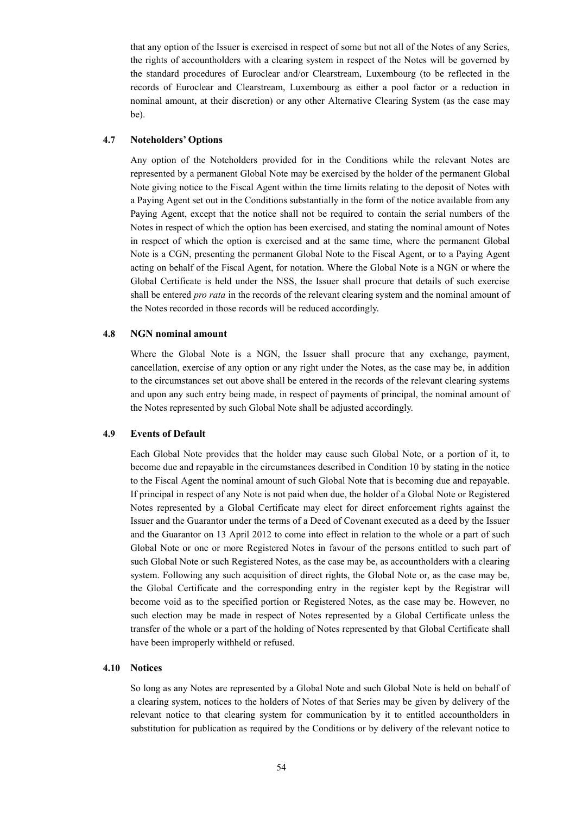that any option of the Issuer is exercised in respect of some but not all of the Notes of any Series, the rights of accountholders with a clearing system in respect of the Notes will be governed by the standard procedures of Euroclear and/or Clearstream, Luxembourg (to be reflected in the records of Euroclear and Clearstream, Luxembourg as either a pool factor or a reduction in nominal amount, at their discretion) or any other Alternative Clearing System (as the case may be).

## **4.7 Noteholders' Options**

Any option of the Noteholders provided for in the Conditions while the relevant Notes are represented by a permanent Global Note may be exercised by the holder of the permanent Global Note giving notice to the Fiscal Agent within the time limits relating to the deposit of Notes with a Paying Agent set out in the Conditions substantially in the form of the notice available from any Paying Agent, except that the notice shall not be required to contain the serial numbers of the Notes in respect of which the option has been exercised, and stating the nominal amount of Notes in respect of which the option is exercised and at the same time, where the permanent Global Note is a CGN, presenting the permanent Global Note to the Fiscal Agent, or to a Paying Agent acting on behalf of the Fiscal Agent, for notation. Where the Global Note is a NGN or where the Global Certificate is held under the NSS, the Issuer shall procure that details of such exercise shall be entered *pro rata* in the records of the relevant clearing system and the nominal amount of the Notes recorded in those records will be reduced accordingly.

### **4.8 NGN nominal amount**

Where the Global Note is a NGN, the Issuer shall procure that any exchange, payment, cancellation, exercise of any option or any right under the Notes, as the case may be, in addition to the circumstances set out above shall be entered in the records of the relevant clearing systems and upon any such entry being made, in respect of payments of principal, the nominal amount of the Notes represented by such Global Note shall be adjusted accordingly.

### **4.9 Events of Default**

Each Global Note provides that the holder may cause such Global Note, or a portion of it, to become due and repayable in the circumstances described in Condition 10 by stating in the notice to the Fiscal Agent the nominal amount of such Global Note that is becoming due and repayable. If principal in respect of any Note is not paid when due, the holder of a Global Note or Registered Notes represented by a Global Certificate may elect for direct enforcement rights against the Issuer and the Guarantor under the terms of a Deed of Covenant executed as a deed by the Issuer and the Guarantor on 13 April 2012 to come into effect in relation to the whole or a part of such Global Note or one or more Registered Notes in favour of the persons entitled to such part of such Global Note or such Registered Notes, as the case may be, as accountholders with a clearing system. Following any such acquisition of direct rights, the Global Note or, as the case may be, the Global Certificate and the corresponding entry in the register kept by the Registrar will become void as to the specified portion or Registered Notes, as the case may be. However, no such election may be made in respect of Notes represented by a Global Certificate unless the transfer of the whole or a part of the holding of Notes represented by that Global Certificate shall have been improperly withheld or refused.

#### **4.10 Notices**

So long as any Notes are represented by a Global Note and such Global Note is held on behalf of a clearing system, notices to the holders of Notes of that Series may be given by delivery of the relevant notice to that clearing system for communication by it to entitled accountholders in substitution for publication as required by the Conditions or by delivery of the relevant notice to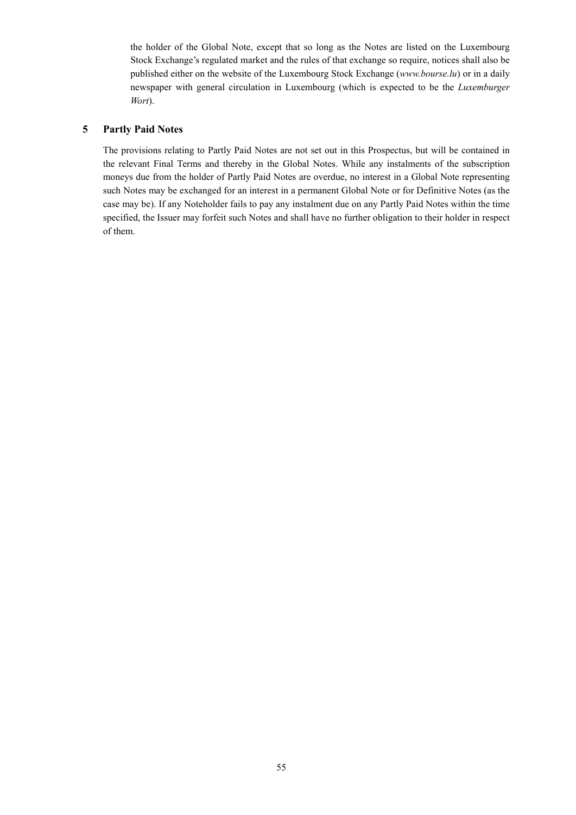the holder of the Global Note, except that so long as the Notes are listed on the Luxembourg Stock Exchange's regulated market and the rules of that exchange so require, notices shall also be published either on the website of the Luxembourg Stock Exchange (*www.bourse.lu*) or in a daily newspaper with general circulation in Luxembourg (which is expected to be the *Luxemburger Wort*).

# **5 Partly Paid Notes**

The provisions relating to Partly Paid Notes are not set out in this Prospectus, but will be contained in the relevant Final Terms and thereby in the Global Notes. While any instalments of the subscription moneys due from the holder of Partly Paid Notes are overdue, no interest in a Global Note representing such Notes may be exchanged for an interest in a permanent Global Note or for Definitive Notes (as the case may be). If any Noteholder fails to pay any instalment due on any Partly Paid Notes within the time specified, the Issuer may forfeit such Notes and shall have no further obligation to their holder in respect of them.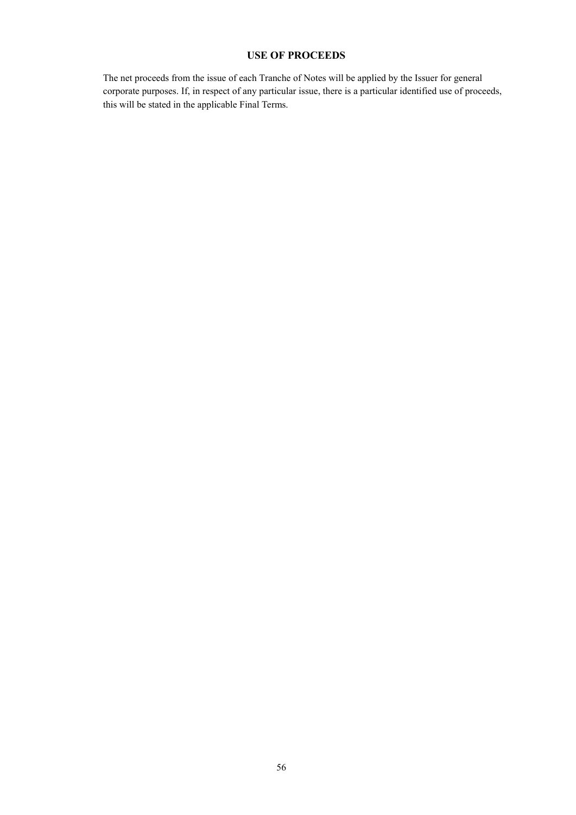# **USE OF PROCEEDS**

The net proceeds from the issue of each Tranche of Notes will be applied by the Issuer for general corporate purposes. If, in respect of any particular issue, there is a particular identified use of proceeds, this will be stated in the applicable Final Terms.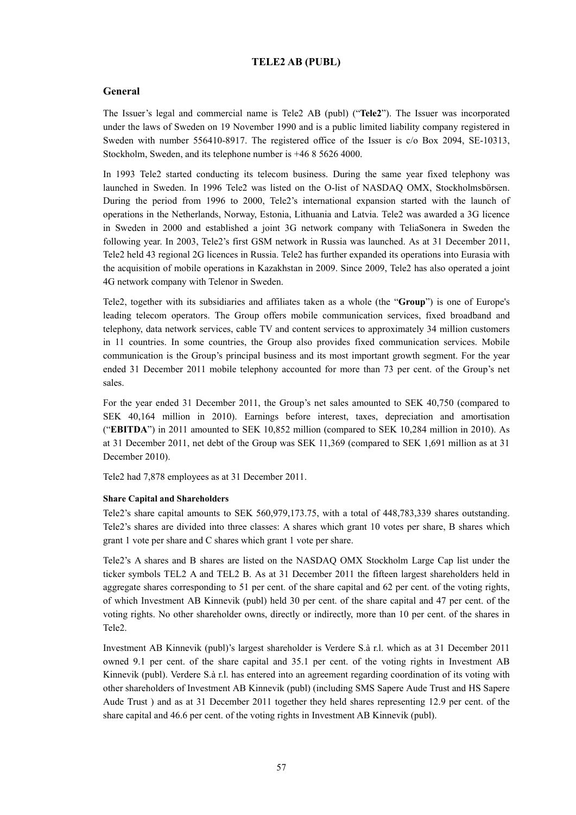## **TELE2 AB (PUBL)**

## **General**

The Issuer's legal and commercial name is Tele2 AB (publ) ("**Tele2**"). The Issuer was incorporated under the laws of Sweden on 19 November 1990 and is a public limited liability company registered in Sweden with number 556410-8917. The registered office of the Issuer is c/o Box 2094, SE-10313, Stockholm, Sweden, and its telephone number is +46 8 5626 4000.

In 1993 Tele2 started conducting its telecom business. During the same year fixed telephony was launched in Sweden. In 1996 Tele2 was listed on the O-list of NASDAQ OMX, Stockholmsbörsen. During the period from 1996 to 2000, Tele2's international expansion started with the launch of operations in the Netherlands, Norway, Estonia, Lithuania and Latvia. Tele2 was awarded a 3G licence in Sweden in 2000 and established a joint 3G network company with TeliaSonera in Sweden the following year. In 2003, Tele2's first GSM network in Russia was launched. As at 31 December 2011, Tele2 held 43 regional 2G licences in Russia. Tele2 has further expanded its operations into Eurasia with the acquisition of mobile operations in Kazakhstan in 2009. Since 2009, Tele2 has also operated a joint 4G network company with Telenor in Sweden.

Tele2, together with its subsidiaries and affiliates taken as a whole (the "**Group**") is one of Europe's leading telecom operators. The Group offers mobile communication services, fixed broadband and telephony, data network services, cable TV and content services to approximately 34 million customers in 11 countries. In some countries, the Group also provides fixed communication services. Mobile communication is the Group's principal business and its most important growth segment. For the year ended 31 December 2011 mobile telephony accounted for more than 73 per cent. of the Group's net sales.

For the year ended 31 December 2011, the Group's net sales amounted to SEK 40,750 (compared to SEK 40,164 million in 2010). Earnings before interest, taxes, depreciation and amortisation ("**EBITDA**") in 2011 amounted to SEK 10,852 million (compared to SEK 10,284 million in 2010). As at 31 December 2011, net debt of the Group was SEK 11,369 (compared to SEK 1,691 million as at 31 December 2010).

Tele2 had 7,878 employees as at 31 December 2011.

#### **Share Capital and Shareholders**

Tele2's share capital amounts to SEK 560,979,173.75, with a total of 448,783,339 shares outstanding. Tele2's shares are divided into three classes: A shares which grant 10 votes per share, B shares which grant 1 vote per share and C shares which grant 1 vote per share.

Tele2's A shares and B shares are listed on the NASDAQ OMX Stockholm Large Cap list under the ticker symbols TEL2 A and TEL2 B. As at 31 December 2011 the fifteen largest shareholders held in aggregate shares corresponding to 51 per cent. of the share capital and 62 per cent. of the voting rights, of which Investment AB Kinnevik (publ) held 30 per cent. of the share capital and 47 per cent. of the voting rights. No other shareholder owns, directly or indirectly, more than 10 per cent. of the shares in Tele2.

Investment AB Kinnevik (publ)'s largest shareholder is Verdere S.à r.l. which as at 31 December 2011 owned 9.1 per cent. of the share capital and 35.1 per cent. of the voting rights in Investment AB Kinnevik (publ). Verdere S.à r.l. has entered into an agreement regarding coordination of its voting with other shareholders of Investment AB Kinnevik (publ) (including SMS Sapere Aude Trust and HS Sapere Aude Trust ) and as at 31 December 2011 together they held shares representing 12.9 per cent. of the share capital and 46.6 per cent. of the voting rights in Investment AB Kinnevik (publ).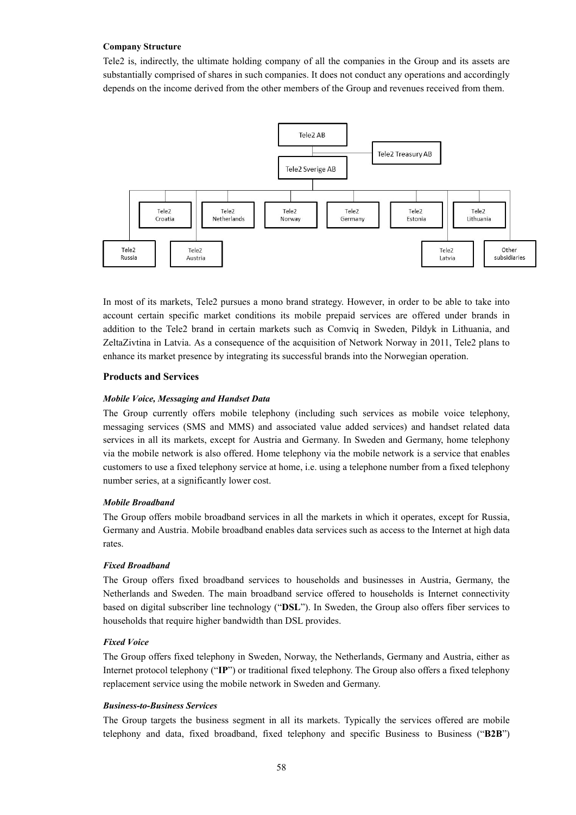### **Company Structure**

Tele2 is, indirectly, the ultimate holding company of all the companies in the Group and its assets are substantially comprised of shares in such companies. It does not conduct any operations and accordingly depends on the income derived from the other members of the Group and revenues received from them.



In most of its markets, Tele2 pursues a mono brand strategy. However, in order to be able to take into account certain specific market conditions its mobile prepaid services are offered under brands in addition to the Tele2 brand in certain markets such as Comviq in Sweden, Pildyk in Lithuania, and ZeltaZivtina in Latvia. As a consequence of the acquisition of Network Norway in 2011, Tele2 plans to enhance its market presence by integrating its successful brands into the Norwegian operation.

## **Products and Services**

#### *Mobile Voice, Messaging and Handset Data*

The Group currently offers mobile telephony (including such services as mobile voice telephony, messaging services (SMS and MMS) and associated value added services) and handset related data services in all its markets, except for Austria and Germany. In Sweden and Germany, home telephony via the mobile network is also offered. Home telephony via the mobile network is a service that enables customers to use a fixed telephony service at home, i.e. using a telephone number from a fixed telephony number series, at a significantly lower cost.

### *Mobile Broadband*

The Group offers mobile broadband services in all the markets in which it operates, except for Russia, Germany and Austria. Mobile broadband enables data services such as access to the Internet at high data rates.

### *Fixed Broadband*

The Group offers fixed broadband services to households and businesses in Austria, Germany, the Netherlands and Sweden. The main broadband service offered to households is Internet connectivity based on digital subscriber line technology ("**DSL**"). In Sweden, the Group also offers fiber services to households that require higher bandwidth than DSL provides.

## *Fixed Voice*

The Group offers fixed telephony in Sweden, Norway, the Netherlands, Germany and Austria, either as Internet protocol telephony ("**IP**") or traditional fixed telephony. The Group also offers a fixed telephony replacement service using the mobile network in Sweden and Germany.

### *Business-to-Business Services*

The Group targets the business segment in all its markets. Typically the services offered are mobile telephony and data, fixed broadband, fixed telephony and specific Business to Business ("**B2B**")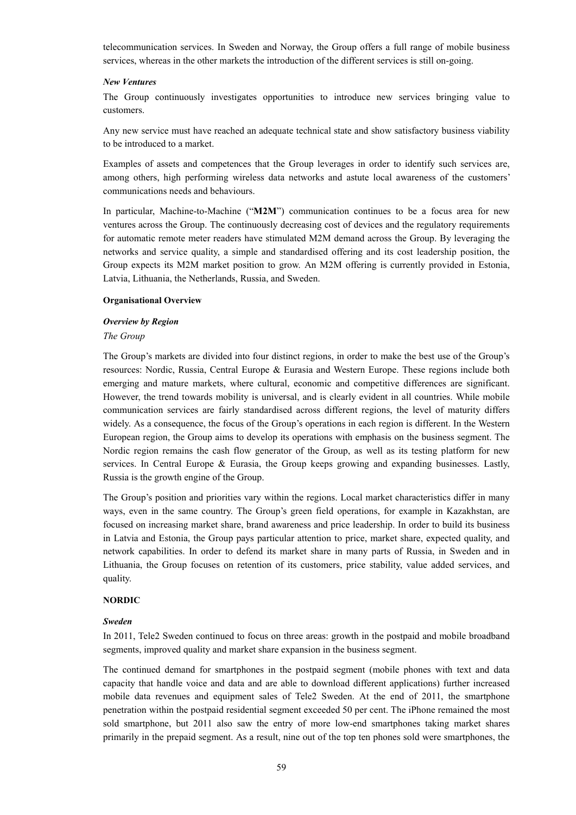telecommunication services. In Sweden and Norway, the Group offers a full range of mobile business services, whereas in the other markets the introduction of the different services is still on-going.

#### *New Ventures*

The Group continuously investigates opportunities to introduce new services bringing value to customers.

Any new service must have reached an adequate technical state and show satisfactory business viability to be introduced to a market.

Examples of assets and competences that the Group leverages in order to identify such services are, among others, high performing wireless data networks and astute local awareness of the customers' communications needs and behaviours.

In particular, Machine-to-Machine ("**M2M**") communication continues to be a focus area for new ventures across the Group. The continuously decreasing cost of devices and the regulatory requirements for automatic remote meter readers have stimulated M2M demand across the Group. By leveraging the networks and service quality, a simple and standardised offering and its cost leadership position, the Group expects its M2M market position to grow. An M2M offering is currently provided in Estonia, Latvia, Lithuania, the Netherlands, Russia, and Sweden.

#### **Organisational Overview**

#### *Overview by Region*

#### *The Group*

The Group's markets are divided into four distinct regions, in order to make the best use of the Group's resources: Nordic, Russia, Central Europe & Eurasia and Western Europe. These regions include both emerging and mature markets, where cultural, economic and competitive differences are significant. However, the trend towards mobility is universal, and is clearly evident in all countries. While mobile communication services are fairly standardised across different regions, the level of maturity differs widely. As a consequence, the focus of the Group's operations in each region is different. In the Western European region, the Group aims to develop its operations with emphasis on the business segment. The Nordic region remains the cash flow generator of the Group, as well as its testing platform for new services. In Central Europe & Eurasia, the Group keeps growing and expanding businesses. Lastly, Russia is the growth engine of the Group.

The Group's position and priorities vary within the regions. Local market characteristics differ in many ways, even in the same country. The Group's green field operations, for example in Kazakhstan, are focused on increasing market share, brand awareness and price leadership. In order to build its business in Latvia and Estonia, the Group pays particular attention to price, market share, expected quality, and network capabilities. In order to defend its market share in many parts of Russia, in Sweden and in Lithuania, the Group focuses on retention of its customers, price stability, value added services, and quality.

### **NORDIC**

#### *Sweden*

In 2011, Tele2 Sweden continued to focus on three areas: growth in the postpaid and mobile broadband segments, improved quality and market share expansion in the business segment.

The continued demand for smartphones in the postpaid segment (mobile phones with text and data capacity that handle voice and data and are able to download different applications) further increased mobile data revenues and equipment sales of Tele2 Sweden. At the end of 2011, the smartphone penetration within the postpaid residential segment exceeded 50 per cent. The iPhone remained the most sold smartphone, but 2011 also saw the entry of more low-end smartphones taking market shares primarily in the prepaid segment. As a result, nine out of the top ten phones sold were smartphones, the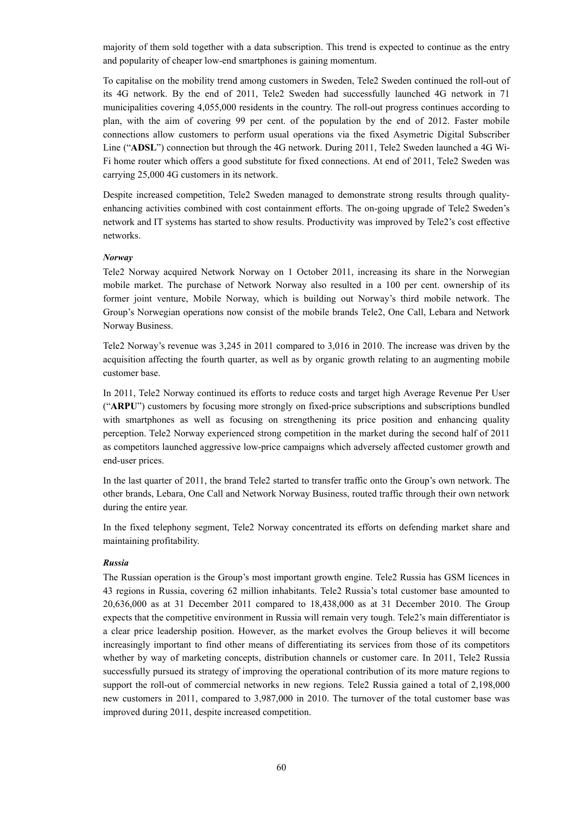majority of them sold together with a data subscription. This trend is expected to continue as the entry and popularity of cheaper low-end smartphones is gaining momentum.

To capitalise on the mobility trend among customers in Sweden, Tele2 Sweden continued the roll-out of its 4G network. By the end of 2011, Tele2 Sweden had successfully launched 4G network in 71 municipalities covering 4,055,000 residents in the country. The roll-out progress continues according to plan, with the aim of covering 99 per cent. of the population by the end of 2012. Faster mobile connections allow customers to perform usual operations via the fixed Asymetric Digital Subscriber Line ("**ADSL**") connection but through the 4G network. During 2011, Tele2 Sweden launched a 4G Wi-Fi home router which offers a good substitute for fixed connections. At end of 2011, Tele2 Sweden was carrying 25,000 4G customers in its network.

Despite increased competition, Tele2 Sweden managed to demonstrate strong results through qualityenhancing activities combined with cost containment efforts. The on-going upgrade of Tele2 Sweden's network and IT systems has started to show results. Productivity was improved by Tele2's cost effective networks.

#### *Norway*

Tele2 Norway acquired Network Norway on 1 October 2011, increasing its share in the Norwegian mobile market. The purchase of Network Norway also resulted in a 100 per cent. ownership of its former joint venture, Mobile Norway, which is building out Norway's third mobile network. The Group's Norwegian operations now consist of the mobile brands Tele2, One Call, Lebara and Network Norway Business.

Tele2 Norway's revenue was 3,245 in 2011 compared to 3,016 in 2010. The increase was driven by the acquisition affecting the fourth quarter, as well as by organic growth relating to an augmenting mobile customer base.

In 2011, Tele2 Norway continued its efforts to reduce costs and target high Average Revenue Per User ("**ARPU**") customers by focusing more strongly on fixed-price subscriptions and subscriptions bundled with smartphones as well as focusing on strengthening its price position and enhancing quality perception. Tele2 Norway experienced strong competition in the market during the second half of 2011 as competitors launched aggressive low-price campaigns which adversely affected customer growth and end-user prices.

In the last quarter of 2011, the brand Tele2 started to transfer traffic onto the Group's own network. The other brands, Lebara, One Call and Network Norway Business, routed traffic through their own network during the entire year.

In the fixed telephony segment, Tele2 Norway concentrated its efforts on defending market share and maintaining profitability.

### *Russia*

The Russian operation is the Group's most important growth engine. Tele2 Russia has GSM licences in 43 regions in Russia, covering 62 million inhabitants. Tele2 Russia's total customer base amounted to 20,636,000 as at 31 December 2011 compared to 18,438,000 as at 31 December 2010. The Group expects that the competitive environment in Russia will remain very tough. Tele2's main differentiator is a clear price leadership position. However, as the market evolves the Group believes it will become increasingly important to find other means of differentiating its services from those of its competitors whether by way of marketing concepts, distribution channels or customer care. In 2011, Tele2 Russia successfully pursued its strategy of improving the operational contribution of its more mature regions to support the roll-out of commercial networks in new regions. Tele2 Russia gained a total of 2,198,000 new customers in 2011, compared to 3,987,000 in 2010. The turnover of the total customer base was improved during 2011, despite increased competition.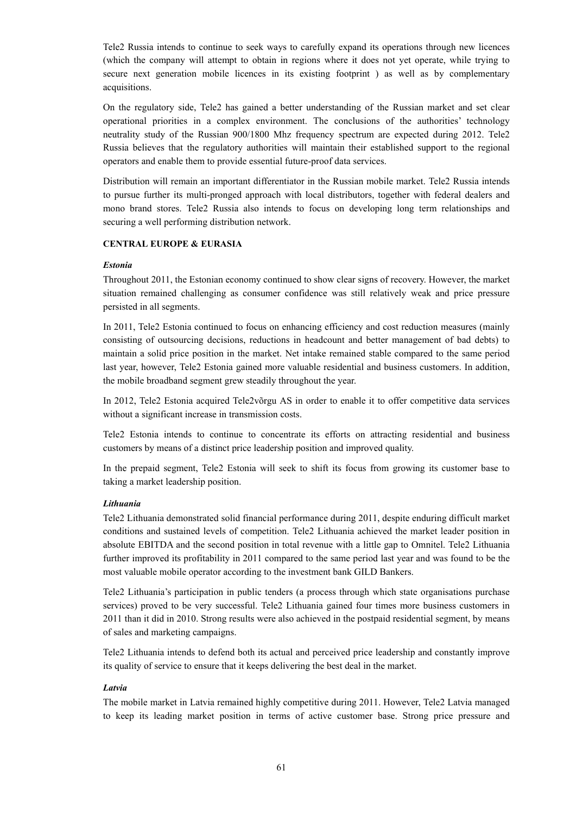Tele2 Russia intends to continue to seek ways to carefully expand its operations through new licences (which the company will attempt to obtain in regions where it does not yet operate, while trying to secure next generation mobile licences in its existing footprint ) as well as by complementary acquisitions.

On the regulatory side, Tele2 has gained a better understanding of the Russian market and set clear operational priorities in a complex environment. The conclusions of the authorities' technology neutrality study of the Russian 900/1800 Mhz frequency spectrum are expected during 2012. Tele2 Russia believes that the regulatory authorities will maintain their established support to the regional operators and enable them to provide essential future-proof data services.

Distribution will remain an important differentiator in the Russian mobile market. Tele2 Russia intends to pursue further its multi-pronged approach with local distributors, together with federal dealers and mono brand stores. Tele2 Russia also intends to focus on developing long term relationships and securing a well performing distribution network.

# **CENTRAL EUROPE & EURASIA**

### *Estonia*

Throughout 2011, the Estonian economy continued to show clear signs of recovery. However, the market situation remained challenging as consumer confidence was still relatively weak and price pressure persisted in all segments.

In 2011, Tele2 Estonia continued to focus on enhancing efficiency and cost reduction measures (mainly consisting of outsourcing decisions, reductions in headcount and better management of bad debts) to maintain a solid price position in the market. Net intake remained stable compared to the same period last year, however, Tele2 Estonia gained more valuable residential and business customers. In addition, the mobile broadband segment grew steadily throughout the year.

In 2012, Tele2 Estonia acquired Tele2võrgu AS in order to enable it to offer competitive data services without a significant increase in transmission costs.

Tele2 Estonia intends to continue to concentrate its efforts on attracting residential and business customers by means of a distinct price leadership position and improved quality.

In the prepaid segment, Tele2 Estonia will seek to shift its focus from growing its customer base to taking a market leadership position.

#### *Lithuania*

Tele2 Lithuania demonstrated solid financial performance during 2011, despite enduring difficult market conditions and sustained levels of competition. Tele2 Lithuania achieved the market leader position in absolute EBITDA and the second position in total revenue with a little gap to Omnitel. Tele2 Lithuania further improved its profitability in 2011 compared to the same period last year and was found to be the most valuable mobile operator according to the investment bank GILD Bankers.

Tele2 Lithuania's participation in public tenders (a process through which state organisations purchase services) proved to be very successful. Tele2 Lithuania gained four times more business customers in 2011 than it did in 2010. Strong results were also achieved in the postpaid residential segment, by means of sales and marketing campaigns.

Tele2 Lithuania intends to defend both its actual and perceived price leadership and constantly improve its quality of service to ensure that it keeps delivering the best deal in the market.

#### *Latvia*

The mobile market in Latvia remained highly competitive during 2011. However, Tele2 Latvia managed to keep its leading market position in terms of active customer base. Strong price pressure and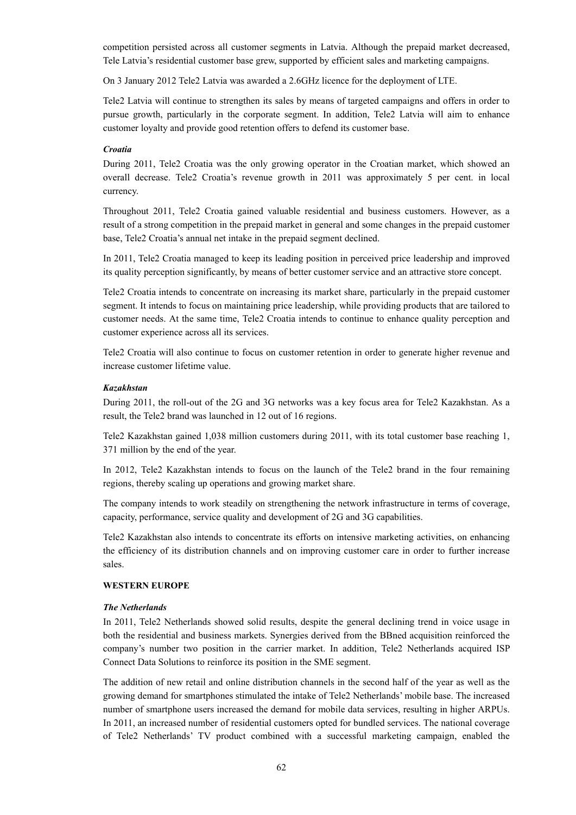competition persisted across all customer segments in Latvia. Although the prepaid market decreased, Tele Latvia's residential customer base grew, supported by efficient sales and marketing campaigns.

On 3 January 2012 Tele2 Latvia was awarded a 2.6GHz licence for the deployment of LTE.

Tele2 Latvia will continue to strengthen its sales by means of targeted campaigns and offers in order to pursue growth, particularly in the corporate segment. In addition, Tele2 Latvia will aim to enhance customer loyalty and provide good retention offers to defend its customer base.

### *Croatia*

During 2011, Tele2 Croatia was the only growing operator in the Croatian market, which showed an overall decrease. Tele2 Croatia's revenue growth in 2011 was approximately 5 per cent. in local currency.

Throughout 2011, Tele2 Croatia gained valuable residential and business customers. However, as a result of a strong competition in the prepaid market in general and some changes in the prepaid customer base, Tele2 Croatia's annual net intake in the prepaid segment declined.

In 2011, Tele2 Croatia managed to keep its leading position in perceived price leadership and improved its quality perception significantly, by means of better customer service and an attractive store concept.

Tele2 Croatia intends to concentrate on increasing its market share, particularly in the prepaid customer segment. It intends to focus on maintaining price leadership, while providing products that are tailored to customer needs. At the same time, Tele2 Croatia intends to continue to enhance quality perception and customer experience across all its services.

Tele2 Croatia will also continue to focus on customer retention in order to generate higher revenue and increase customer lifetime value.

#### *Kazakhstan*

During 2011, the roll-out of the 2G and 3G networks was a key focus area for Tele2 Kazakhstan. As a result, the Tele2 brand was launched in 12 out of 16 regions.

Tele2 Kazakhstan gained 1,038 million customers during 2011, with its total customer base reaching 1, 371 million by the end of the year.

In 2012, Tele2 Kazakhstan intends to focus on the launch of the Tele2 brand in the four remaining regions, thereby scaling up operations and growing market share.

The company intends to work steadily on strengthening the network infrastructure in terms of coverage, capacity, performance, service quality and development of 2G and 3G capabilities.

Tele2 Kazakhstan also intends to concentrate its efforts on intensive marketing activities, on enhancing the efficiency of its distribution channels and on improving customer care in order to further increase sales.

#### **WESTERN EUROPE**

#### *The Netherlands*

In 2011, Tele2 Netherlands showed solid results, despite the general declining trend in voice usage in both the residential and business markets. Synergies derived from the BBned acquisition reinforced the company's number two position in the carrier market. In addition, Tele2 Netherlands acquired ISP Connect Data Solutions to reinforce its position in the SME segment.

The addition of new retail and online distribution channels in the second half of the year as well as the growing demand for smartphones stimulated the intake of Tele2 Netherlands' mobile base. The increased number of smartphone users increased the demand for mobile data services, resulting in higher ARPUs. In 2011, an increased number of residential customers opted for bundled services. The national coverage of Tele2 Netherlands' TV product combined with a successful marketing campaign, enabled the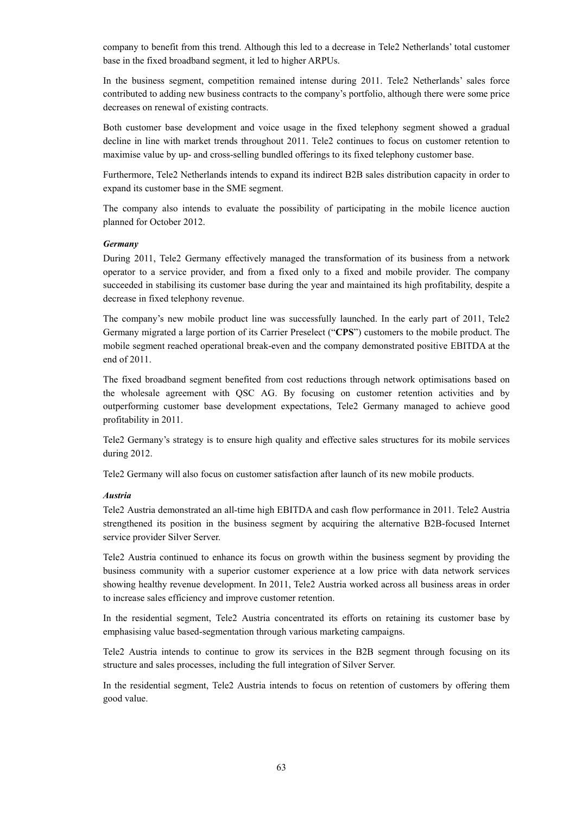company to benefit from this trend. Although this led to a decrease in Tele2 Netherlands' total customer base in the fixed broadband segment, it led to higher ARPUs.

In the business segment, competition remained intense during 2011. Tele2 Netherlands' sales force contributed to adding new business contracts to the company's portfolio, although there were some price decreases on renewal of existing contracts.

Both customer base development and voice usage in the fixed telephony segment showed a gradual decline in line with market trends throughout 2011. Tele2 continues to focus on customer retention to maximise value by up- and cross-selling bundled offerings to its fixed telephony customer base.

Furthermore, Tele2 Netherlands intends to expand its indirect B2B sales distribution capacity in order to expand its customer base in the SME segment.

The company also intends to evaluate the possibility of participating in the mobile licence auction planned for October 2012.

#### *Germany*

During 2011, Tele2 Germany effectively managed the transformation of its business from a network operator to a service provider, and from a fixed only to a fixed and mobile provider. The company succeeded in stabilising its customer base during the year and maintained its high profitability, despite a decrease in fixed telephony revenue.

The company's new mobile product line was successfully launched. In the early part of 2011, Tele2 Germany migrated a large portion of its Carrier Preselect ("**CPS**") customers to the mobile product. The mobile segment reached operational break-even and the company demonstrated positive EBITDA at the end of 2011.

The fixed broadband segment benefited from cost reductions through network optimisations based on the wholesale agreement with QSC AG. By focusing on customer retention activities and by outperforming customer base development expectations, Tele2 Germany managed to achieve good profitability in 2011.

Tele2 Germany's strategy is to ensure high quality and effective sales structures for its mobile services during 2012.

Tele2 Germany will also focus on customer satisfaction after launch of its new mobile products.

#### *Austria*

Tele2 Austria demonstrated an all-time high EBITDA and cash flow performance in 2011. Tele2 Austria strengthened its position in the business segment by acquiring the alternative B2B-focused Internet service provider Silver Server.

Tele2 Austria continued to enhance its focus on growth within the business segment by providing the business community with a superior customer experience at a low price with data network services showing healthy revenue development. In 2011, Tele2 Austria worked across all business areas in order to increase sales efficiency and improve customer retention.

In the residential segment, Tele2 Austria concentrated its efforts on retaining its customer base by emphasising value based-segmentation through various marketing campaigns.

Tele2 Austria intends to continue to grow its services in the B2B segment through focusing on its structure and sales processes, including the full integration of Silver Server.

In the residential segment, Tele2 Austria intends to focus on retention of customers by offering them good value.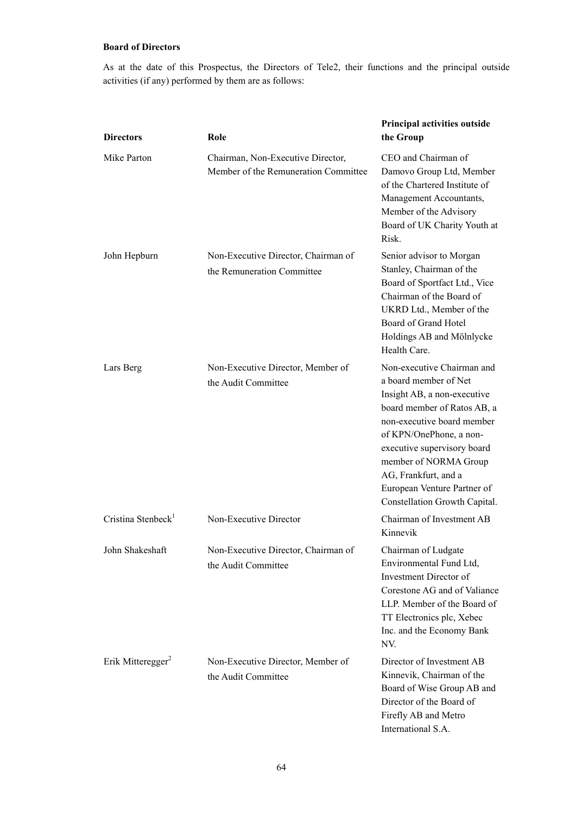# **Board of Directors**

As at the date of this Prospectus, the Directors of Tele2, their functions and the principal outside activities (if any) performed by them are as follows:

| <b>Directors</b>               | Role                                                                      | Principal activities outside<br>the Group                                                                                                                                                                                                                                                                                  |
|--------------------------------|---------------------------------------------------------------------------|----------------------------------------------------------------------------------------------------------------------------------------------------------------------------------------------------------------------------------------------------------------------------------------------------------------------------|
| Mike Parton                    | Chairman, Non-Executive Director,<br>Member of the Remuneration Committee | CEO and Chairman of<br>Damovo Group Ltd, Member<br>of the Chartered Institute of<br>Management Accountants,<br>Member of the Advisory<br>Board of UK Charity Youth at<br>Risk.                                                                                                                                             |
| John Hepburn                   | Non-Executive Director, Chairman of<br>the Remuneration Committee         | Senior advisor to Morgan<br>Stanley, Chairman of the<br>Board of Sportfact Ltd., Vice<br>Chairman of the Board of<br>UKRD Ltd., Member of the<br>Board of Grand Hotel<br>Holdings AB and Mölnlycke<br>Health Care.                                                                                                         |
| Lars Berg                      | Non-Executive Director, Member of<br>the Audit Committee                  | Non-executive Chairman and<br>a board member of Net<br>Insight AB, a non-executive<br>board member of Ratos AB, a<br>non-executive board member<br>of KPN/OnePhone, a non-<br>executive supervisory board<br>member of NORMA Group<br>AG, Frankfurt, and a<br>European Venture Partner of<br>Constellation Growth Capital. |
| Cristina Stenbeck <sup>1</sup> | Non-Executive Director                                                    | Chairman of Investment AB<br>Kinnevik                                                                                                                                                                                                                                                                                      |
| John Shakeshaft                | Non-Executive Director, Chairman of<br>the Audit Committee                | Chairman of Ludgate<br>Environmental Fund Ltd,<br>Investment Director of<br>Corestone AG and of Valiance<br>LLP. Member of the Board of<br>TT Electronics plc, Xebec<br>Inc. and the Economy Bank<br>NV.                                                                                                                   |
| Erik Mitteregger <sup>2</sup>  | Non-Executive Director, Member of<br>the Audit Committee                  | Director of Investment AB<br>Kinnevik, Chairman of the<br>Board of Wise Group AB and<br>Director of the Board of<br>Firefly AB and Metro<br>International S.A.                                                                                                                                                             |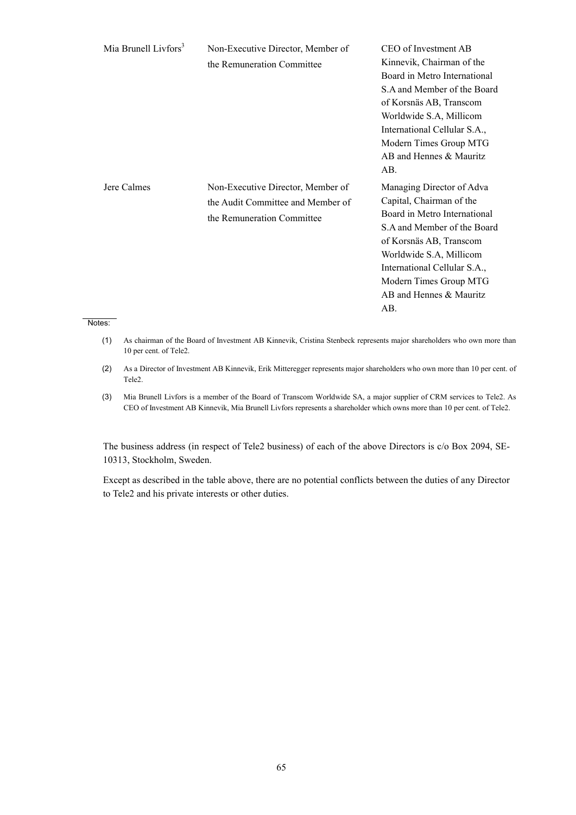| Mia Brunell Livfors <sup>3</sup> | Non-Executive Director, Member of<br>the Remuneration Committee                                      | CEO of Investment AB<br>Kinnevik, Chairman of the<br>Board in Metro International<br>S.A and Member of the Board<br>of Korsnäs AB, Transcom<br>Worldwide S.A, Millicom<br>International Cellular S.A.,<br>Modern Times Group MTG<br>AB and Hennes & Mauritz<br>AB.     |
|----------------------------------|------------------------------------------------------------------------------------------------------|------------------------------------------------------------------------------------------------------------------------------------------------------------------------------------------------------------------------------------------------------------------------|
| Jere Calmes<br>ne.               | Non-Executive Director, Member of<br>the Audit Committee and Member of<br>the Remuneration Committee | Managing Director of Adva<br>Capital, Chairman of the<br>Board in Metro International<br>S.A and Member of the Board<br>of Korsnäs AB, Transcom<br>Worldwide S.A, Millicom<br>International Cellular S.A.,<br>Modern Times Group MTG<br>AB and Hennes & Mauritz<br>AB. |

# Notes:

- (1) As chairman of the Board of Investment AB Kinnevik, Cristina Stenbeck represents major shareholders who own more than 10 per cent. of Tele2.
- (2) As a Director of Investment AB Kinnevik, Erik Mitteregger represents major shareholders who own more than 10 per cent. of Tele2.
- (3) Mia Brunell Livfors is a member of the Board of Transcom Worldwide SA, a major supplier of CRM services to Tele2. As CEO of Investment AB Kinnevik, Mia Brunell Livfors represents a shareholder which owns more than 10 per cent. of Tele2.

The business address (in respect of Tele2 business) of each of the above Directors is c/o Box 2094, SE-10313, Stockholm, Sweden.

Except as described in the table above, there are no potential conflicts between the duties of any Director to Tele2 and his private interests or other duties.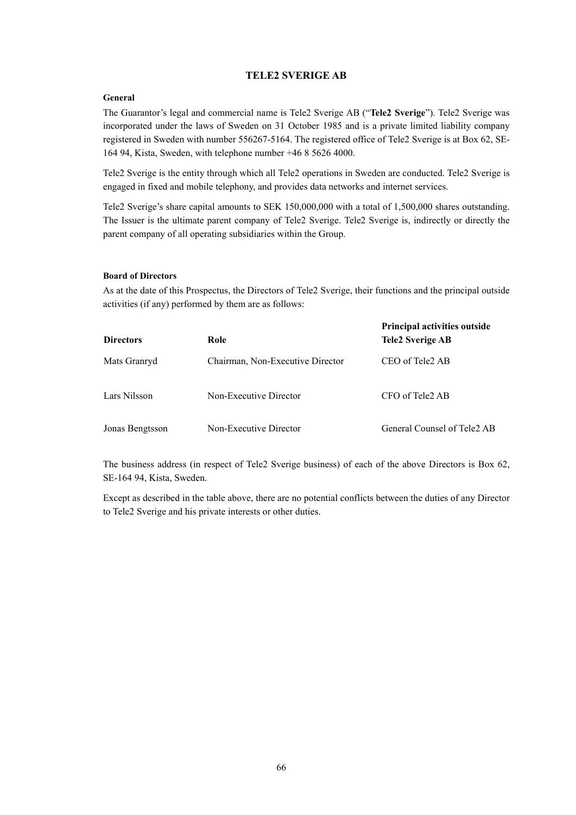# **TELE2 SVERIGE AB**

## **General**

The Guarantor's legal and commercial name is Tele2 Sverige AB ("**Tele2 Sverige**"). Tele2 Sverige was incorporated under the laws of Sweden on 31 October 1985 and is a private limited liability company registered in Sweden with number 556267-5164. The registered office of Tele2 Sverige is at Box 62, SE-164 94, Kista, Sweden, with telephone number +46 8 5626 4000.

Tele2 Sverige is the entity through which all Tele2 operations in Sweden are conducted. Tele2 Sverige is engaged in fixed and mobile telephony, and provides data networks and internet services.

Tele2 Sverige's share capital amounts to SEK 150,000,000 with a total of 1,500,000 shares outstanding. The Issuer is the ultimate parent company of Tele2 Sverige. Tele2 Sverige is, indirectly or directly the parent company of all operating subsidiaries within the Group.

## **Board of Directors**

As at the date of this Prospectus, the Directors of Tele2 Sverige, their functions and the principal outside activities (if any) performed by them are as follows:

| <b>Directors</b> | Role                             | <b>Principal activities outside</b><br><b>Tele2 Sverige AB</b> |
|------------------|----------------------------------|----------------------------------------------------------------|
| Mats Granryd     | Chairman, Non-Executive Director | CEO of Tele2 AB                                                |
| Lars Nilsson     | Non-Executive Director           | CFO of Tele2 AB                                                |
| Jonas Bengtsson  | Non-Executive Director           | General Counsel of Tele <sub>2</sub> AB                        |

The business address (in respect of Tele2 Sverige business) of each of the above Directors is Box 62, SE-164 94, Kista, Sweden.

Except as described in the table above, there are no potential conflicts between the duties of any Director to Tele2 Sverige and his private interests or other duties.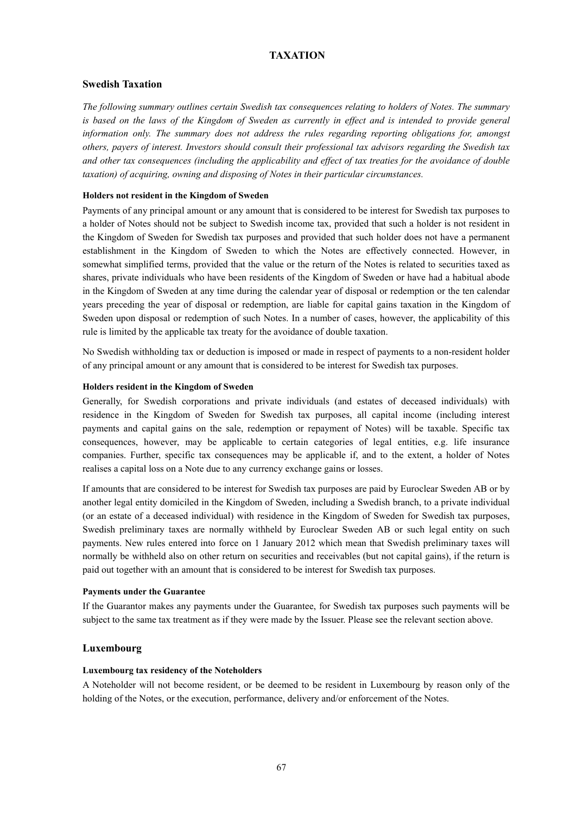# **TAXATION**

## **Swedish Taxation**

*The following summary outlines certain Swedish tax consequences relating to holders of Notes. The summary*  is based on the laws of the Kingdom of Sweden as currently in effect and is intended to provide general *information only. The summary does not address the rules regarding reporting obligations for, amongst others, payers of interest. Investors should consult their professional tax advisors regarding the Swedish tax and other tax consequences (including the applicability and effect of tax treaties for the avoidance of double taxation) of acquiring, owning and disposing of Notes in their particular circumstances.*

## **Holders not resident in the Kingdom of Sweden**

Payments of any principal amount or any amount that is considered to be interest for Swedish tax purposes to a holder of Notes should not be subject to Swedish income tax, provided that such a holder is not resident in the Kingdom of Sweden for Swedish tax purposes and provided that such holder does not have a permanent establishment in the Kingdom of Sweden to which the Notes are effectively connected. However, in somewhat simplified terms, provided that the value or the return of the Notes is related to securities taxed as shares, private individuals who have been residents of the Kingdom of Sweden or have had a habitual abode in the Kingdom of Sweden at any time during the calendar year of disposal or redemption or the ten calendar years preceding the year of disposal or redemption, are liable for capital gains taxation in the Kingdom of Sweden upon disposal or redemption of such Notes. In a number of cases, however, the applicability of this rule is limited by the applicable tax treaty for the avoidance of double taxation.

No Swedish withholding tax or deduction is imposed or made in respect of payments to a non-resident holder of any principal amount or any amount that is considered to be interest for Swedish tax purposes.

### **Holders resident in the Kingdom of Sweden**

Generally, for Swedish corporations and private individuals (and estates of deceased individuals) with residence in the Kingdom of Sweden for Swedish tax purposes, all capital income (including interest payments and capital gains on the sale, redemption or repayment of Notes) will be taxable. Specific tax consequences, however, may be applicable to certain categories of legal entities, e.g. life insurance companies. Further, specific tax consequences may be applicable if, and to the extent, a holder of Notes realises a capital loss on a Note due to any currency exchange gains or losses.

If amounts that are considered to be interest for Swedish tax purposes are paid by Euroclear Sweden AB or by another legal entity domiciled in the Kingdom of Sweden, including a Swedish branch, to a private individual (or an estate of a deceased individual) with residence in the Kingdom of Sweden for Swedish tax purposes, Swedish preliminary taxes are normally withheld by Euroclear Sweden AB or such legal entity on such payments. New rules entered into force on 1 January 2012 which mean that Swedish preliminary taxes will normally be withheld also on other return on securities and receivables (but not capital gains), if the return is paid out together with an amount that is considered to be interest for Swedish tax purposes.

### **Payments under the Guarantee**

If the Guarantor makes any payments under the Guarantee, for Swedish tax purposes such payments will be subject to the same tax treatment as if they were made by the Issuer. Please see the relevant section above.

## **Luxembourg**

## **Luxembourg tax residency of the Noteholders**

A Noteholder will not become resident, or be deemed to be resident in Luxembourg by reason only of the holding of the Notes, or the execution, performance, delivery and/or enforcement of the Notes.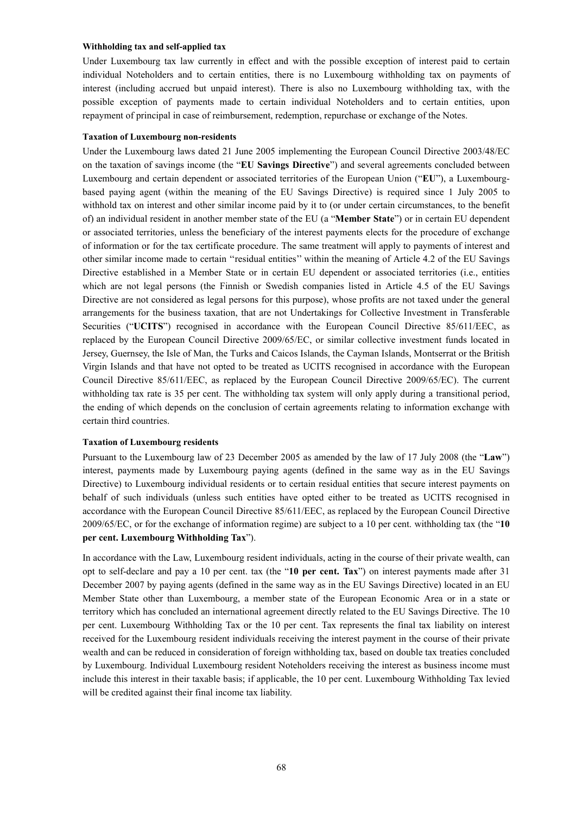### **Withholding tax and self-applied tax**

Under Luxembourg tax law currently in effect and with the possible exception of interest paid to certain individual Noteholders and to certain entities, there is no Luxembourg withholding tax on payments of interest (including accrued but unpaid interest). There is also no Luxembourg withholding tax, with the possible exception of payments made to certain individual Noteholders and to certain entities, upon repayment of principal in case of reimbursement, redemption, repurchase or exchange of the Notes.

#### **Taxation of Luxembourg non-residents**

Under the Luxembourg laws dated 21 June 2005 implementing the European Council Directive 2003/48/EC on the taxation of savings income (the "**EU Savings Directive**") and several agreements concluded between Luxembourg and certain dependent or associated territories of the European Union ("**EU**"), a Luxembourgbased paying agent (within the meaning of the EU Savings Directive) is required since 1 July 2005 to withhold tax on interest and other similar income paid by it to (or under certain circumstances, to the benefit of) an individual resident in another member state of the EU (a "**Member State**") or in certain EU dependent or associated territories, unless the beneficiary of the interest payments elects for the procedure of exchange of information or for the tax certificate procedure. The same treatment will apply to payments of interest and other similar income made to certain ''residual entities'' within the meaning of Article 4.2 of the EU Savings Directive established in a Member State or in certain EU dependent or associated territories (i.e., entities which are not legal persons (the Finnish or Swedish companies listed in Article 4.5 of the EU Savings Directive are not considered as legal persons for this purpose), whose profits are not taxed under the general arrangements for the business taxation, that are not Undertakings for Collective Investment in Transferable Securities ("**UCITS**") recognised in accordance with the European Council Directive 85/611/EEC, as replaced by the European Council Directive 2009/65/EC, or similar collective investment funds located in Jersey, Guernsey, the Isle of Man, the Turks and Caicos Islands, the Cayman Islands, Montserrat or the British Virgin Islands and that have not opted to be treated as UCITS recognised in accordance with the European Council Directive 85/611/EEC, as replaced by the European Council Directive 2009/65/EC). The current withholding tax rate is 35 per cent. The withholding tax system will only apply during a transitional period, the ending of which depends on the conclusion of certain agreements relating to information exchange with certain third countries.

### **Taxation of Luxembourg residents**

Pursuant to the Luxembourg law of 23 December 2005 as amended by the law of 17 July 2008 (the "**Law**") interest, payments made by Luxembourg paying agents (defined in the same way as in the EU Savings Directive) to Luxembourg individual residents or to certain residual entities that secure interest payments on behalf of such individuals (unless such entities have opted either to be treated as UCITS recognised in accordance with the European Council Directive 85/611/EEC, as replaced by the European Council Directive 2009/65/EC, or for the exchange of information regime) are subject to a 10 per cent. withholding tax (the "**10 per cent. Luxembourg Withholding Tax**").

In accordance with the Law, Luxembourg resident individuals, acting in the course of their private wealth, can opt to self-declare and pay a 10 per cent. tax (the "**10 per cent. Tax**") on interest payments made after 31 December 2007 by paying agents (defined in the same way as in the EU Savings Directive) located in an EU Member State other than Luxembourg, a member state of the European Economic Area or in a state or territory which has concluded an international agreement directly related to the EU Savings Directive. The 10 per cent. Luxembourg Withholding Tax or the 10 per cent. Tax represents the final tax liability on interest received for the Luxembourg resident individuals receiving the interest payment in the course of their private wealth and can be reduced in consideration of foreign withholding tax, based on double tax treaties concluded by Luxembourg. Individual Luxembourg resident Noteholders receiving the interest as business income must include this interest in their taxable basis; if applicable, the 10 per cent. Luxembourg Withholding Tax levied will be credited against their final income tax liability.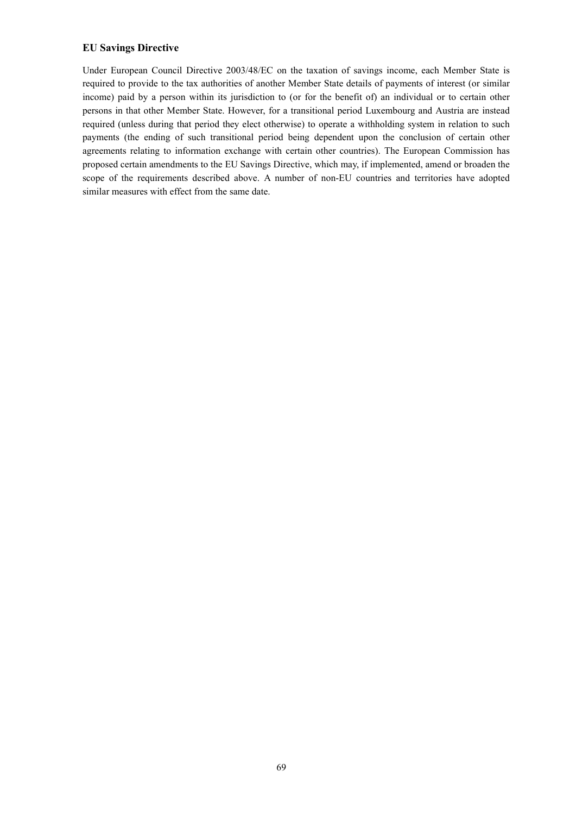# **EU Savings Directive**

Under European Council Directive 2003/48/EC on the taxation of savings income, each Member State is required to provide to the tax authorities of another Member State details of payments of interest (or similar income) paid by a person within its jurisdiction to (or for the benefit of) an individual or to certain other persons in that other Member State. However, for a transitional period Luxembourg and Austria are instead required (unless during that period they elect otherwise) to operate a withholding system in relation to such payments (the ending of such transitional period being dependent upon the conclusion of certain other agreements relating to information exchange with certain other countries). The European Commission has proposed certain amendments to the EU Savings Directive, which may, if implemented, amend or broaden the scope of the requirements described above. A number of non-EU countries and territories have adopted similar measures with effect from the same date.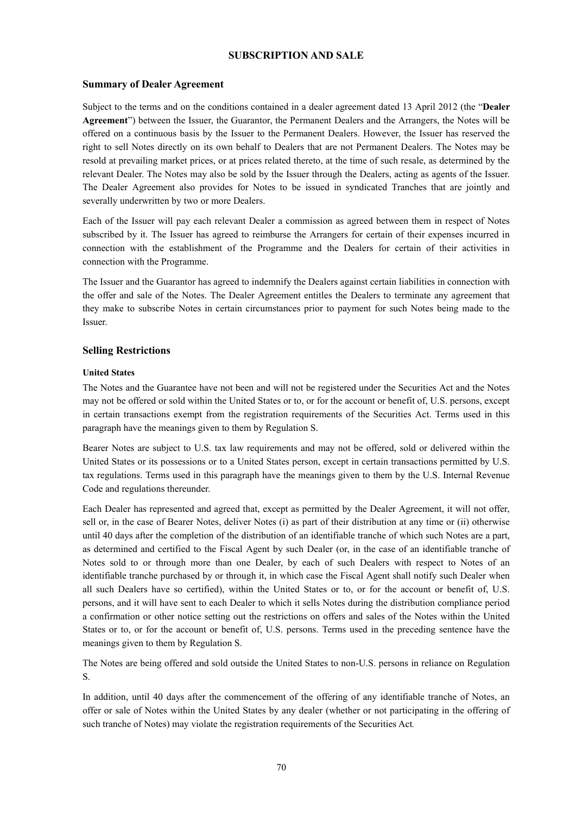# **SUBSCRIPTION AND SALE**

## **Summary of Dealer Agreement**

Subject to the terms and on the conditions contained in a dealer agreement dated 13 April 2012 (the "**Dealer Agreement**") between the Issuer, the Guarantor, the Permanent Dealers and the Arrangers, the Notes will be offered on a continuous basis by the Issuer to the Permanent Dealers. However, the Issuer has reserved the right to sell Notes directly on its own behalf to Dealers that are not Permanent Dealers. The Notes may be resold at prevailing market prices, or at prices related thereto, at the time of such resale, as determined by the relevant Dealer. The Notes may also be sold by the Issuer through the Dealers, acting as agents of the Issuer. The Dealer Agreement also provides for Notes to be issued in syndicated Tranches that are jointly and severally underwritten by two or more Dealers.

Each of the Issuer will pay each relevant Dealer a commission as agreed between them in respect of Notes subscribed by it. The Issuer has agreed to reimburse the Arrangers for certain of their expenses incurred in connection with the establishment of the Programme and the Dealers for certain of their activities in connection with the Programme.

The Issuer and the Guarantor has agreed to indemnify the Dealers against certain liabilities in connection with the offer and sale of the Notes. The Dealer Agreement entitles the Dealers to terminate any agreement that they make to subscribe Notes in certain circumstances prior to payment for such Notes being made to the Issuer.

## **Selling Restrictions**

#### **United States**

The Notes and the Guarantee have not been and will not be registered under the Securities Act and the Notes may not be offered or sold within the United States or to, or for the account or benefit of, U.S. persons, except in certain transactions exempt from the registration requirements of the Securities Act. Terms used in this paragraph have the meanings given to them by Regulation S.

Bearer Notes are subject to U.S. tax law requirements and may not be offered, sold or delivered within the United States or its possessions or to a United States person, except in certain transactions permitted by U.S. tax regulations. Terms used in this paragraph have the meanings given to them by the U.S. Internal Revenue Code and regulations thereunder.

Each Dealer has represented and agreed that, except as permitted by the Dealer Agreement, it will not offer, sell or, in the case of Bearer Notes, deliver Notes (i) as part of their distribution at any time or (ii) otherwise until 40 days after the completion of the distribution of an identifiable tranche of which such Notes are a part, as determined and certified to the Fiscal Agent by such Dealer (or, in the case of an identifiable tranche of Notes sold to or through more than one Dealer, by each of such Dealers with respect to Notes of an identifiable tranche purchased by or through it, in which case the Fiscal Agent shall notify such Dealer when all such Dealers have so certified), within the United States or to, or for the account or benefit of, U.S. persons, and it will have sent to each Dealer to which it sells Notes during the distribution compliance period a confirmation or other notice setting out the restrictions on offers and sales of the Notes within the United States or to, or for the account or benefit of, U.S. persons. Terms used in the preceding sentence have the meanings given to them by Regulation S.

The Notes are being offered and sold outside the United States to non-U.S. persons in reliance on Regulation S.

In addition, until 40 days after the commencement of the offering of any identifiable tranche of Notes, an offer or sale of Notes within the United States by any dealer (whether or not participating in the offering of such tranche of Notes) may violate the registration requirements of the Securities Act*.*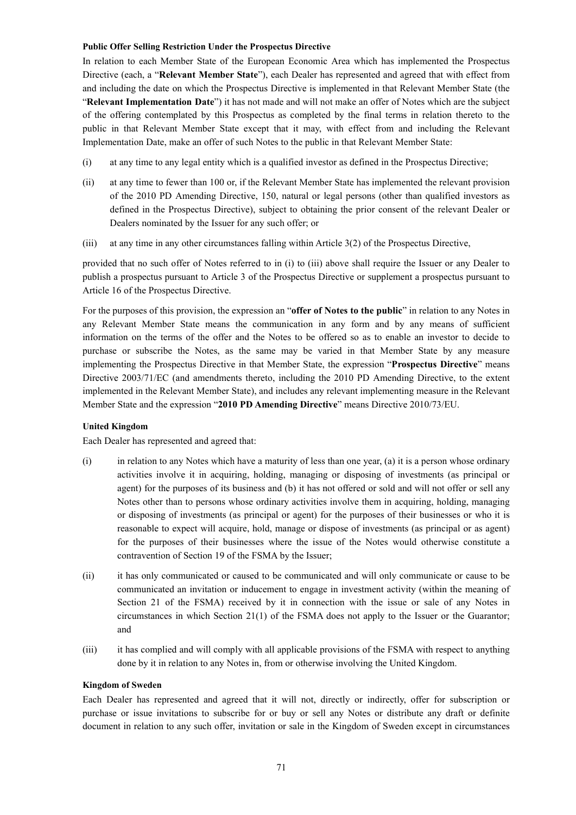### **Public Offer Selling Restriction Under the Prospectus Directive**

In relation to each Member State of the European Economic Area which has implemented the Prospectus Directive (each, a "**Relevant Member State**"), each Dealer has represented and agreed that with effect from and including the date on which the Prospectus Directive is implemented in that Relevant Member State (the "**Relevant Implementation Date**") it has not made and will not make an offer of Notes which are the subject of the offering contemplated by this Prospectus as completed by the final terms in relation thereto to the public in that Relevant Member State except that it may, with effect from and including the Relevant Implementation Date, make an offer of such Notes to the public in that Relevant Member State:

- (i) at any time to any legal entity which is a qualified investor as defined in the Prospectus Directive;
- (ii) at any time to fewer than 100 or, if the Relevant Member State has implemented the relevant provision of the 2010 PD Amending Directive, 150, natural or legal persons (other than qualified investors as defined in the Prospectus Directive), subject to obtaining the prior consent of the relevant Dealer or Dealers nominated by the Issuer for any such offer; or
- (iii) at any time in any other circumstances falling within Article 3(2) of the Prospectus Directive,

provided that no such offer of Notes referred to in (i) to (iii) above shall require the Issuer or any Dealer to publish a prospectus pursuant to Article 3 of the Prospectus Directive or supplement a prospectus pursuant to Article 16 of the Prospectus Directive.

For the purposes of this provision, the expression an "**offer of Notes to the public**" in relation to any Notes in any Relevant Member State means the communication in any form and by any means of sufficient information on the terms of the offer and the Notes to be offered so as to enable an investor to decide to purchase or subscribe the Notes, as the same may be varied in that Member State by any measure implementing the Prospectus Directive in that Member State, the expression "**Prospectus Directive**" means Directive 2003/71/EC (and amendments thereto, including the 2010 PD Amending Directive, to the extent implemented in the Relevant Member State), and includes any relevant implementing measure in the Relevant Member State and the expression "**2010 PD Amending Directive**" means Directive 2010/73/EU.

## **United Kingdom**

Each Dealer has represented and agreed that:

- (i) in relation to any Notes which have a maturity of less than one year, (a) it is a person whose ordinary activities involve it in acquiring, holding, managing or disposing of investments (as principal or agent) for the purposes of its business and (b) it has not offered or sold and will not offer or sell any Notes other than to persons whose ordinary activities involve them in acquiring, holding, managing or disposing of investments (as principal or agent) for the purposes of their businesses or who it is reasonable to expect will acquire, hold, manage or dispose of investments (as principal or as agent) for the purposes of their businesses where the issue of the Notes would otherwise constitute a contravention of Section 19 of the FSMA by the Issuer;
- (ii) it has only communicated or caused to be communicated and will only communicate or cause to be communicated an invitation or inducement to engage in investment activity (within the meaning of Section 21 of the FSMA) received by it in connection with the issue or sale of any Notes in circumstances in which Section 21(1) of the FSMA does not apply to the Issuer or the Guarantor; and
- (iii) it has complied and will comply with all applicable provisions of the FSMA with respect to anything done by it in relation to any Notes in, from or otherwise involving the United Kingdom.

## **Kingdom of Sweden**

Each Dealer has represented and agreed that it will not, directly or indirectly, offer for subscription or purchase or issue invitations to subscribe for or buy or sell any Notes or distribute any draft or definite document in relation to any such offer, invitation or sale in the Kingdom of Sweden except in circumstances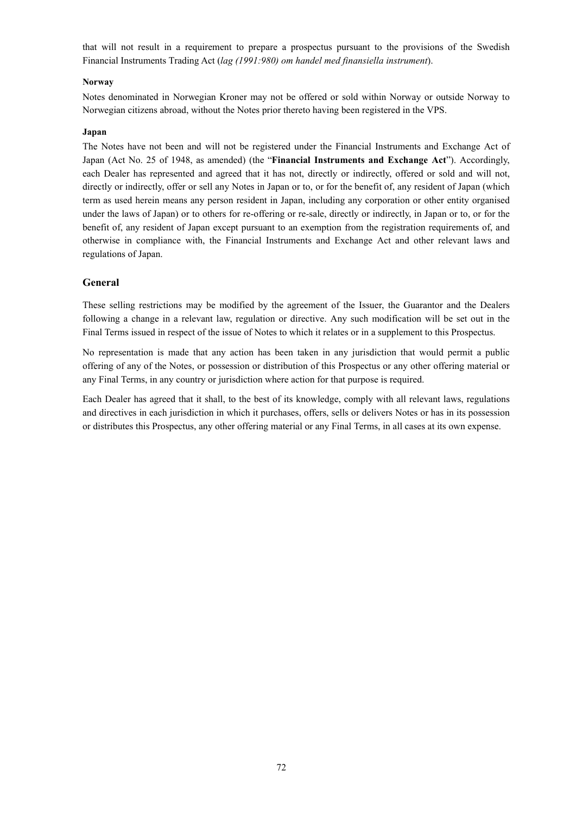that will not result in a requirement to prepare a prospectus pursuant to the provisions of the Swedish Financial Instruments Trading Act (*lag (1991:980) om handel med finansiella instrument*).

## **Norway**

Notes denominated in Norwegian Kroner may not be offered or sold within Norway or outside Norway to Norwegian citizens abroad, without the Notes prior thereto having been registered in the VPS.

## **Japan**

The Notes have not been and will not be registered under the Financial Instruments and Exchange Act of Japan (Act No. 25 of 1948, as amended) (the "**Financial Instruments and Exchange Act**"). Accordingly, each Dealer has represented and agreed that it has not, directly or indirectly, offered or sold and will not, directly or indirectly, offer or sell any Notes in Japan or to, or for the benefit of, any resident of Japan (which term as used herein means any person resident in Japan, including any corporation or other entity organised under the laws of Japan) or to others for re-offering or re-sale, directly or indirectly, in Japan or to, or for the benefit of, any resident of Japan except pursuant to an exemption from the registration requirements of, and otherwise in compliance with, the Financial Instruments and Exchange Act and other relevant laws and regulations of Japan.

# **General**

These selling restrictions may be modified by the agreement of the Issuer, the Guarantor and the Dealers following a change in a relevant law, regulation or directive. Any such modification will be set out in the Final Terms issued in respect of the issue of Notes to which it relates or in a supplement to this Prospectus.

No representation is made that any action has been taken in any jurisdiction that would permit a public offering of any of the Notes, or possession or distribution of this Prospectus or any other offering material or any Final Terms, in any country or jurisdiction where action for that purpose is required.

Each Dealer has agreed that it shall, to the best of its knowledge, comply with all relevant laws, regulations and directives in each jurisdiction in which it purchases, offers, sells or delivers Notes or has in its possession or distributes this Prospectus, any other offering material or any Final Terms, in all cases at its own expense.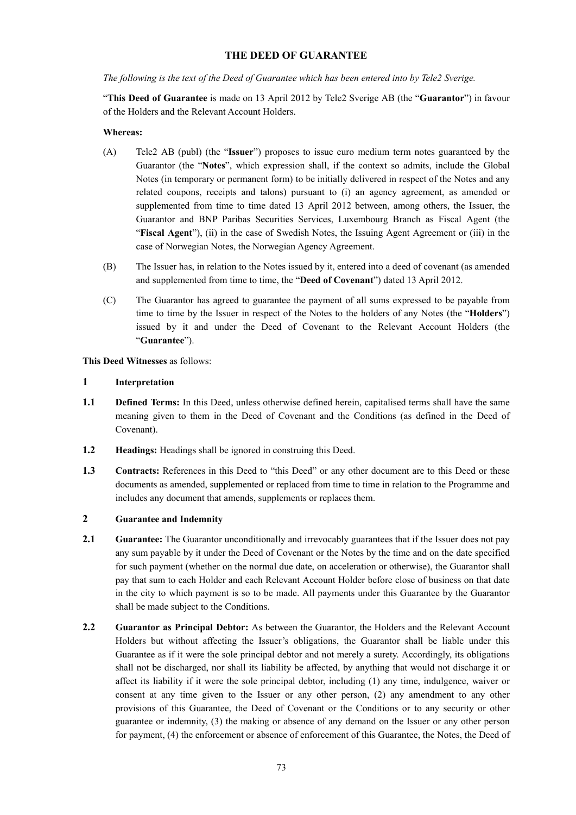# **THE DEED OF GUARANTEE**

*The following is the text of the Deed of Guarantee which has been entered into by Tele2 Sverige.*

"**This Deed of Guarantee** is made on 13 April 2012 by Tele2 Sverige AB (the "**Guarantor**") in favour of the Holders and the Relevant Account Holders.

### **Whereas:**

- (A) Tele2 AB (publ) (the "**Issuer**") proposes to issue euro medium term notes guaranteed by the Guarantor (the "**Notes**", which expression shall, if the context so admits, include the Global Notes (in temporary or permanent form) to be initially delivered in respect of the Notes and any related coupons, receipts and talons) pursuant to (i) an agency agreement, as amended or supplemented from time to time dated 13 April 2012 between, among others, the Issuer, the Guarantor and BNP Paribas Securities Services, Luxembourg Branch as Fiscal Agent (the "**Fiscal Agent**"), (ii) in the case of Swedish Notes, the Issuing Agent Agreement or (iii) in the case of Norwegian Notes, the Norwegian Agency Agreement.
- (B) The Issuer has, in relation to the Notes issued by it, entered into a deed of covenant (as amended and supplemented from time to time, the "**Deed of Covenant**") dated 13 April 2012.
- (C) The Guarantor has agreed to guarantee the payment of all sums expressed to be payable from time to time by the Issuer in respect of the Notes to the holders of any Notes (the "**Holders**") issued by it and under the Deed of Covenant to the Relevant Account Holders (the "**Guarantee**").

**This Deed Witnesses** as follows:

#### **1 Interpretation**

- **1.1 Defined Terms:** In this Deed, unless otherwise defined herein, capitalised terms shall have the same meaning given to them in the Deed of Covenant and the Conditions (as defined in the Deed of Covenant).
- **1.2 Headings:** Headings shall be ignored in construing this Deed.
- 1.3 **Contracts:** References in this Deed to "this Deed" or any other document are to this Deed or these documents as amended, supplemented or replaced from time to time in relation to the Programme and includes any document that amends, supplements or replaces them.

# **2 Guarantee and Indemnity**

- **2.1 Guarantee:** The Guarantor unconditionally and irrevocably guarantees that if the Issuer does not pay any sum payable by it under the Deed of Covenant or the Notes by the time and on the date specified for such payment (whether on the normal due date, on acceleration or otherwise), the Guarantor shall pay that sum to each Holder and each Relevant Account Holder before close of business on that date in the city to which payment is so to be made. All payments under this Guarantee by the Guarantor shall be made subject to the Conditions.
- **2.2 Guarantor as Principal Debtor:** As between the Guarantor, the Holders and the Relevant Account Holders but without affecting the Issuer's obligations, the Guarantor shall be liable under this Guarantee as if it were the sole principal debtor and not merely a surety. Accordingly, its obligations shall not be discharged, nor shall its liability be affected, by anything that would not discharge it or affect its liability if it were the sole principal debtor, including (1) any time, indulgence, waiver or consent at any time given to the Issuer or any other person, (2) any amendment to any other provisions of this Guarantee, the Deed of Covenant or the Conditions or to any security or other guarantee or indemnity, (3) the making or absence of any demand on the Issuer or any other person for payment, (4) the enforcement or absence of enforcement of this Guarantee, the Notes, the Deed of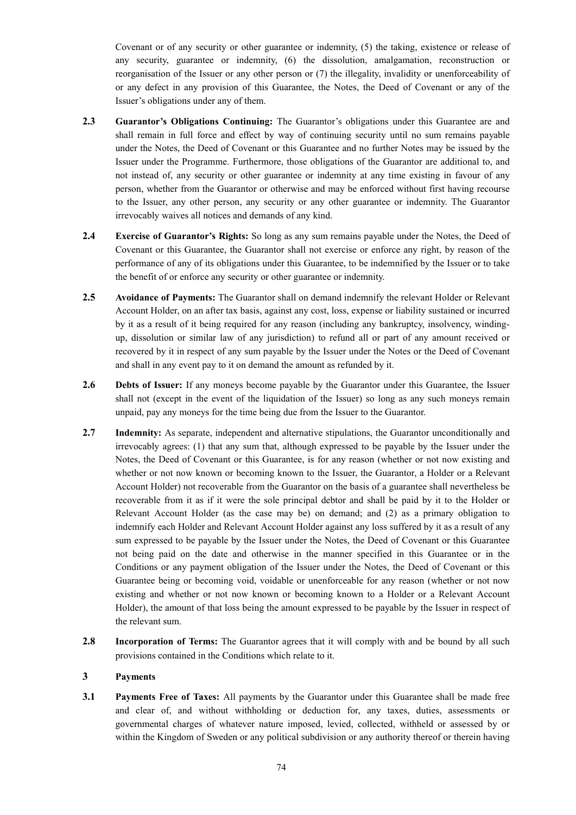Covenant or of any security or other guarantee or indemnity, (5) the taking, existence or release of any security, guarantee or indemnity, (6) the dissolution, amalgamation, reconstruction or reorganisation of the Issuer or any other person or (7) the illegality, invalidity or unenforceability of or any defect in any provision of this Guarantee, the Notes, the Deed of Covenant or any of the Issuer's obligations under any of them.

- **2.3 Guarantor's Obligations Continuing:** The Guarantor's obligations under this Guarantee are and shall remain in full force and effect by way of continuing security until no sum remains payable under the Notes, the Deed of Covenant or this Guarantee and no further Notes may be issued by the Issuer under the Programme. Furthermore, those obligations of the Guarantor are additional to, and not instead of, any security or other guarantee or indemnity at any time existing in favour of any person, whether from the Guarantor or otherwise and may be enforced without first having recourse to the Issuer, any other person, any security or any other guarantee or indemnity. The Guarantor irrevocably waives all notices and demands of any kind.
- **2.4 Exercise of Guarantor's Rights:** So long as any sum remains payable under the Notes, the Deed of Covenant or this Guarantee, the Guarantor shall not exercise or enforce any right, by reason of the performance of any of its obligations under this Guarantee, to be indemnified by the Issuer or to take the benefit of or enforce any security or other guarantee or indemnity.
- **2.5 Avoidance of Payments:** The Guarantor shall on demand indemnify the relevant Holder or Relevant Account Holder, on an after tax basis, against any cost, loss, expense or liability sustained or incurred by it as a result of it being required for any reason (including any bankruptcy, insolvency, windingup, dissolution or similar law of any jurisdiction) to refund all or part of any amount received or recovered by it in respect of any sum payable by the Issuer under the Notes or the Deed of Covenant and shall in any event pay to it on demand the amount as refunded by it.
- **2.6 Debts of Issuer:** If any moneys become payable by the Guarantor under this Guarantee, the Issuer shall not (except in the event of the liquidation of the Issuer) so long as any such moneys remain unpaid, pay any moneys for the time being due from the Issuer to the Guarantor.
- **2.7 Indemnity:** As separate, independent and alternative stipulations, the Guarantor unconditionally and irrevocably agrees: (1) that any sum that, although expressed to be payable by the Issuer under the Notes, the Deed of Covenant or this Guarantee, is for any reason (whether or not now existing and whether or not now known or becoming known to the Issuer, the Guarantor, a Holder or a Relevant Account Holder) not recoverable from the Guarantor on the basis of a guarantee shall nevertheless be recoverable from it as if it were the sole principal debtor and shall be paid by it to the Holder or Relevant Account Holder (as the case may be) on demand; and (2) as a primary obligation to indemnify each Holder and Relevant Account Holder against any loss suffered by it as a result of any sum expressed to be payable by the Issuer under the Notes, the Deed of Covenant or this Guarantee not being paid on the date and otherwise in the manner specified in this Guarantee or in the Conditions or any payment obligation of the Issuer under the Notes, the Deed of Covenant or this Guarantee being or becoming void, voidable or unenforceable for any reason (whether or not now existing and whether or not now known or becoming known to a Holder or a Relevant Account Holder), the amount of that loss being the amount expressed to be payable by the Issuer in respect of the relevant sum.
- **2.8 Incorporation of Terms:** The Guarantor agrees that it will comply with and be bound by all such provisions contained in the Conditions which relate to it.

### **3 Payments**

**3.1 Payments Free of Taxes:** All payments by the Guarantor under this Guarantee shall be made free and clear of, and without withholding or deduction for, any taxes, duties, assessments or governmental charges of whatever nature imposed, levied, collected, withheld or assessed by or within the Kingdom of Sweden or any political subdivision or any authority thereof or therein having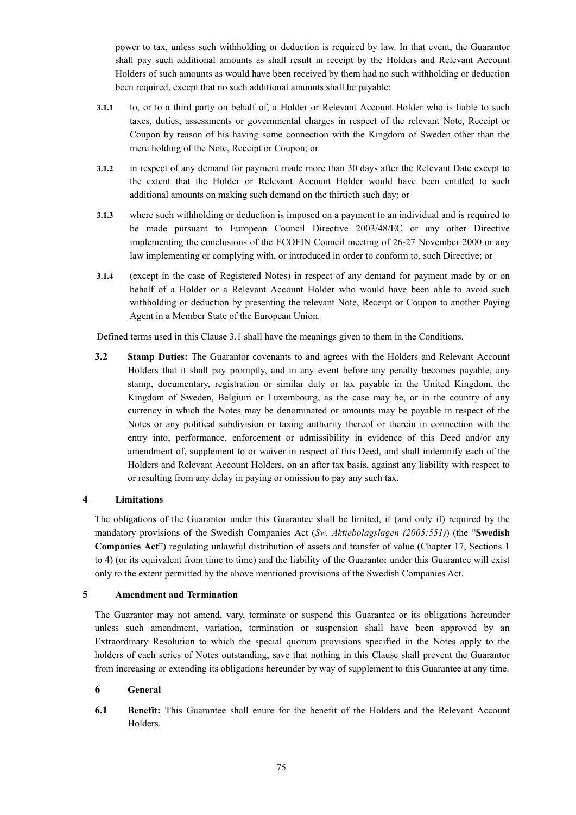power to tax, unless such withholding or deduction is required by law. In that event, the Guarantor shall pay such additional amounts as shall result in receipt by the Holders and Relevant Account Holders of such amounts as would have been received by them had no such withholding or deduction been required, except that no such additional amounts shall be payable:

- **3.1.1** to, or to a third party on behalf of, a Holder or Relevant Account Holder who is liable to such taxes, duties, assessments or governmental charges in respect of the relevant Note, Receipt or Coupon by reason of his having some connection with the Kingdom of Sweden other than the mere holding of the Note, Receipt or Coupon; or
- **3.1.2** in respect of any demand for payment made more than 30 days after the Relevant Date except to the extent that the Holder or Relevant Account Holder would have been entitled to such additional amounts on making such demand on the thirtieth such day; or
- **3.1.3** where such withholding or deduction is imposed on a payment to an individual and is required to be made pursuant to European Council Directive 2003/48/EC or any other Directive implementing the conclusions of the ECOFIN Council meeting of 26-27 November 2000 or any law implementing or complying with, or introduced in order to conform to, such Directive; or
- **3.1.4** (except in the case of Registered Notes) in respect of any demand for payment made by or on behalf of a Holder or a Relevant Account Holder who would have been able to avoid such withholding or deduction by presenting the relevant Note, Receipt or Coupon to another Paying Agent in a Member State of the European Union.

Defined terms used in this Clause 3.1 shall have the meanings given to them in the Conditions.

**3.2 Stamp Duties:** The Guarantor covenants to and agrees with the Holders and Relevant Account Holders that it shall pay promptly, and in any event before any penalty becomes payable, any stamp, documentary, registration or similar duty or tax payable in the United Kingdom, the Kingdom of Sweden, Belgium or Luxembourg, as the case may be, or in the country of any currency in which the Notes may be denominated or amounts may be payable in respect of the Notes or any political subdivision or taxing authority thereof or therein in connection with the entry into, performance, enforcement or admissibility in evidence of this Deed and/or any amendment of, supplement to or waiver in respect of this Deed, and shall indemnify each of the Holders and Relevant Account Holders, on an after tax basis, against any liability with respect to or resulting from any delay in paying or omission to pay any such tax.

### **4 Limitations**

The obligations of the Guarantor under this Guarantee shall be limited, if (and only if) required by the mandatory provisions of the Swedish Companies Act (*Sw. Aktiebolagslagen (2005:551)*) (the "**Swedish Companies Act**") regulating unlawful distribution of assets and transfer of value (Chapter 17, Sections 1 to 4) (or its equivalent from time to time) and the liability of the Guarantor under this Guarantee will exist only to the extent permitted by the above mentioned provisions of the Swedish Companies Act.

### **5 Amendment and Termination**

The Guarantor may not amend, vary, terminate or suspend this Guarantee or its obligations hereunder unless such amendment, variation, termination or suspension shall have been approved by an Extraordinary Resolution to which the special quorum provisions specified in the Notes apply to the holders of each series of Notes outstanding, save that nothing in this Clause shall prevent the Guarantor from increasing or extending its obligations hereunder by way of supplement to this Guarantee at any time.

### **6 General**

**6.1 Benefit:** This Guarantee shall enure for the benefit of the Holders and the Relevant Account Holders.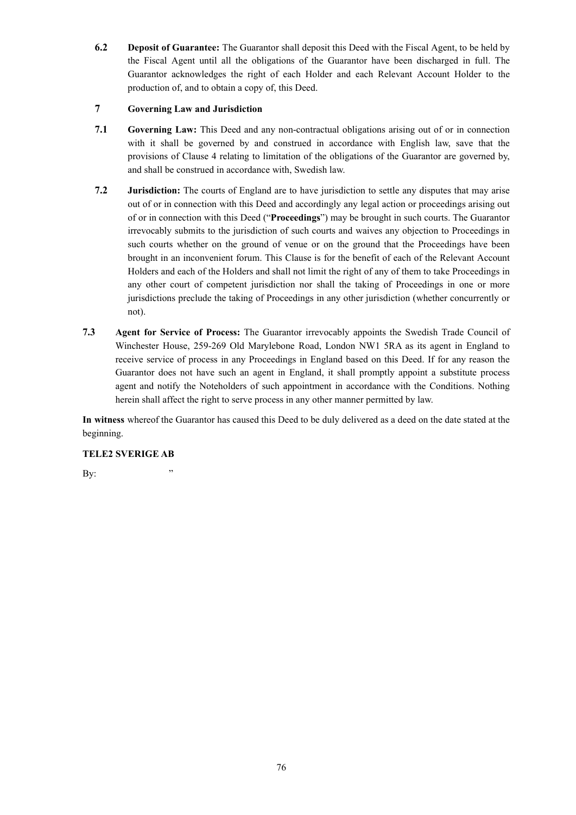**6.2 Deposit of Guarantee:** The Guarantor shall deposit this Deed with the Fiscal Agent, to be held by the Fiscal Agent until all the obligations of the Guarantor have been discharged in full. The Guarantor acknowledges the right of each Holder and each Relevant Account Holder to the production of, and to obtain a copy of, this Deed.

# **7 Governing Law and Jurisdiction**

- **7.1 Governing Law:** This Deed and any non-contractual obligations arising out of or in connection with it shall be governed by and construed in accordance with English law, save that the provisions of Clause 4 relating to limitation of the obligations of the Guarantor are governed by, and shall be construed in accordance with, Swedish law.
- **7.2 Jurisdiction:** The courts of England are to have jurisdiction to settle any disputes that may arise out of or in connection with this Deed and accordingly any legal action or proceedings arising out of or in connection with this Deed ("**Proceedings**") may be brought in such courts. The Guarantor irrevocably submits to the jurisdiction of such courts and waives any objection to Proceedings in such courts whether on the ground of venue or on the ground that the Proceedings have been brought in an inconvenient forum. This Clause is for the benefit of each of the Relevant Account Holders and each of the Holders and shall not limit the right of any of them to take Proceedings in any other court of competent jurisdiction nor shall the taking of Proceedings in one or more jurisdictions preclude the taking of Proceedings in any other jurisdiction (whether concurrently or not).
- **7.3 Agent for Service of Process:** The Guarantor irrevocably appoints the Swedish Trade Council of Winchester House, 259-269 Old Marylebone Road, London NW1 5RA as its agent in England to receive service of process in any Proceedings in England based on this Deed. If for any reason the Guarantor does not have such an agent in England, it shall promptly appoint a substitute process agent and notify the Noteholders of such appointment in accordance with the Conditions. Nothing herein shall affect the right to serve process in any other manner permitted by law.

**In witness** whereof the Guarantor has caused this Deed to be duly delivered as a deed on the date stated at the beginning.

# **TELE2 SVERIGE AB**

 $Bv$ :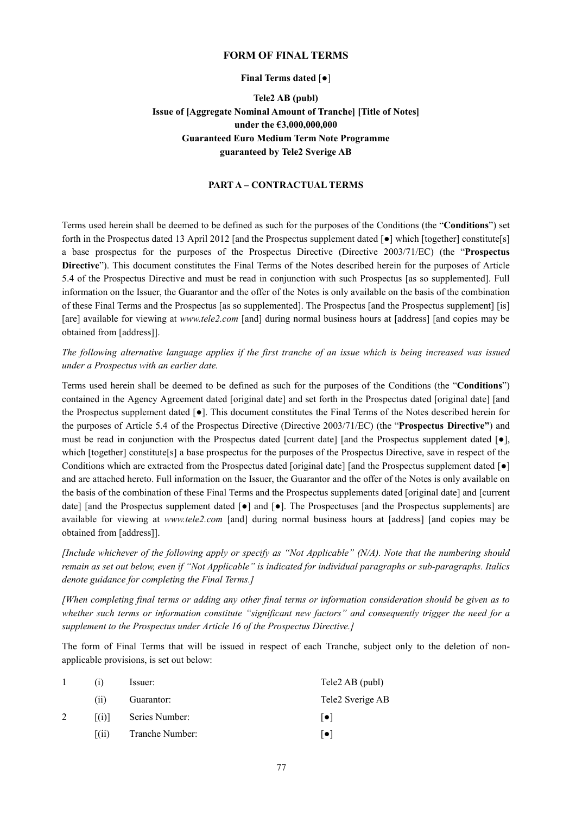#### **FORM OF FINAL TERMS**

#### **Final Terms dated** [●]

# **Tele2 AB (publ) Issue of [Aggregate Nominal Amount of Tranche] [Title of Notes] under the €3,000,000,000 Guaranteed Euro Medium Term Note Programme guaranteed by Tele2 Sverige AB**

# **PART A – CONTRACTUAL TERMS**

Terms used herein shall be deemed to be defined as such for the purposes of the Conditions (the "**Conditions**") set forth in the Prospectus dated 13 April 2012 [and the Prospectus supplement dated  $\lceil \bullet \rceil$  which [together] constitute[s] a base prospectus for the purposes of the Prospectus Directive (Directive 2003/71/EC) (the "**Prospectus Directive**"). This document constitutes the Final Terms of the Notes described herein for the purposes of Article 5.4 of the Prospectus Directive and must be read in conjunction with such Prospectus [as so supplemented]. Full information on the Issuer, the Guarantor and the offer of the Notes is only available on the basis of the combination of these Final Terms and the Prospectus [as so supplemented]. The Prospectus [and the Prospectus supplement] [is] [are] available for viewing at *www.tele2.com* [and] during normal business hours at [address] [and copies may be obtained from [address]].

*The following alternative language applies if the first tranche of an issue which is being increased was issued under a Prospectus with an earlier date.*

Terms used herein shall be deemed to be defined as such for the purposes of the Conditions (the "**Conditions**") contained in the Agency Agreement dated [original date] and set forth in the Prospectus dated [original date] [and the Prospectus supplement dated [●]. This document constitutes the Final Terms of the Notes described herein for the purposes of Article 5.4 of the Prospectus Directive (Directive 2003/71/EC) (the "**Prospectus Directive"**) and must be read in conjunction with the Prospectus dated [current date] [and the Prospectus supplement dated  $\lceil \bullet \rceil$ , which [together] constitute[s] a base prospectus for the purposes of the Prospectus Directive, save in respect of the Conditions which are extracted from the Prospectus dated [original date] [and the Prospectus supplement dated [ $\bullet$ ] and are attached hereto. Full information on the Issuer, the Guarantor and the offer of the Notes is only available on the basis of the combination of these Final Terms and the Prospectus supplements dated [original date] and [current date] [and the Prospectus supplement dated  $\lceil \bullet \rceil$  and  $\lceil \bullet \rceil$ . The Prospectuses [and the Prospectus supplements] are available for viewing at *www.tele2.com* [and] during normal business hours at [address] [and copies may be obtained from [address]].

*[Include whichever of the following apply or specify as "Not Applicable" (N/A). Note that the numbering should remain as set out below, even if "Not Applicable" is indicated for individual paragraphs or sub-paragraphs. Italics denote guidance for completing the Final Terms.]*

*[When completing final terms or adding any other final terms or information consideration should be given as to whether such terms or information constitute "significant new factors" and consequently trigger the need for a supplement to the Prospectus under Article 16 of the Prospectus Directive.]*

The form of Final Terms that will be issued in respect of each Tranche, subject only to the deletion of nonapplicable provisions, is set out below:

|                    | Issuer:         | Tele2 AB (publ)  |
|--------------------|-----------------|------------------|
| (11)               | Guarantor:      | Tele2 Sverige AB |
| (1)                | Series Number:  | $  \bullet  $    |
| $\left( 11\right)$ | Tranche Number: | $  \bullet  $    |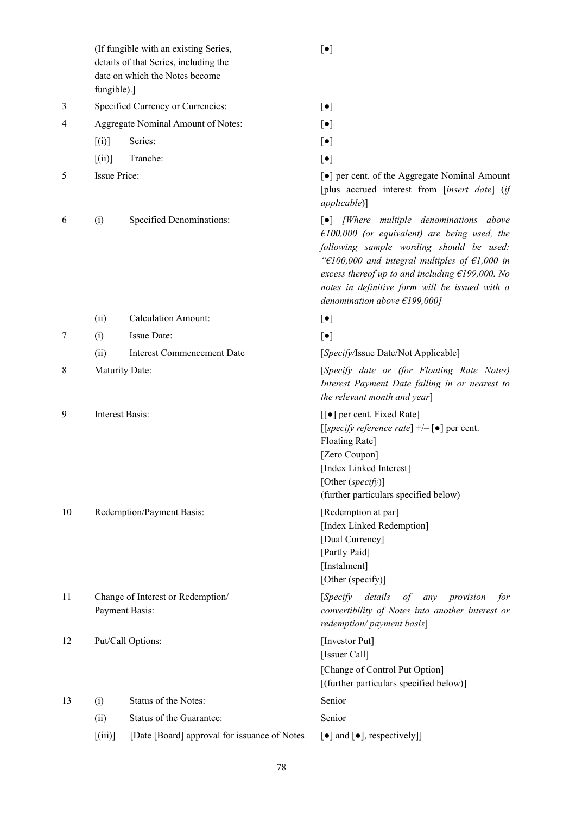(If fungible with an existing Series, details of that Series, including the date on which the Notes become fungible).]

- 3 Specified Currency or Currencies:  $\lceil \bullet \rceil$
- 4 Aggregate Nominal Amount of Notes: [●]
	- $[(i)]$  Series:  $[•]$
	- $[(ii)]$  Tranche:  $[•]$
- 

6 (i) Specified Denominations: [●] *[Where multiple denominations above* 

- (ii) Calculation Amount: [●] 7 (i) Issue Date:  $\lceil \bullet \rceil$ (ii) Interest Commencement Date [*Specify/*Issue Date/Not Applicable]
- 9 Interest Basis:  $\lceil \cdot \rceil$  per cent. Fixed Rate

- 10 Redemption/Payment Basis: [Redemption at par]
- 11 Change of Interest or Redemption/ Payment Basis:
- 12 Put/Call Options: [Investor Put]
- 13 (i) Status of the Notes: Senior (ii) Status of the Guarantee: Senior [(iii)] [Date [Board] approval for issuance of Notes  $[\bullet]$  and  $[\bullet]$ , respectively]]

[●]

- 
- 
- 

5 Issue Price: service is a large service of the Aggregate Nominal Amount [plus accrued interest from [*insert date*] (*if applicable*)]

> *€100,000 (or equivalent) are being used, the following sample wording should be used: "€100,000 and integral multiples of €1,000 in excess thereof up to and including €199,000. No notes in definitive form will be issued with a denomination above €199,000]*

8 Maturity Date: [*Specify date or (for Floating Rate Notes) Interest Payment Date falling in or nearest to the relevant month and year*]

> [[*specify reference rate*] +/– [●] per cent. Floating Rate] [Zero Coupon] [Index Linked Interest] [Other (*specify*)] (further particulars specified below)

[Index Linked Redemption] [Dual Currency] [Partly Paid] [Instalment] [Other (specify)]

[*Specify details of any provision for convertibility of Notes into another interest or redemption/ payment basis*]

[Issuer Call] [Change of Control Put Option] [(further particulars specified below)]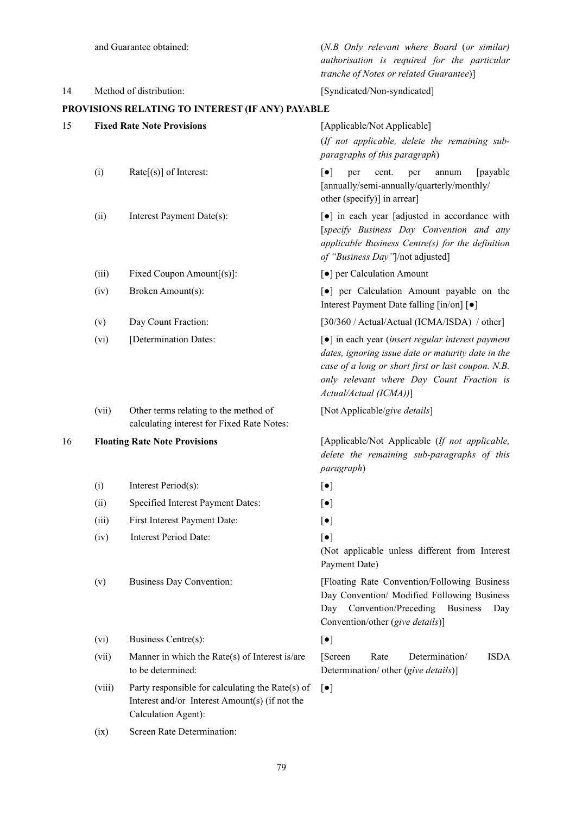and Guarantee obtained: (*N.B Only relevant where Board* (*or similar) authorisation is required for the particular tranche of Notes or related Guarantee*)] 14 Method of distribution: [Syndicated/Non-syndicated] **PROVISIONS RELATING TO INTEREST (IF ANY) PAYABLE** 15 **Fixed Rate Note Provisions** [Applicable/Not Applicable] (*If not applicable, delete the remaining subparagraphs of this paragraph*) (i) Rate[(s)] of Interest:  $\begin{bmatrix} \bullet \\ \end{bmatrix}$  per cent. per annum [payable [annually/semi-annually/quarterly/monthly/ other (specify)] in arrear] (ii) Interest Payment Date(s):  $\begin{bmatrix} \bullet \end{bmatrix}$  in each year [adjusted in accordance with [*specify Business Day Convention and any applicable Business Centre(s) for the definition of "Business Day"*]/not adjusted] (iii) Fixed Coupon Amount[(s)]: [●] per Calculation Amount (iv) Broken Amount(s): [●] per Calculation Amount payable on the Interest Payment Date falling [in/on] [●] (v) Day Count Fraction: [30/360 / Actual/Actual (ICMA/ISDA) / other] (vi) [Determination Dates: [●] in each year (*insert regular interest payment dates, ignoring issue date or maturity date in the case of a long or short first or last coupon. N.B. only relevant where Day Count Fraction is Actual/Actual (ICMA))*] (vii) Other terms relating to the method of calculating interest for Fixed Rate Notes: [Not Applicable/*give details*] 16 **Floating Rate Note Provisions** [Applicable/Not Applicable (*If not applicable, delete the remaining sub-paragraphs of this paragraph*) (i) Interest Period(s):  $\lceil \bullet \rceil$ (ii) Specified Interest Payment Dates: [●] (iii) First Interest Payment Date:  $\lceil \bullet \rceil$ (iv) Interest Period Date: [●] (Not applicable unless different from Interest Payment Date) (v) Business Day Convention: [Floating Rate Convention/Following Business Day Convention/ Modified Following Business Day Convention/Preceding Business Day Convention/other (*give details*)] (vi) Business Centre(s):  $\lceil \bullet \rceil$ (vii) Manner in which the Rate(s) of Interest is/are to be determined: [Screen Rate Determination/ ISDA Determination/ other (*give details*)] (viii) Party responsible for calculating the Rate(s) of Interest and/or Interest Amount(s) (if not the Calculation Agent): [●] (ix) Screen Rate Determination: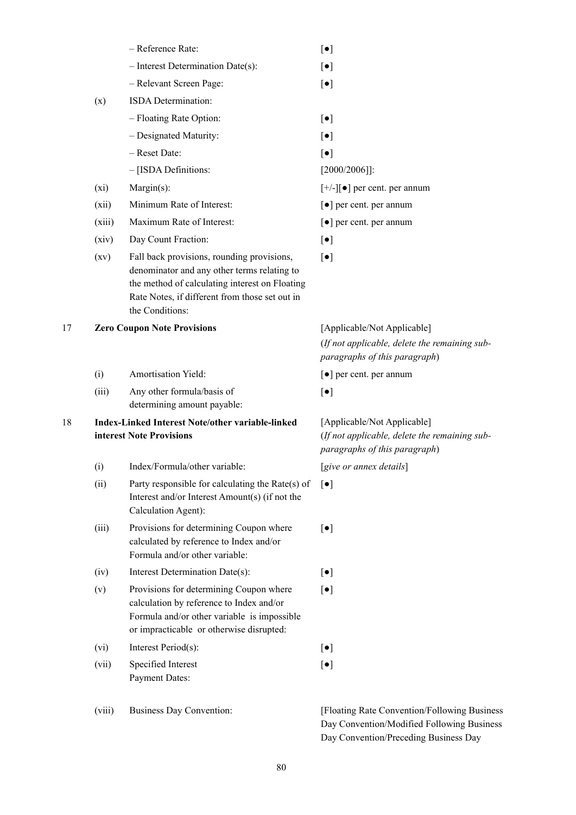|    |        | - Reference Rate:                                                                                                                                                                                                | $[\bullet]$                                                                                                   |
|----|--------|------------------------------------------------------------------------------------------------------------------------------------------------------------------------------------------------------------------|---------------------------------------------------------------------------------------------------------------|
|    |        | $-$ Interest Determination Date(s):                                                                                                                                                                              | $[\bullet]$                                                                                                   |
|    |        | - Relevant Screen Page:                                                                                                                                                                                          | $\lbrack \bullet \rbrack$                                                                                     |
|    | (x)    | ISDA Determination:                                                                                                                                                                                              |                                                                                                               |
|    |        | - Floating Rate Option:                                                                                                                                                                                          | $[\bullet]$                                                                                                   |
|    |        | - Designated Maturity:                                                                                                                                                                                           | $[\bullet]$                                                                                                   |
|    |        | - Reset Date:                                                                                                                                                                                                    | $[\bullet]$                                                                                                   |
|    |        | - [ISDA Definitions:                                                                                                                                                                                             | $[2000/2006]$ :                                                                                               |
|    | (xi)   | $Margin(s)$ :                                                                                                                                                                                                    | $[+/][\bullet]$ per cent. per annum                                                                           |
|    | (xii)  | Minimum Rate of Interest:                                                                                                                                                                                        | [ $\bullet$ ] per cent. per annum                                                                             |
|    | (xiii) | Maximum Rate of Interest:                                                                                                                                                                                        | [ $\bullet$ ] per cent. per annum                                                                             |
|    | (xiv)  | Day Count Fraction:                                                                                                                                                                                              | $[\bullet]$                                                                                                   |
|    | (xv)   | Fall back provisions, rounding provisions,<br>denominator and any other terms relating to<br>the method of calculating interest on Floating<br>Rate Notes, if different from those set out in<br>the Conditions: | $[\bullet]$                                                                                                   |
| 17 |        | <b>Zero Coupon Note Provisions</b>                                                                                                                                                                               | [Applicable/Not Applicable]<br>(If not applicable, delete the remaining sub-<br>paragraphs of this paragraph) |
|    | (i)    | Amortisation Yield:                                                                                                                                                                                              | [ $\bullet$ ] per cent. per annum                                                                             |
|    | (iii)  | Any other formula/basis of<br>determining amount payable:                                                                                                                                                        | $[\bullet]$                                                                                                   |
| 18 |        | Index-Linked Interest Note/other variable-linked<br>interest Note Provisions                                                                                                                                     | [Applicable/Not Applicable]<br>(If not applicable, delete the remaining sub-<br>paragraphs of this paragraph) |
|    | (i)    | Index/Formula/other variable:                                                                                                                                                                                    | [give or annex details]                                                                                       |
|    | (ii)   | Party responsible for calculating the Rate(s) of                                                                                                                                                                 | $\lceil \bullet \rceil$                                                                                       |
|    |        | Interest and/or Interest Amount(s) (if not the<br>Calculation Agent):                                                                                                                                            |                                                                                                               |
|    | (iii)  | Provisions for determining Coupon where<br>calculated by reference to Index and/or<br>Formula and/or other variable:                                                                                             | $[\bullet]$                                                                                                   |
|    | (iv)   | Interest Determination Date(s):                                                                                                                                                                                  | $[\bullet]$                                                                                                   |
|    | (v)    | Provisions for determining Coupon where<br>calculation by reference to Index and/or<br>Formula and/or other variable is impossible<br>or impracticable or otherwise disrupted:                                   | $\lbrack \bullet \rbrack$                                                                                     |
|    | (vi)   | Interest Period(s):                                                                                                                                                                                              | $[\bullet]$                                                                                                   |
|    | (vii)  | Specified Interest<br><b>Payment Dates:</b>                                                                                                                                                                      | $[\bullet]$                                                                                                   |
|    | (viii) | <b>Business Day Convention:</b>                                                                                                                                                                                  | [Floating Rate Convention/Following Business                                                                  |

80

Day Convention/Modified Following Business Day Convention/Preceding Business Day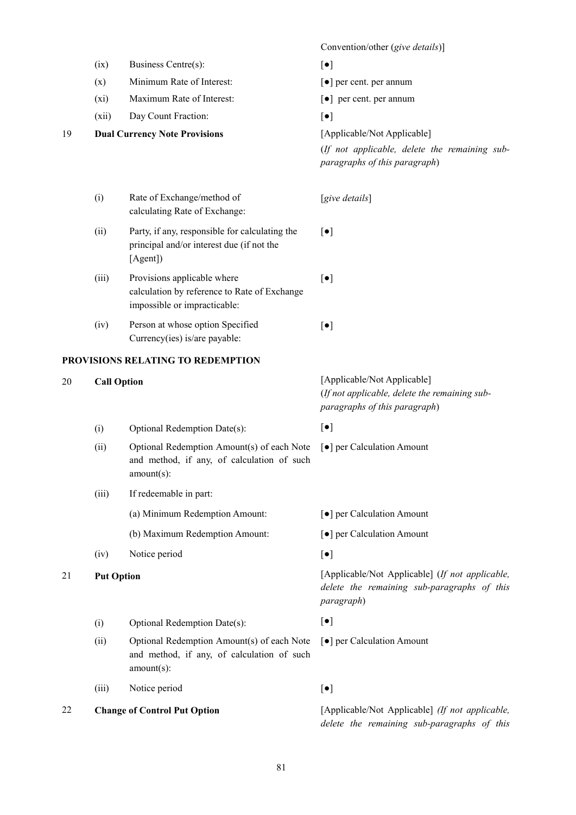Convention/other (*give details*)]  $(ix)$  Business Centre(s):  $\lceil \bullet \rceil$ (x) Minimum Rate of Interest: [●] per cent. per annum (xi) Maximum Rate of Interest: [●] per cent. per annum (xii) Day Count Fraction: [●] 19 **Dual Currency Note Provisions** [Applicable/Not Applicable] (*If not applicable, delete the remaining subparagraphs of this paragraph*) (i) Rate of Exchange/method of calculating Rate of Exchange: [*give details*] (ii) Party, if any, responsible for calculating the principal and/or interest due (if not the [Agent]) [●] (iii) Provisions applicable where calculation by reference to Rate of Exchange impossible or impracticable: [●] (iv) Person at whose option Specified Currency(ies) is/are payable: [●] **PROVISIONS RELATING TO REDEMPTION** 20 **Call Option** [Applicable/Not Applicable] (*If not applicable, delete the remaining subparagraphs of this paragraph*) (i) Optional Redemption Date(s):  $[\bullet]$ (ii) Optional Redemption Amount(s) of each Note and method, if any, of calculation of such amount(s): [●] per Calculation Amount (iii) If redeemable in part: (a) Minimum Redemption Amount: [●] per Calculation Amount (b) Maximum Redemption Amount: [●] per Calculation Amount  $(iv)$  Notice period  $\lceil \bullet \rceil$ 21 **Put Option** [Applicable/Not Applicable] (*If not applicable, delete the remaining sub-paragraphs of this paragraph*) (i) Optional Redemption Date(s):  $[e]$ (ii) Optional Redemption Amount(s) of each Note and method, if any, of calculation of such amount(s): [●] per Calculation Amount (iii) Notice period  $\lceil \bullet \rceil$ 22 **Change of Control Put Option** [Applicable/Not Applicable] *(If not applicable, delete the remaining sub-paragraphs of this*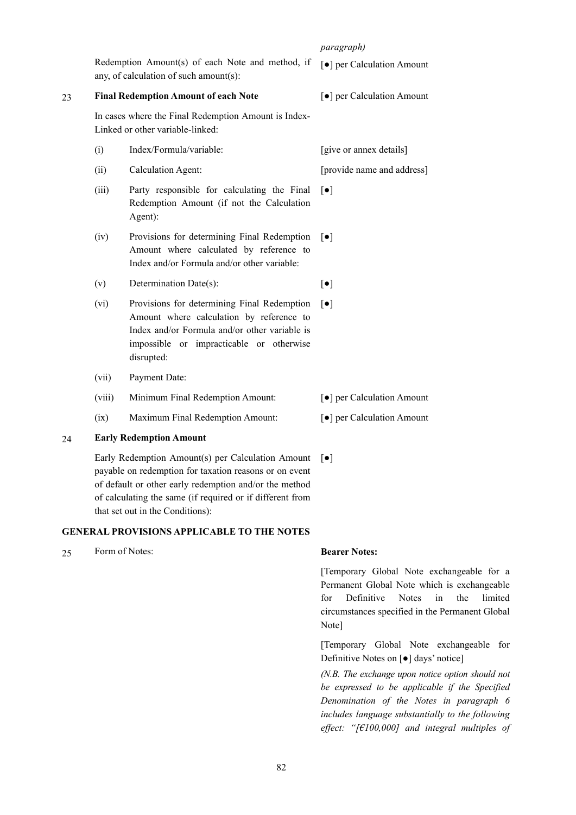*paragraph)*

Redemption Amount(s) of each Note and method, if any, of calculation of such amount(s): [●] per Calculation Amount

#### 23 **Final Redemption Amount of each Note**

In cases where the Final Redemption Amount is Index-Linked or other variable-linked:

- (i) Index/Formula/variable: [give or annex details]
- (ii) Calculation Agent: [provide name and address]
- (iii) Party responsible for calculating the Final Redemption Amount (if not the Calculation Agent):
- (iv) Provisions for determining Final Redemption Amount where calculated by reference to Index and/or Formula and/or other variable:  $\lceil \bullet \rceil$
- (v) Determination Date(s):  $\lceil \bullet \rceil$
- (vi) Provisions for determining Final Redemption Amount where calculation by reference to Index and/or Formula and/or other variable is impossible or impracticable or otherwise disrupted:  $[•]$
- (vii) Payment Date:
- (viii) Minimum Final Redemption Amount: [●] per Calculation Amount
- (ix) Maximum Final Redemption Amount: [●] per Calculation Amount

### 24 **Early Redemption Amount**

Early Redemption Amount(s) per Calculation Amount payable on redemption for taxation reasons or on event of default or other early redemption and/or the method of calculating the same (if required or if different from that set out in the Conditions):

### **GENERAL PROVISIONS APPLICABLE TO THE NOTES**

25 Form of Notes: **Bearer Notes:**

[●]

[Temporary Global Note exchangeable for a Permanent Global Note which is exchangeable for Definitive Notes in the limited circumstances specified in the Permanent Global Note]

[Temporary Global Note exchangeable for Definitive Notes on [●] days' notice]

*(N.B. The exchange upon notice option should not be expressed to be applicable if the Specified Denomination of the Notes in paragraph 6 includes language substantially to the following effect: "[€100,000] and integral multiples of* 

[●] per Calculation Amount

[●]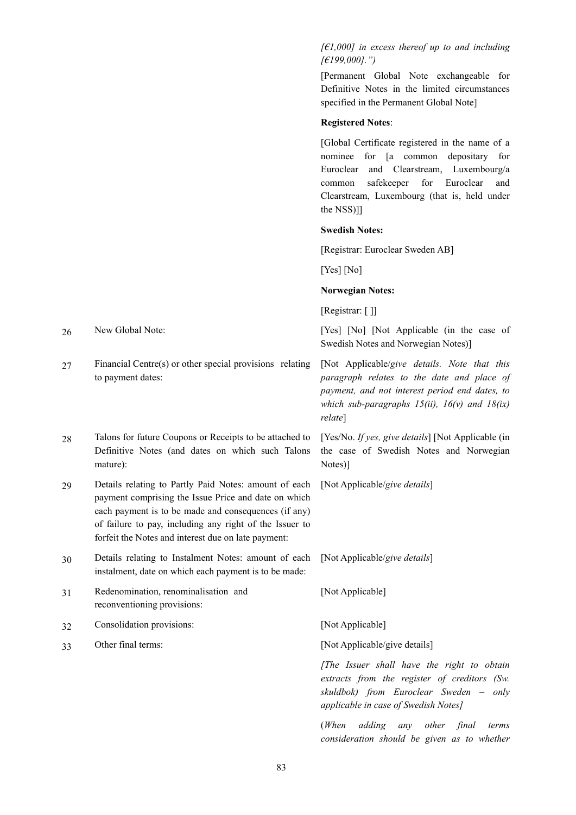*[€1,000] in excess thereof up to and including [€199,000].")*

[Permanent Global Note exchangeable for Definitive Notes in the limited circumstances specified in the Permanent Global Note]

#### **Registered Notes**:

[Global Certificate registered in the name of a nominee for [a common depositary for Euroclear and Clearstream, Luxembourg/a common safekeeper for Euroclear and Clearstream, Luxembourg (that is, held under the NSS)]]

## **Swedish Notes:**

[Registrar: Euroclear Sweden AB]

[Yes] [No]

## **Norwegian Notes:**

[Registrar: []]

26 New Global Note: [Yes] [Not Applicable (in the case of Swedish Notes and Norwegian Notes)]

> [Not Applicable/*give details. Note that this paragraph relates to the date and place of payment, and not interest period end dates, to which sub-paragraphs 15(ii), 16(v) and 18(ix) relate*]

> [Yes/No. *If yes, give details*] [Not Applicable (in the case of Swedish Notes and Norwegian Notes)]

[Not Applicable/*give details*]

[Not Applicable/*give details*]

[Not Applicable]

33 Other final terms: [Not Applicable/give details]

*[The Issuer shall have the right to obtain extracts from the register of creditors (Sw. skuldbok) from Euroclear Sweden – only applicable in case of Swedish Notes]*

(*When adding any other final terms consideration should be given as to whether* 

27 Financial Centre(s) or other special provisions relating to payment dates:

28 Talons for future Coupons or Receipts to be attached to Definitive Notes (and dates on which such Talons mature):

29 Details relating to Partly Paid Notes: amount of each payment comprising the Issue Price and date on which each payment is to be made and consequences (if any) of failure to pay, including any right of the Issuer to forfeit the Notes and interest due on late payment:

- 30 Details relating to Instalment Notes: amount of each instalment, date on which each payment is to be made:
- 31 Redenomination, renominalisation and reconventioning provisions:
- 32 Consolidation provisions: [Not Applicable]
-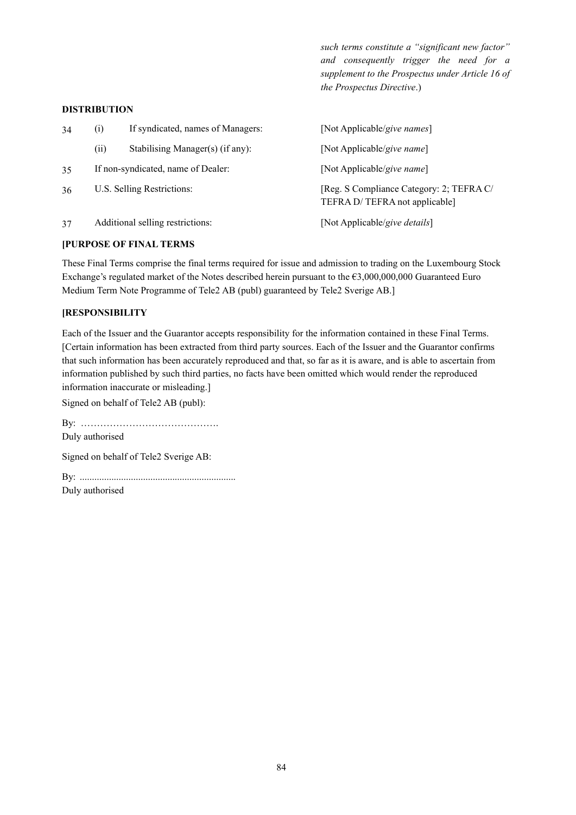*such terms constitute a "significant new factor" and consequently trigger the need for a supplement to the Prospectus under Article 16 of the Prospectus Directive*.)

#### **DISTRIBUTION**

| 34 | $\left( i\right)$                  | If syndicated, names of Managers: | [Not Applicable/give names]                                               |
|----|------------------------------------|-----------------------------------|---------------------------------------------------------------------------|
|    | (i)                                | Stabilising Manager(s) (if any):  | [Not Applicable/give name]                                                |
| 35 | If non-syndicated, name of Dealer: |                                   | [Not Applicable/give name]                                                |
| 36 | U.S. Selling Restrictions:         |                                   | [Reg. S Compliance Category: 2; TEFRA C/<br>TEFRA D/TEFRA not applicable] |
| 37 | Additional selling restrictions:   |                                   | [Not Applicable/give details]                                             |

### **[PURPOSE OF FINAL TERMS**

These Final Terms comprise the final terms required for issue and admission to trading on the Luxembourg Stock Exchange's regulated market of the Notes described herein pursuant to the €3,000,000,000 Guaranteed Euro Medium Term Note Programme of Tele2 AB (publ) guaranteed by Tele2 Sverige AB.]

## **[RESPONSIBILITY**

Each of the Issuer and the Guarantor accepts responsibility for the information contained in these Final Terms. [Certain information has been extracted from third party sources. Each of the Issuer and the Guarantor confirms that such information has been accurately reproduced and that, so far as it is aware, and is able to ascertain from information published by such third parties, no facts have been omitted which would render the reproduced information inaccurate or misleading.]

Signed on behalf of Tele2 AB (publ):

By: ……………………………………. Duly authorised Signed on behalf of Tele2 Sverige AB: By: ................................................................ Duly authorised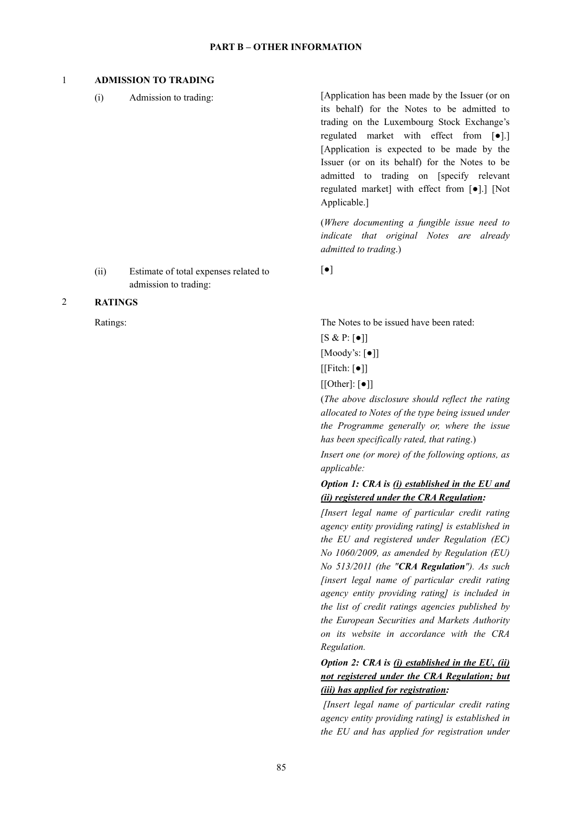#### **PART B – OTHER INFORMATION**

## 1 **ADMISSION TO TRADING**

(i) Admission to trading: [Application has been made by the Issuer (or on its behalf) for the Notes to be admitted to trading on the Luxembourg Stock Exchange's regulated market with effect from [●].] [Application is expected to be made by the Issuer (or on its behalf) for the Notes to be admitted to trading on [specify relevant regulated market] with effect from [●].] [Not Applicable.]

> (*Where documenting a fungible issue need to indicate that original Notes are already admitted to trading*.)

[●]

(ii) Estimate of total expenses related to admission to trading:

# 2 **RATINGS**

Ratings: The Notes to be issued have been rated:

 $[S & P: [\bullet]]$ [Moody's: [●]]  $[[Fitch: [\bullet]]$  $[[Other]: [•]$ ]

(*The above disclosure should reflect the rating allocated to Notes of the type being issued under the Programme generally or, where the issue has been specifically rated, that rating*.)

*Insert one (or more) of the following options, as applicable:*

# *Option 1: CRA is (i) established in the EU and (ii) registered under the CRA Regulation:*

*[Insert legal name of particular credit rating agency entity providing rating] is established in the EU and registered under Regulation (EC) No 1060/2009, as amended by Regulation (EU) No 513/2011 (the "CRA Regulation"). As such [insert legal name of particular credit rating agency entity providing rating] is included in the list of credit ratings agencies published by the European Securities and Markets Authority on its website in accordance with the CRA Regulation.*

*Option 2: CRA is (i) established in the EU, (ii) not registered under the CRA Regulation; but (iii) has applied for registration:*

*[Insert legal name of particular credit rating agency entity providing rating] is established in the EU and has applied for registration under*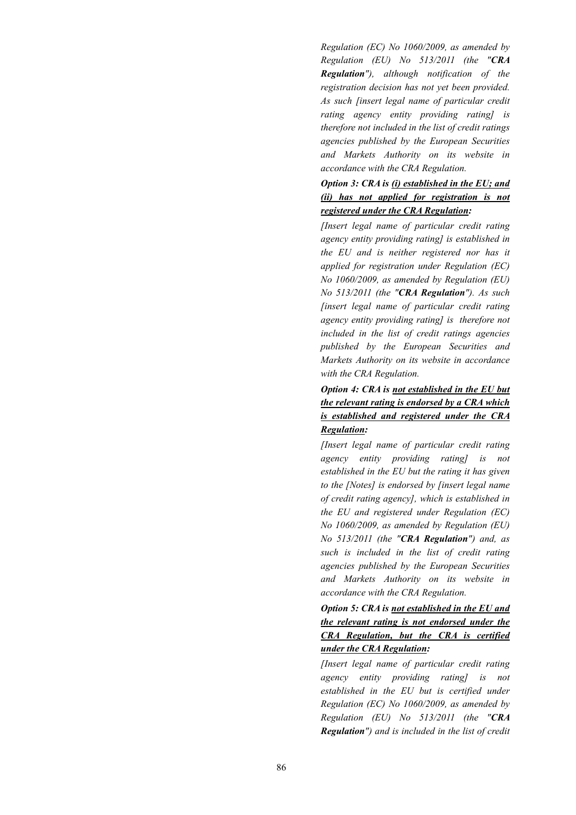*Regulation (EC) No 1060/2009, as amended by Regulation (EU) No 513/2011 (the "CRA Regulation"), although notification of the registration decision has not yet been provided. As such [insert legal name of particular credit rating agency entity providing rating] is therefore not included in the list of credit ratings agencies published by the European Securities and Markets Authority on its website in accordance with the CRA Regulation.*

# *Option 3: CRA is (i) established in the EU; and (ii) has not applied for registration is not registered under the CRA Regulation:*

*[Insert legal name of particular credit rating agency entity providing rating] is established in the EU and is neither registered nor has it applied for registration under Regulation (EC) No 1060/2009, as amended by Regulation (EU) No 513/2011 (the "CRA Regulation"). As such [insert legal name of particular credit rating agency entity providing rating] is therefore not included in the list of credit ratings agencies published by the European Securities and Markets Authority on its website in accordance with the CRA Regulation.*

# *Option 4: CRA is not established in the EU but the relevant rating is endorsed by a CRA which is established and registered under the CRA Regulation:*

*[Insert legal name of particular credit rating agency entity providing rating] is not established in the EU but the rating it has given to the [Notes] is endorsed by [insert legal name of credit rating agency], which is established in the EU and registered under Regulation (EC) No 1060/2009, as amended by Regulation (EU) No 513/2011 (the "CRA Regulation") and, as such is included in the list of credit rating agencies published by the European Securities and Markets Authority on its website in accordance with the CRA Regulation.*

*Option 5: CRA is not established in the EU and the relevant rating is not endorsed under the CRA Regulation, but the CRA is certified under the CRA Regulation:*

*[Insert legal name of particular credit rating agency entity providing rating] is not established in the EU but is certified under Regulation (EC) No 1060/2009, as amended by Regulation (EU) No 513/2011 (the "CRA Regulation") and is included in the list of credit*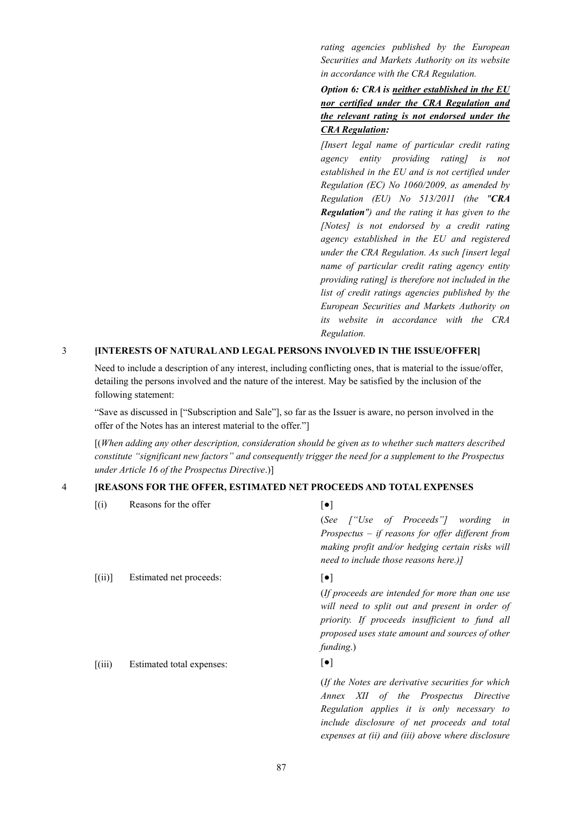*rating agencies published by the European Securities and Markets Authority on its website in accordance with the CRA Regulation.*

*Option 6: CRA is neither established in the EU nor certified under the CRA Regulation and the relevant rating is not endorsed under the CRA Regulation:*

*[Insert legal name of particular credit rating agency entity providing rating] is not established in the EU and is not certified under Regulation (EC) No 1060/2009, as amended by Regulation (EU) No 513/2011 (the "CRA Regulation") and the rating it has given to the [Notes] is not endorsed by a credit rating agency established in the EU and registered under the CRA Regulation. As such [insert legal name of particular credit rating agency entity providing rating] is therefore not included in the list of credit ratings agencies published by the European Securities and Markets Authority on its website in accordance with the CRA Regulation.*

*expenses at (ii) and (iii) above where disclosure* 

#### 3 **[INTERESTS OF NATURAL AND LEGAL PERSONS INVOLVED IN THE ISSUE/OFFER]**

Need to include a description of any interest, including conflicting ones, that is material to the issue/offer, detailing the persons involved and the nature of the interest. May be satisfied by the inclusion of the following statement:

"Save as discussed in ["Subscription and Sale"], so far as the Issuer is aware, no person involved in the offer of the Notes has an interest material to the offer."]

[(*When adding any other description, consideration should be given as to whether such matters described constitute "significant new factors" and consequently trigger the need for a supplement to the Prospectus under Article 16 of the Prospectus Directive*.)]

#### 4 **[REASONS FOR THE OFFER, ESTIMATED NET PROCEEDS AND TOTAL EXPENSES**

| (i)                             | Reasons for the offer     | $\left[\bullet\right]$                                                                                                                                                                                              |
|---------------------------------|---------------------------|---------------------------------------------------------------------------------------------------------------------------------------------------------------------------------------------------------------------|
|                                 |                           | (See ["Use of Proceeds"] wording in                                                                                                                                                                                 |
|                                 |                           | Prospectus $-$ if reasons for offer different from<br>making profit and/or hedging certain risks will<br>need to include those reasons here.)]                                                                      |
| [(ii)]                          | Estimated net proceeds:   | $\lceil \bullet \rceil$                                                                                                                                                                                             |
|                                 |                           | (If proceeds are intended for more than one use<br>will need to split out and present in order of<br>priority. If proceeds insufficient to fund all<br>proposed uses state amount and sources of other<br>funding.) |
| $\left[\left(iii\right)\right]$ | Estimated total expenses: | $\left[\bullet\right]$                                                                                                                                                                                              |
|                                 |                           | (If the Notes are derivative securities for which<br>Annex XII of the Prospectus Directive<br>Regulation applies it is only necessary to<br>include disclosure of net proceeds and total                            |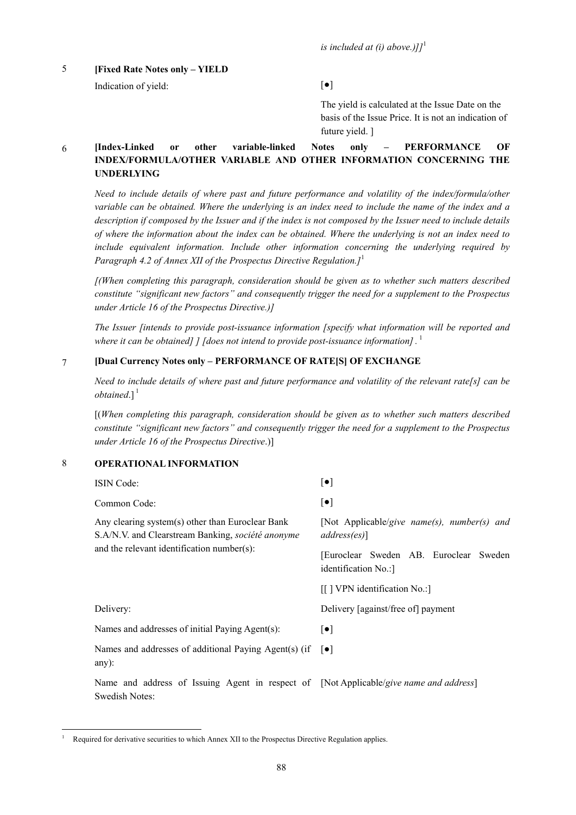*is included at (i) above.)* $l^1$ 

# 5 **[Fixed Rate Notes only – YIELD**

Indication of yield:  $[\bullet]$ 

The yield is calculated at the Issue Date on the basis of the Issue Price. It is not an indication of future yield. ]

# 6 **[Index-Linked or other variable-linked Notes only – PERFORMANCE OF INDEX/FORMULA/OTHER VARIABLE AND OTHER INFORMATION CONCERNING THE UNDERLYING**

*Need to include details of where past and future performance and volatility of the index/formula/other variable can be obtained. Where the underlying is an index need to include the name of the index and a description if composed by the Issuer and if the index is not composed by the Issuer need to include details of where the information about the index can be obtained. Where the underlying is not an index need to include equivalent information. Include other information concerning the underlying required by Paragraph 4.2 of Annex XII of the Prospectus Directive Regulation.]*<sup>1</sup>

*[(When completing this paragraph, consideration should be given as to whether such matters described constitute "significant new factors" and consequently trigger the need for a supplement to the Prospectus under Article 16 of the Prospectus Directive.)]*

*The Issuer [intends to provide post-issuance information [specify what information will be reported and where it can be obtained] ] [does not intend to provide post-issuance information].* 1

## 7 **[Dual Currency Notes only – PERFORMANCE OF RATE[S] OF EXCHANGE**

*Need to include details of where past and future performance and volatility of the relevant rate[s] can be*   $obtained.]$ <sup>1</sup>

[(*When completing this paragraph, consideration should be given as to whether such matters described constitute "significant new factors" and consequently trigger the need for a supplement to the Prospectus under Article 16 of the Prospectus Directive*.)]

# 8 **OPERATIONAL INFORMATION**

Swedish Notes:

1

| <b>ISIN</b> Code:                                                                                     | $[\bullet]$                                                    |
|-------------------------------------------------------------------------------------------------------|----------------------------------------------------------------|
| Common Code:                                                                                          | $\lbrack \bullet \rbrack$                                      |
| Any clearing system(s) other than Euroclear Bank<br>S.A/N.V. and Clearstream Banking, société anonyme | [Not Applicable/give name(s), number(s) and<br>$address(es)$ ] |
| and the relevant identification number(s):                                                            | [Euroclear Sweden AB. Euroclear Sweden<br>identification No.:  |
|                                                                                                       | [[] VPN identification No.:]                                   |
| Delivery:                                                                                             | Delivery [against/free of] payment                             |
| Names and addresses of initial Paying Agent(s):                                                       | $\lceil \bullet \rceil$                                        |
| Names and addresses of additional Paying Agent(s) (if<br>any $)$ :                                    | $\vert \bullet \vert$                                          |
| Name and address of Issuing Agent in respect of [Not Applicable/give name and address]                |                                                                |

Required for derivative securities to which Annex XII to the Prospectus Directive Regulation applies.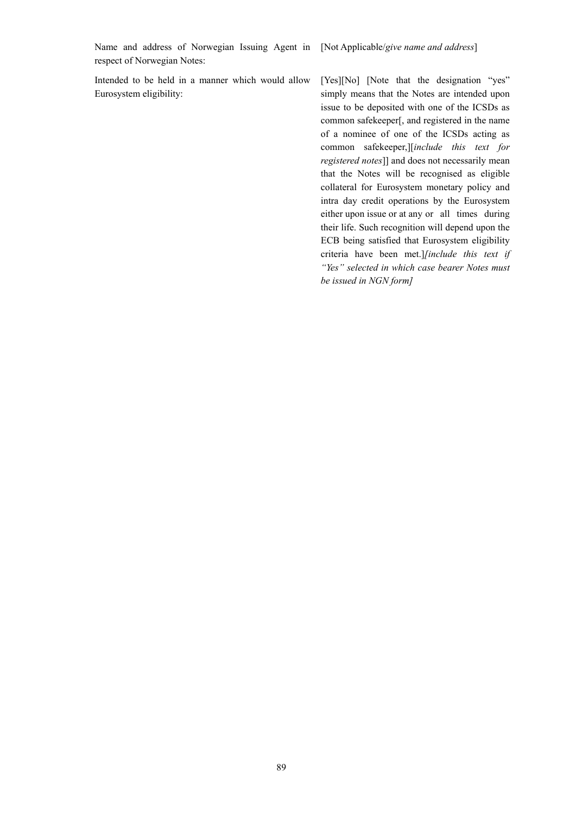Name and address of Norwegian Issuing Agent in [Not Applicable/*give name and address*] respect of Norwegian Notes:

Intended to be held in a manner which would allow Eurosystem eligibility:

[Yes][No] [Note that the designation "yes" simply means that the Notes are intended upon issue to be deposited with one of the ICSDs as common safekeeper[, and registered in the name of a nominee of one of the ICSDs acting as common safekeeper,][*include this text for registered notes*]] and does not necessarily mean that the Notes will be recognised as eligible collateral for Eurosystem monetary policy and intra day credit operations by the Eurosystem either upon issue or at any or all times during their life. Such recognition will depend upon the ECB being satisfied that Eurosystem eligibility criteria have been met.]*[include this text if "Yes" selected in which case bearer Notes must be issued in NGN form]*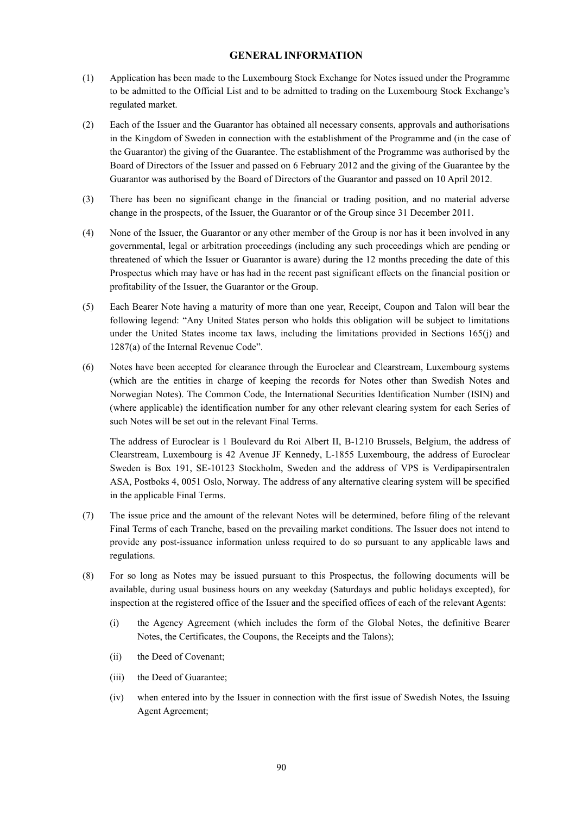# **GENERAL INFORMATION**

- (1) Application has been made to the Luxembourg Stock Exchange for Notes issued under the Programme to be admitted to the Official List and to be admitted to trading on the Luxembourg Stock Exchange's regulated market.
- (2) Each of the Issuer and the Guarantor has obtained all necessary consents, approvals and authorisations in the Kingdom of Sweden in connection with the establishment of the Programme and (in the case of the Guarantor) the giving of the Guarantee. The establishment of the Programme was authorised by the Board of Directors of the Issuer and passed on 6 February 2012 and the giving of the Guarantee by the Guarantor was authorised by the Board of Directors of the Guarantor and passed on 10 April 2012.
- (3) There has been no significant change in the financial or trading position, and no material adverse change in the prospects, of the Issuer, the Guarantor or of the Group since 31 December 2011.
- (4) None of the Issuer, the Guarantor or any other member of the Group is nor has it been involved in any governmental, legal or arbitration proceedings (including any such proceedings which are pending or threatened of which the Issuer or Guarantor is aware) during the 12 months preceding the date of this Prospectus which may have or has had in the recent past significant effects on the financial position or profitability of the Issuer, the Guarantor or the Group.
- (5) Each Bearer Note having a maturity of more than one year, Receipt, Coupon and Talon will bear the following legend: "Any United States person who holds this obligation will be subject to limitations under the United States income tax laws, including the limitations provided in Sections 165(j) and 1287(a) of the Internal Revenue Code".
- (6) Notes have been accepted for clearance through the Euroclear and Clearstream, Luxembourg systems (which are the entities in charge of keeping the records for Notes other than Swedish Notes and Norwegian Notes). The Common Code, the International Securities Identification Number (ISIN) and (where applicable) the identification number for any other relevant clearing system for each Series of such Notes will be set out in the relevant Final Terms.

The address of Euroclear is 1 Boulevard du Roi Albert II, B-1210 Brussels, Belgium, the address of Clearstream, Luxembourg is 42 Avenue JF Kennedy, L-1855 Luxembourg, the address of Euroclear Sweden is Box 191, SE-10123 Stockholm, Sweden and the address of VPS is Verdipapirsentralen ASA, Postboks 4, 0051 Oslo, Norway. The address of any alternative clearing system will be specified in the applicable Final Terms.

- (7) The issue price and the amount of the relevant Notes will be determined, before filing of the relevant Final Terms of each Tranche, based on the prevailing market conditions. The Issuer does not intend to provide any post-issuance information unless required to do so pursuant to any applicable laws and regulations.
- (8) For so long as Notes may be issued pursuant to this Prospectus, the following documents will be available, during usual business hours on any weekday (Saturdays and public holidays excepted), for inspection at the registered office of the Issuer and the specified offices of each of the relevant Agents:
	- (i) the Agency Agreement (which includes the form of the Global Notes, the definitive Bearer Notes, the Certificates, the Coupons, the Receipts and the Talons);
	- (ii) the Deed of Covenant;
	- (iii) the Deed of Guarantee;
	- (iv) when entered into by the Issuer in connection with the first issue of Swedish Notes, the Issuing Agent Agreement;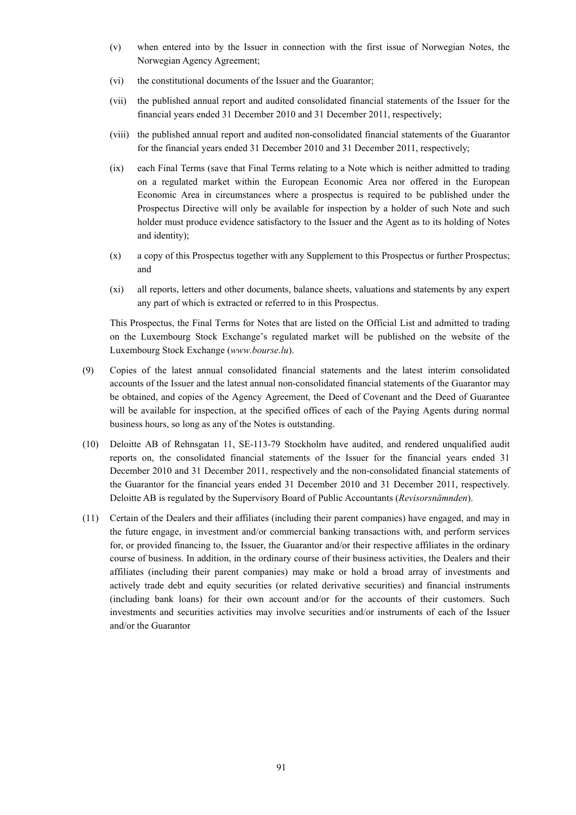- (v) when entered into by the Issuer in connection with the first issue of Norwegian Notes, the Norwegian Agency Agreement;
- (vi) the constitutional documents of the Issuer and the Guarantor;
- (vii) the published annual report and audited consolidated financial statements of the Issuer for the financial years ended 31 December 2010 and 31 December 2011, respectively;
- (viii) the published annual report and audited non-consolidated financial statements of the Guarantor for the financial years ended 31 December 2010 and 31 December 2011, respectively;
- (ix) each Final Terms (save that Final Terms relating to a Note which is neither admitted to trading on a regulated market within the European Economic Area nor offered in the European Economic Area in circumstances where a prospectus is required to be published under the Prospectus Directive will only be available for inspection by a holder of such Note and such holder must produce evidence satisfactory to the Issuer and the Agent as to its holding of Notes and identity);
- (x) a copy of this Prospectus together with any Supplement to this Prospectus or further Prospectus; and
- (xi) all reports, letters and other documents, balance sheets, valuations and statements by any expert any part of which is extracted or referred to in this Prospectus.

This Prospectus, the Final Terms for Notes that are listed on the Official List and admitted to trading on the Luxembourg Stock Exchange's regulated market will be published on the website of the Luxembourg Stock Exchange (*www.bourse.lu*).

- (9) Copies of the latest annual consolidated financial statements and the latest interim consolidated accounts of the Issuer and the latest annual non-consolidated financial statements of the Guarantor may be obtained, and copies of the Agency Agreement, the Deed of Covenant and the Deed of Guarantee will be available for inspection, at the specified offices of each of the Paying Agents during normal business hours, so long as any of the Notes is outstanding.
- (10) Deloitte AB of Rehnsgatan 11, SE-113-79 Stockholm have audited, and rendered unqualified audit reports on, the consolidated financial statements of the Issuer for the financial years ended 31 December 2010 and 31 December 2011, respectively and the non-consolidated financial statements of the Guarantor for the financial years ended 31 December 2010 and 31 December 2011, respectively. Deloitte AB is regulated by the Supervisory Board of Public Accountants (*Revisorsnämnden*).
- (11) Certain of the Dealers and their affiliates (including their parent companies) have engaged, and may in the future engage, in investment and/or commercial banking transactions with, and perform services for, or provided financing to, the Issuer, the Guarantor and/or their respective affiliates in the ordinary course of business. In addition, in the ordinary course of their business activities, the Dealers and their affiliates (including their parent companies) may make or hold a broad array of investments and actively trade debt and equity securities (or related derivative securities) and financial instruments (including bank loans) for their own account and/or for the accounts of their customers. Such investments and securities activities may involve securities and/or instruments of each of the Issuer and/or the Guarantor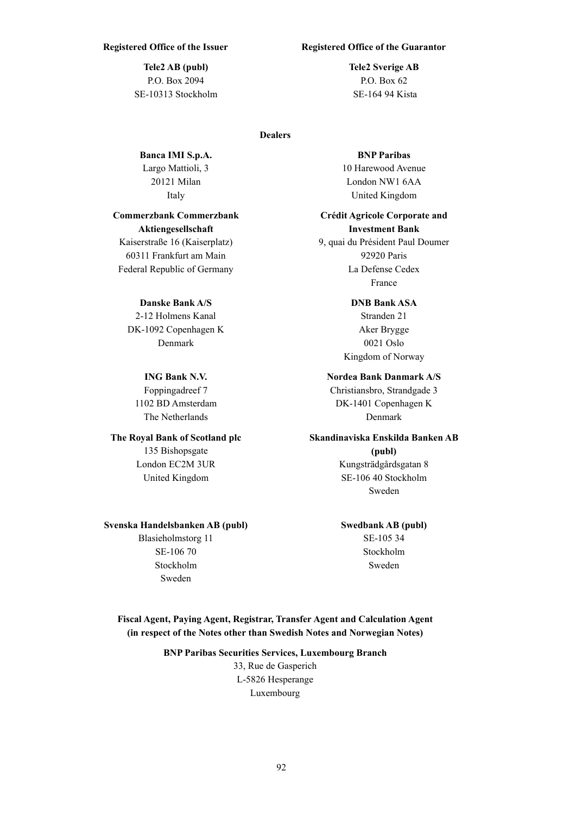**Tele2 AB (publ)** P.O. Box 2094 SE-10313 Stockholm

#### **Dealers**

**Banca IMI S.p.A.** Largo Mattioli, 3 20121 Milan Italy

# **Commerzbank Commerzbank Aktiengesellschaft**

Kaiserstraße 16 (Kaiserplatz) 60311 Frankfurt am Main Federal Republic of Germany

### **Danske Bank A/S**

2-12 Holmens Kanal DK-1092 Copenhagen K Denmark

# **ING Bank N.V.**

Foppingadreef 7 1102 BD Amsterdam The Netherlands

# **The Royal Bank of Scotland plc**

135 Bishopsgate London EC2M 3UR United Kingdom

### **Svenska Handelsbanken AB (publ)**

Blasieholmstorg 11 SE-106 70 Stockholm Sweden

# **Registered Office of the Issuer Registered Office of the Guarantor**

**Tele2 Sverige AB** P.O. Box 62 SE-164 94 Kista

#### **BNP Paribas**

10 Harewood Avenue London NW1 6AA United Kingdom

### **Crédit Agricole Corporate and Investment Bank**

9, quai du Président Paul Doumer 92920 Paris La Defense Cedex France

# **DNB Bank ASA**

Stranden 21 Aker Brygge 0021 Oslo Kingdom of Norway

#### **Nordea Bank Danmark A/S**

Christiansbro, Strandgade 3 DK-1401 Copenhagen K Denmark

# **Skandinaviska Enskilda Banken AB**

**(publ)** Kungsträdgårdsgatan 8 SE-106 40 Stockholm Sweden

# **Swedbank AB (publ)**

SE-105 34 Stockholm Sweden

# **Fiscal Agent, Paying Agent, Registrar, Transfer Agent and Calculation Agent (in respect of the Notes other than Swedish Notes and Norwegian Notes)**

# **BNP Paribas Securities Services, Luxembourg Branch** 33, Rue de Gasperich L-5826 Hesperange

Luxembourg